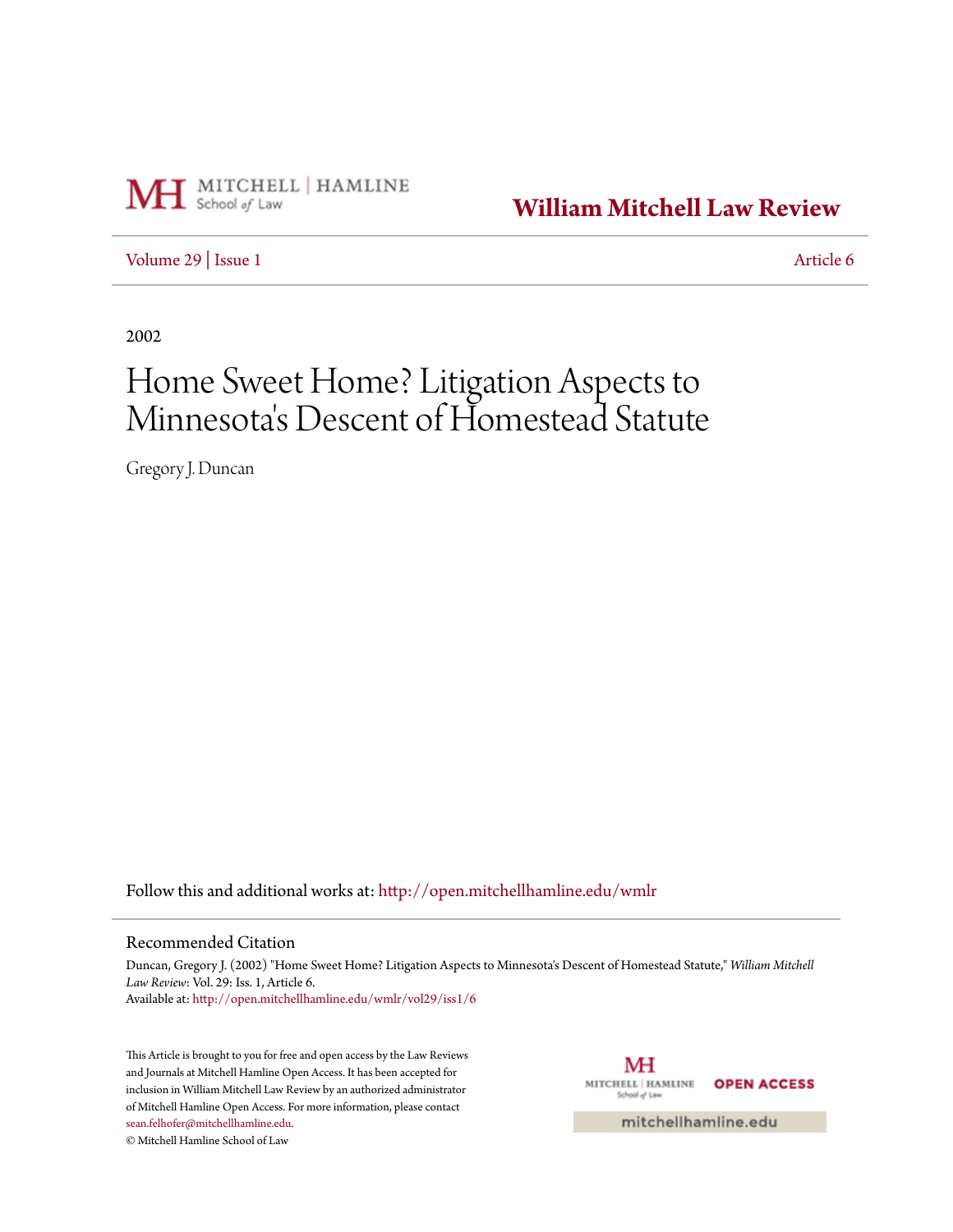

**[William Mitchell Law Review](http://open.mitchellhamline.edu/wmlr?utm_source=open.mitchellhamline.edu%2Fwmlr%2Fvol29%2Fiss1%2F6&utm_medium=PDF&utm_campaign=PDFCoverPages)**

[Volume 29](http://open.mitchellhamline.edu/wmlr/vol29?utm_source=open.mitchellhamline.edu%2Fwmlr%2Fvol29%2Fiss1%2F6&utm_medium=PDF&utm_campaign=PDFCoverPages) | [Issue 1](http://open.mitchellhamline.edu/wmlr/vol29/iss1?utm_source=open.mitchellhamline.edu%2Fwmlr%2Fvol29%2Fiss1%2F6&utm_medium=PDF&utm_campaign=PDFCoverPages) [Article 6](http://open.mitchellhamline.edu/wmlr/vol29/iss1/6?utm_source=open.mitchellhamline.edu%2Fwmlr%2Fvol29%2Fiss1%2F6&utm_medium=PDF&utm_campaign=PDFCoverPages)

2002

# Home Sweet Home? Litigation Aspects to Minnesota 's Descent of Homestead Statute

Gregory J. Duncan

Follow this and additional works at: [http://open.mitchellhamline.edu/wmlr](http://open.mitchellhamline.edu/wmlr?utm_source=open.mitchellhamline.edu%2Fwmlr%2Fvol29%2Fiss1%2F6&utm_medium=PDF&utm_campaign=PDFCoverPages)

# Recommended Citation

Duncan, Gregory J. (2002) "Home Sweet Home? Litigation Aspects to Minnesota's Descent of Homestead Statute," *William Mitchell Law Review*: Vol. 29: Iss. 1, Article 6. Available at: [http://open.mitchellhamline.edu/wmlr/vol29/iss1/6](http://open.mitchellhamline.edu/wmlr/vol29/iss1/6?utm_source=open.mitchellhamline.edu%2Fwmlr%2Fvol29%2Fiss1%2F6&utm_medium=PDF&utm_campaign=PDFCoverPages)

This Article is brought to you for free and open access by the Law Reviews and Journals at Mitchell Hamline Open Access. It has been accepted for inclusion in William Mitchell Law Review by an authorized administrator of Mitchell Hamline Open Access. For more information, please contact [sean.felhofer@mitchellhamline.edu](mailto:sean.felhofer@mitchellhamline.edu).

© Mitchell Hamline School of Law

MH MITCHELL | HAMLINE **OPEN ACCESS** School of Law

mitchellhamline.edu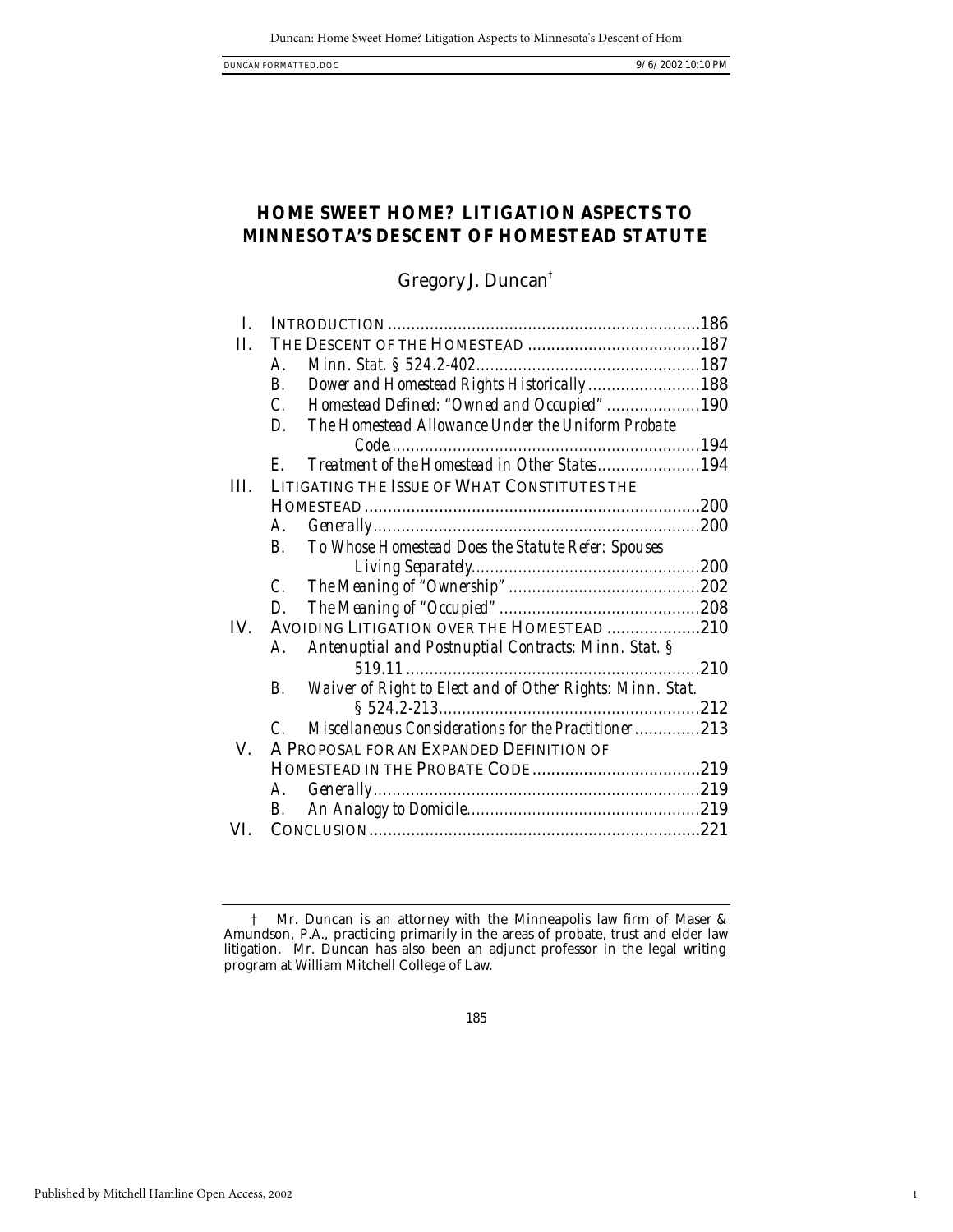1

# **HOME SWEET HOME? LITIGATION ASPECTS TO MINNESOTA'S DESCENT OF HOMESTEAD STATUTE**

# Gregory J. Duncan†

| I.   |                                                                              |     |
|------|------------------------------------------------------------------------------|-----|
| H.   |                                                                              |     |
|      | $\boldsymbol{A}$ .                                                           |     |
|      | Dower and Homestead Rights Historically188<br>В.                             |     |
|      | Homestead Defined: "Owned and Occupied"190<br>$\mathcal{C}$ .                |     |
|      | The Homestead Allowance Under the Uniform Probate<br>D.                      |     |
|      |                                                                              |     |
|      | Treatment of the Homestead in Other States194<br>$F_{\cdot}$                 |     |
| III. | LITIGATING THE ISSUE OF WHAT CONSTITUTES THE                                 |     |
|      |                                                                              |     |
|      | А.                                                                           |     |
|      | To Whose Homestead Does the Statute Refer: Spouses<br>$B_{\cdot}$            |     |
|      |                                                                              |     |
|      | $\mathcal{C}$ .                                                              |     |
|      | D.                                                                           |     |
| IV.  | AVOIDING LITIGATION OVER THE HOMESTEAD 210                                   |     |
|      | Antenuptial and Postnuptial Contracts: Minn. Stat. §<br>А.                   |     |
|      |                                                                              | 210 |
|      | Waiver of Right to Elect and of Other Rights: Minn. Stat.<br>В.              |     |
|      |                                                                              |     |
|      | <i>Miscellaneous Considerations for the Practitioner213</i><br>$\mathcal{C}$ |     |
| V.   | A PROPOSAL FOR AN EXPANDED DEFINITION OF                                     |     |
|      |                                                                              |     |
|      | А.                                                                           |     |
|      | В.                                                                           |     |
| VI.  |                                                                              |     |
|      |                                                                              |     |

<sup>†</sup> Mr. Duncan is an attorney with the Minneapolis law firm of Maser & Amundson, P.A., practicing primarily in the areas of probate, trust and elder law litigation. Mr. Duncan has also been an adjunct professor in the legal writing program at William Mitchell College of Law.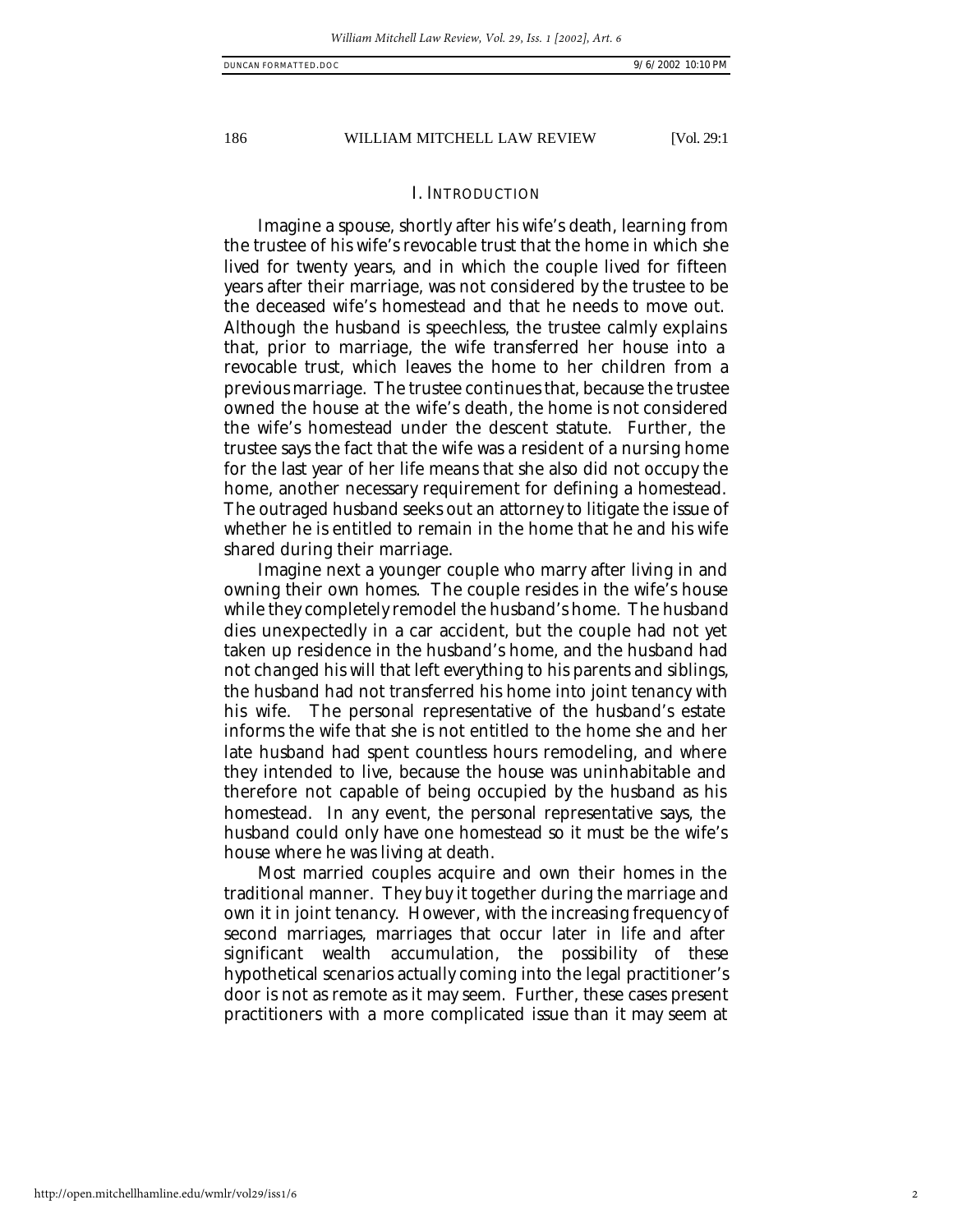# I. INTRODUCTION

Imagine a spouse, shortly after his wife's death, learning from the trustee of his wife's revocable trust that the home in which she lived for twenty years, and in which the couple lived for fifteen years after their marriage, was not considered by the trustee to be the deceased wife's homestead and that he needs to move out. Although the husband is speechless, the trustee calmly explains that, prior to marriage, the wife transferred her house into a revocable trust, which leaves the home to her children from a previous marriage. The trustee continues that, because the trustee owned the house at the wife's death, the home is not considered the wife's homestead under the descent statute. Further, the trustee says the fact that the wife was a resident of a nursing home for the last year of her life means that she also did not occupy the home, another necessary requirement for defining a homestead. The outraged husband seeks out an attorney to litigate the issue of whether he is entitled to remain in the home that he and his wife shared during their marriage.

Imagine next a younger couple who marry after living in and owning their own homes. The couple resides in the wife's house while they completely remodel the husband's home. The husband dies unexpectedly in a car accident, but the couple had not yet taken up residence in the husband's home, and the husband had not changed his will that left everything to his parents and siblings, the husband had not transferred his home into joint tenancy with his wife. The personal representative of the husband's estate informs the wife that she is not entitled to the home she and her late husband had spent countless hours remodeling, and where they intended to live, because the house was uninhabitable and therefore not capable of being occupied by the husband as his homestead. In any event, the personal representative says, the husband could only have one homestead so it must be the wife's house where he was living at death.

Most married couples acquire and own their homes in the traditional manner. They buy it together during the marriage and own it in joint tenancy. However, with the increasing frequency of second marriages, marriages that occur later in life and after significant wealth accumulation, the possibility of these hypothetical scenarios actually coming into the legal practitioner's door is not as remote as it may seem. Further, these cases present practitioners with a more complicated issue than it may seem at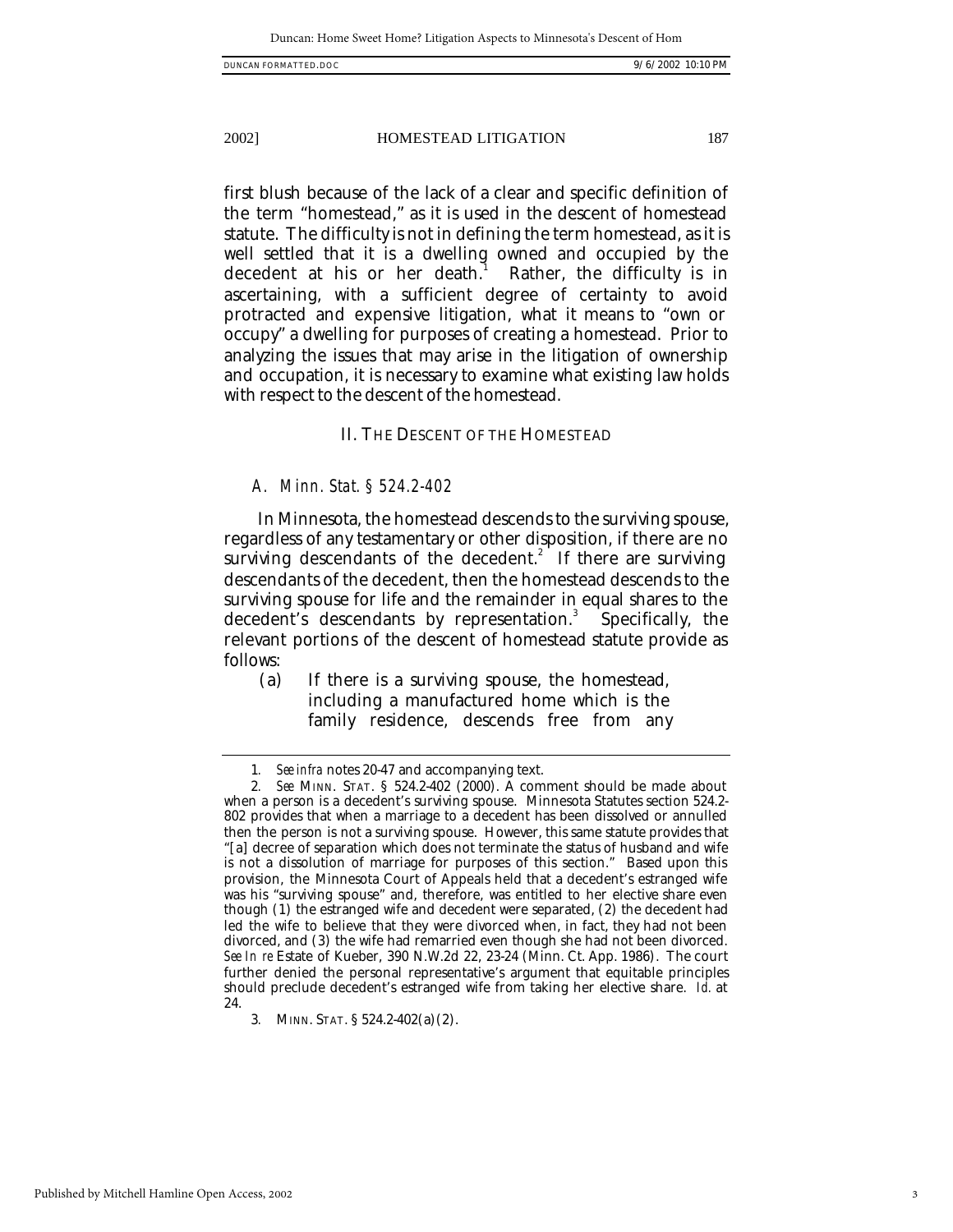first blush because of the lack of a clear and specific definition of the term "homestead," as it is used in the descent of homestead statute. The difficulty is not in defining the term homestead, as it is well settled that it is a dwelling owned and occupied by the decedent at his or her death.<sup>1</sup> Rather, the difficulty is in ascertaining, with a sufficient degree of certainty to avoid protracted and expensive litigation, what it means to "own or occupy" a dwelling for purposes of creating a homestead. Prior to analyzing the issues that may arise in the litigation of ownership and occupation, it is necessary to examine what existing law holds with respect to the descent of the homestead.

# II. THE DESCENT OF THE HOMESTEAD

# *A. Minn. Stat. § 524.2-402*

In Minnesota, the homestead descends to the surviving spouse, regardless of any testamentary or other disposition, if there are no surviving descendants of the decedent.<sup>2</sup> If there are surviving descendants of the decedent, then the homestead descends to the surviving spouse for life and the remainder in equal shares to the decedent's descendants by representation.<sup>3</sup> Specifically, the relevant portions of the descent of homestead statute provide as follows:

(a) If there is a surviving spouse, the homestead, including a manufactured home which is the family residence, descends free from any

<sup>1</sup>*. See infra* notes 20-47 and accompanying text.

<sup>2</sup>*. See* MINN. STAT. § 524.2-402 (2000). A comment should be made about when a person is a decedent's surviving spouse. Minnesota Statutes section 524.2- 802 provides that when a marriage to a decedent has been dissolved or annulled then the person is not a surviving spouse. However, this same statute provides that "[a] decree of separation which does not terminate the status of husband and wife is not a dissolution of marriage for purposes of this section." Based upon this provision, the Minnesota Court of Appeals held that a decedent's estranged wife was his "surviving spouse" and, therefore, was entitled to her elective share even though (1) the estranged wife and decedent were separated, (2) the decedent had led the wife to believe that they were divorced when, in fact, they had not been divorced, and (3) the wife had remarried even though she had not been divorced. *See In re* Estate of Kueber, 390 N.W.2d 22, 23-24 (Minn. Ct. App. 1986). The court further denied the personal representative's argument that equitable principles should preclude decedent's estranged wife from taking her elective share. *Id.* at 24.

<sup>3</sup>*.* MINN. STAT. § 524.2-402(a)(2).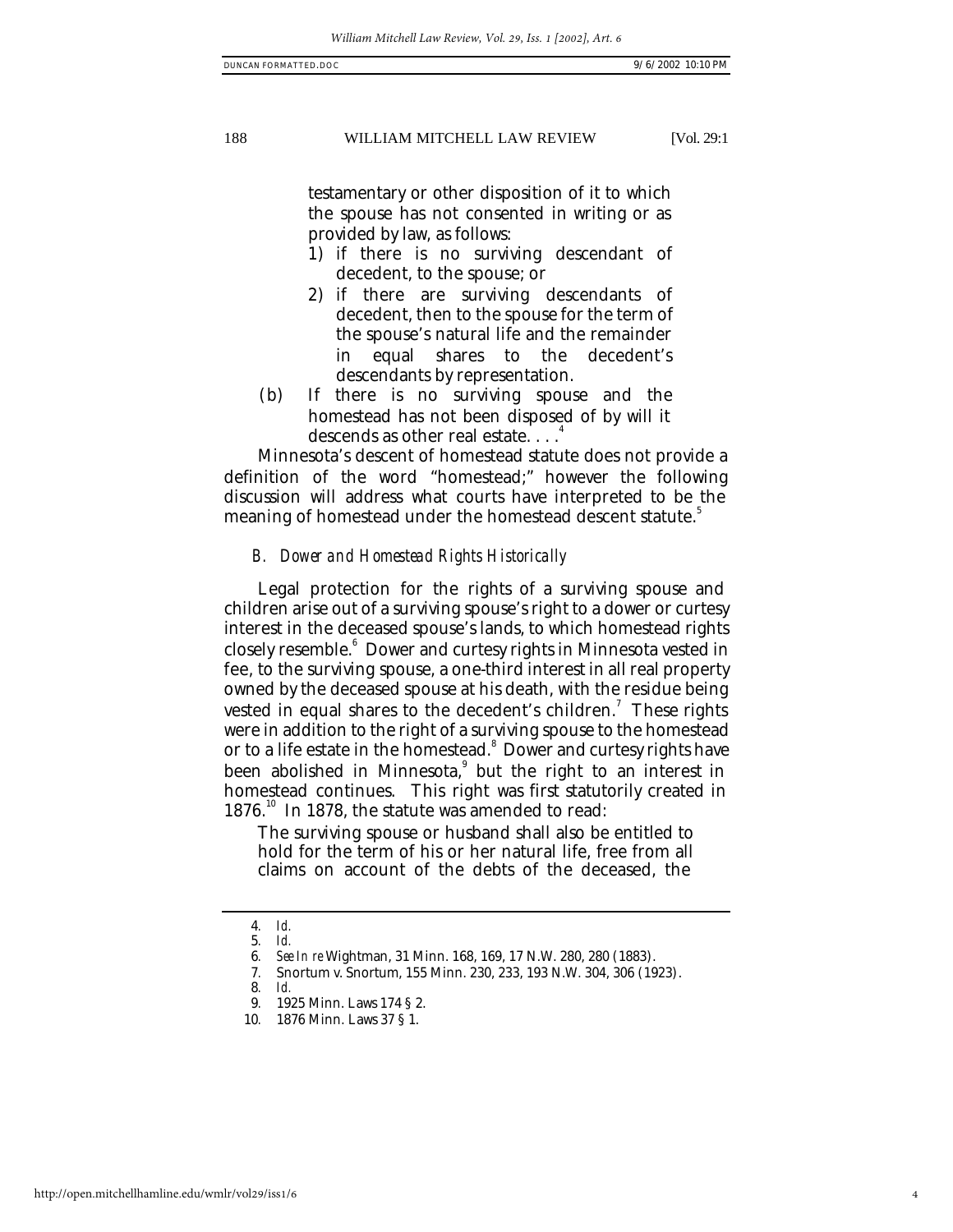testamentary or other disposition of it to which the spouse has not consented in writing or as provided by law, as follows:

- 1) if there is no surviving descendant of decedent, to the spouse; or
- 2) if there are surviving descendants of decedent, then to the spouse for the term of the spouse's natural life and the remainder in equal shares to the decedent's descendants by representation.
- (b) If there is no surviving spouse and the homestead has not been disposed of by will it descends as other real estate. . . . 4

Minnesota's descent of homestead statute does not provide a definition of the word "homestead;" however the following discussion will address what courts have interpreted to be the meaning of homestead under the homestead descent statute.<sup>5</sup>

#### *B. Dower and Homestead Rights Historically*

Legal protection for the rights of a surviving spouse and children arise out of a surviving spouse's right to a dower or curtesy interest in the deceased spouse's lands, to which homestead rights closely resemble.<sup>6</sup> Dower and curtesy rights in Minnesota vested in fee, to the surviving spouse, a one-third interest in all real property owned by the deceased spouse at his death, with the residue being vested in equal shares to the decedent's children.<sup>7</sup> These rights were in addition to the right of a surviving spouse to the homestead or to a life estate in the homestead.<sup>8</sup> Dower and curtesy rights have been abolished in Minnesota,<sup>9</sup> but the right to an interest in homestead continues. This right was first statutorily created in 1876.<sup>10</sup> In 1878, the statute was amended to read:

The surviving spouse or husband shall also be entitled to hold for the term of his or her natural life, free from all claims on account of the debts of the deceased, the

<sup>4</sup>*. Id.*

<sup>5</sup>*. Id.*

<sup>6</sup>*. See In re* Wightman, 31 Minn. 168, 169, 17 N.W. 280, 280 (1883).

<sup>7</sup>*.* Snortum v. Snortum, 155 Minn. 230, 233, 193 N.W. 304, 306 (1923).

<sup>8</sup>*. Id.*

<sup>9</sup>*.* 1925 Minn. Laws 174 § 2.

<sup>10</sup>*.* 1876 Minn. Laws 37 § 1.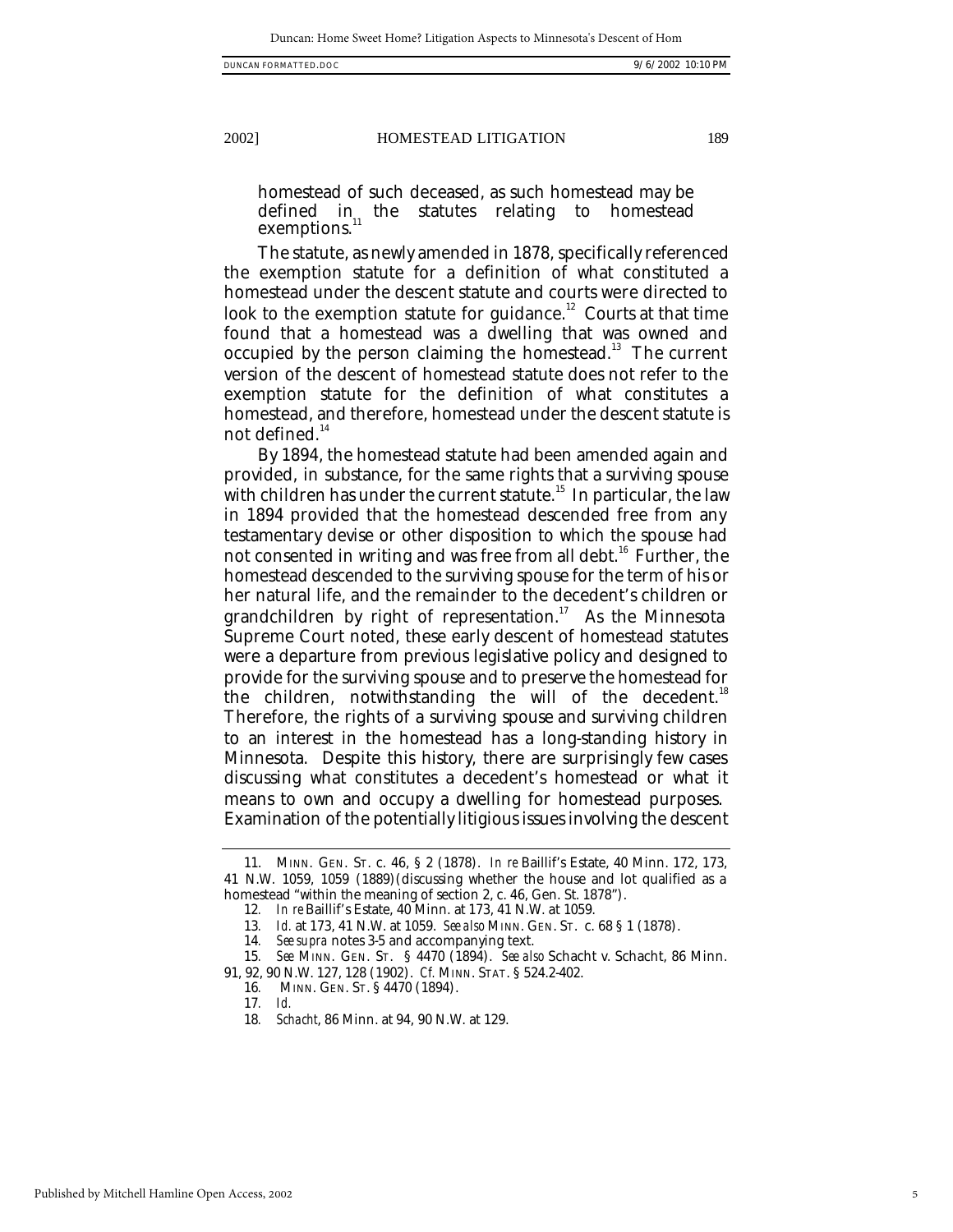homestead of such deceased, as such homestead may be defined in the statutes relating to homestead exemptions.

The statute, as newly amended in 1878, specifically referenced the exemption statute for a definition of what constituted a homestead under the descent statute and courts were directed to look to the exemption statute for guidance. $^{\rm 12}$  Courts at that time found that a homestead was a dwelling that was owned and occupied by the person claiming the homestead.<sup>13</sup> The current version of the descent of homestead statute does not refer to the exemption statute for the definition of what constitutes a homestead, and therefore, homestead under the descent statute is not defined. $14$ 

By 1894, the homestead statute had been amended again and provided, in substance, for the same rights that a surviving spouse with children has under the current statute.<sup>15</sup> In particular, the law in 1894 provided that the homestead descended free from any testamentary devise or other disposition to which the spouse had not consented in writing and was free from all debt.<sup>16</sup> Further, the homestead descended to the surviving spouse for the term of his or her natural life, and the remainder to the decedent's children or grandchildren by right of representation.<sup>17</sup> As the Minnesota Supreme Court noted, these early descent of homestead statutes were a departure from previous legislative policy and designed to provide for the surviving spouse and to preserve the homestead for the children, notwithstanding the will of the decedent.<sup>18</sup> Therefore, the rights of a surviving spouse and surviving children to an interest in the homestead has a long-standing history in Minnesota. Despite this history, there are surprisingly few cases discussing what constitutes a decedent's homestead or what it means to own and occupy a dwelling for homestead purposes. Examination of the potentially litigious issues involving the descent

<sup>11.</sup> MINN. GEN. ST. c. 46, § 2 (1878). *In re* Baillif's Estate, 40 Minn. 172, 173, 41 N.W. 1059, 1059 (1889)(discussing whether the house and lot qualified as a homestead "within the meaning of section 2, c. 46, Gen. St. 1878").

<sup>12</sup>*. In re* Baillif's Estate, 40 Minn. at 173, 41 N.W. at 1059.

<sup>13</sup>*. Id.* at 173, 41 N.W. at 1059. *See also* MINN. GEN. ST. c. 68 § 1 (1878).

<sup>14</sup>*. See supra* notes 3-5 and accompanying text.

<sup>15</sup>*. See* MINN. GEN. ST. § 4470 (1894). *See also* Schacht v. Schacht, 86 Minn. 91, 92, 90 N.W. 127, 128 (1902). *Cf.* MINN. STAT. § 524.2-402.

<sup>16</sup>*.* MINN. GEN. ST. § 4470 (1894).

<sup>17</sup>*. Id.*

<sup>18</sup>*. Schacht*, 86 Minn. at 94, 90 N.W. at 129.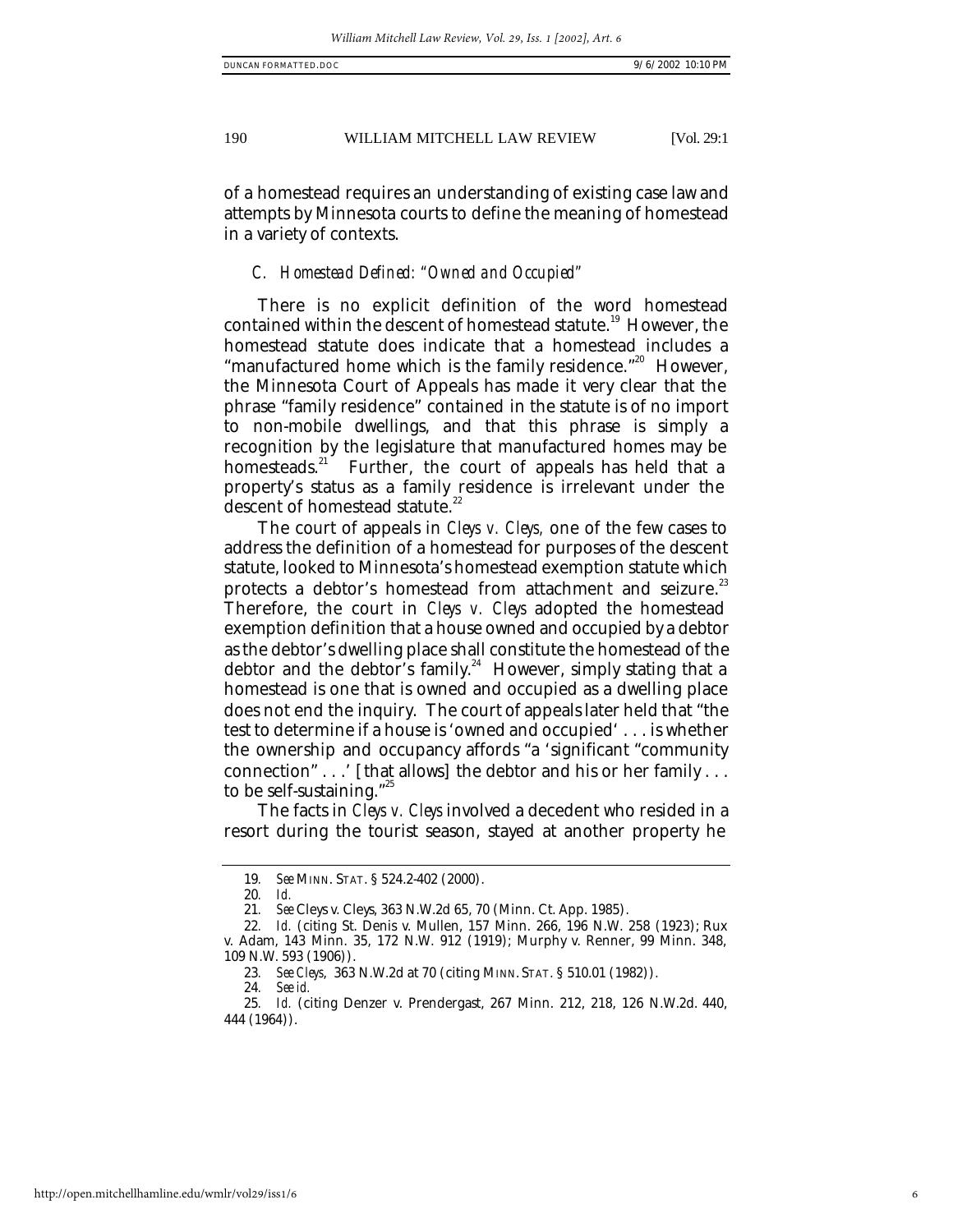of a homestead requires an understanding of existing case law and attempts by Minnesota courts to define the meaning of homestead in a variety of contexts.

# *C. Homestead Defined: "Owned and Occupied"*

There is no explicit definition of the word homestead contained within the descent of homestead statute.<sup>19</sup> However, the homestead statute does indicate that a homestead includes a "manufactured home which is the family residence."<sup>20</sup> However, the Minnesota Court of Appeals has made it very clear that the phrase "family residence" contained in the statute is of no import to non-mobile dwellings, and that this phrase is simply a recognition by the legislature that manufactured homes may be homesteads.<sup>21</sup> Further, the court of appeals has held that a Further, the court of appeals has held that a property's status as a family residence is irrelevant under the descent of homestead statute.<sup>22</sup>

The court of appeals in *Cleys v. Cleys,* one of the few cases to address the definition of a homestead for purposes of the descent statute, looked to Minnesota's homestead exemption statute which protects a debtor's homestead from attachment and seizure.<sup>23</sup> Therefore, the court in *Cleys v. Cleys* adopted the homestead exemption definition that a house owned and occupied by a debtor as the debtor's dwelling place shall constitute the homestead of the debtor and the debtor's family.<sup>24</sup> However, simply stating that a homestead is one that is owned and occupied as a dwelling place does not end the inquiry. The court of appeals later held that "the test to determine if a house is 'owned and occupied' . . . is whether the ownership and occupancy affords "a 'significant "community connection" . . .' [that allows] the debtor and his or her family . . . to be self-sustaining."<sup>25</sup>

The facts in *Cleys v. Cleys* involved a decedent who resided in a resort during the tourist season, stayed at another property he

<sup>19</sup>*. See* MINN. STAT. § 524.2-402 (2000).

<sup>20</sup>*. Id.*

<sup>21</sup>*. See* Cleys v. Cleys, 363 N.W.2d 65, 70 (Minn. Ct. App. 1985).

<sup>22</sup>*. Id.* (citing St. Denis v. Mullen, 157 Minn. 266, 196 N.W. 258 (1923); Rux v. Adam, 143 Minn. 35, 172 N.W. 912 (1919); Murphy v. Renner, 99 Minn. 348, 109 N.W. 593 (1906)).

<sup>23</sup>*. See Cleys*, 363 N.W.2d at 70 (citing MINN. STAT. § 510.01 (1982)).

<sup>24</sup>*. See id.*

<sup>25</sup>*. Id.* (citing Denzer v. Prendergast, 267 Minn. 212, 218, 126 N.W.2d. 440, 444 (1964)).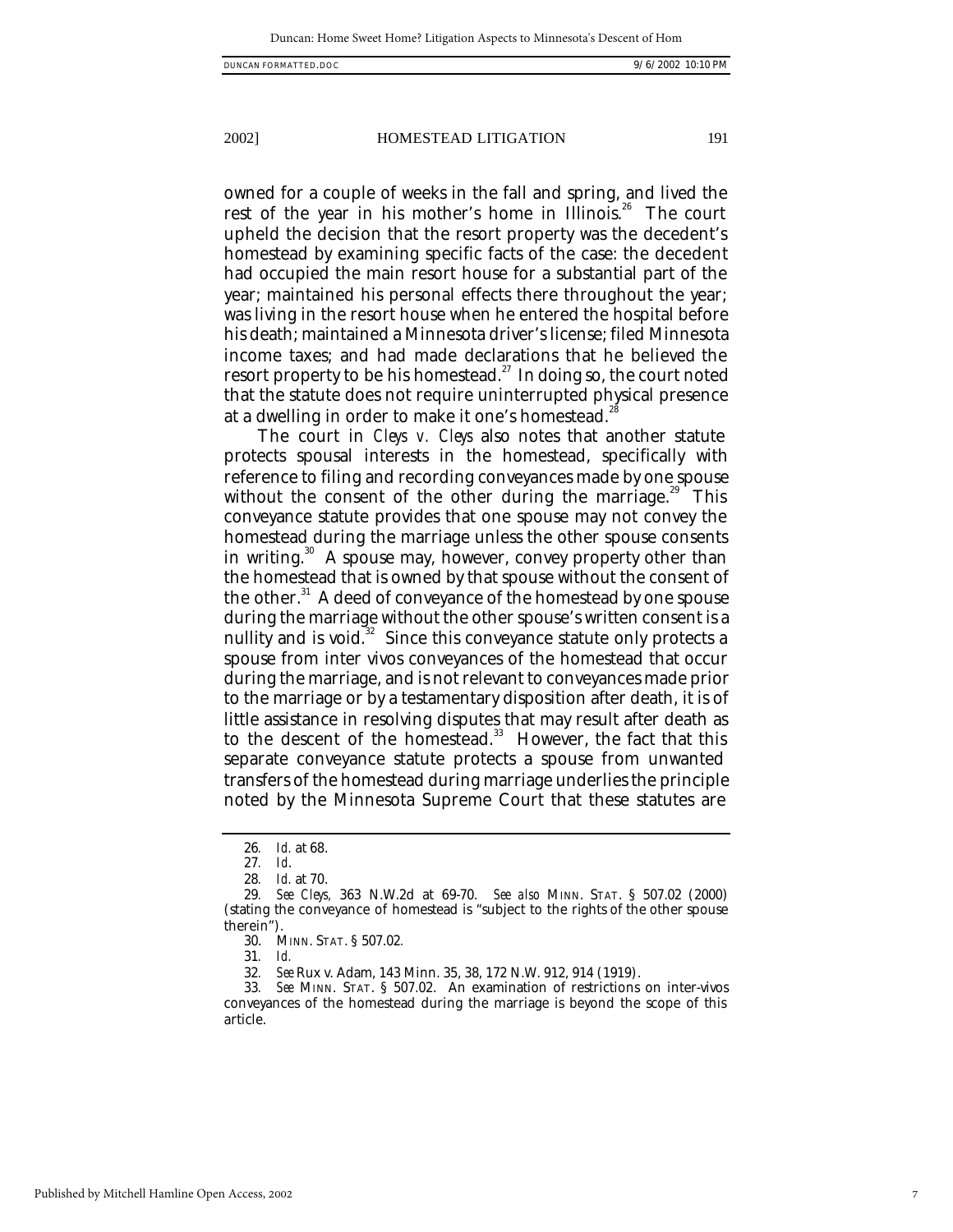owned for a couple of weeks in the fall and spring, and lived the rest of the year in his mother's home in Illinois.<sup>26</sup> The court upheld the decision that the resort property was the decedent's homestead by examining specific facts of the case: the decedent had occupied the main resort house for a substantial part of the year; maintained his personal effects there throughout the year; was living in the resort house when he entered the hospital before his death; maintained a Minnesota driver's license; filed Minnesota income taxes; and had made declarations that he believed the resort property to be his homestead.<sup>27</sup> In doing so, the court noted that the statute does not require uninterrupted physical presence at a dwelling in order to make it one's homestead.<sup>28</sup>

The court in *Cleys v. Cleys* also notes that another statute protects spousal interests in the homestead, specifically with reference to filing and recording conveyances made by one spouse without the consent of the other during the marriage.<sup>29</sup> This conveyance statute provides that one spouse may not convey the homestead during the marriage unless the other spouse consents in writing. $30^{\circ}$  A spouse may, however, convey property other than the homestead that is owned by that spouse without the consent of the other.<sup>31</sup> A deed of conveyance of the homestead by one spouse during the marriage without the other spouse's written consent is a nullity and is void. $32$  Since this conveyance statute only protects a spouse from inter vivos conveyances of the homestead that occur during the marriage, and is not relevant to conveyances made prior to the marriage or by a testamentary disposition after death, it is of little assistance in resolving disputes that may result after death as to the descent of the homestead.<sup>33</sup> However, the fact that this separate conveyance statute protects a spouse from unwanted transfers of the homestead during marriage underlies the principle noted by the Minnesota Supreme Court that these statutes are

<sup>26</sup>*. Id.* at 68.

<sup>27</sup>*. Id*.

<sup>28</sup>*. Id.* at 70.

<sup>29</sup>*. See Cleys,* 363 N.W.2d at 69-70. *See also* MINN. STAT. § 507.02 (2000) (stating the conveyance of homestead is "subject to the rights of the other spouse therein").

<sup>30.</sup> MINN. STAT. § 507.02*.*

<sup>31</sup>*. Id.*

<sup>32</sup>*. See* Rux v. Adam, 143 Minn. 35, 38, 172 N.W. 912, 914 (1919).

<sup>33</sup>*. See* MINN. STAT. § 507.02. An examination of restrictions on inter-vivos conveyances of the homestead during the marriage is beyond the scope of this article.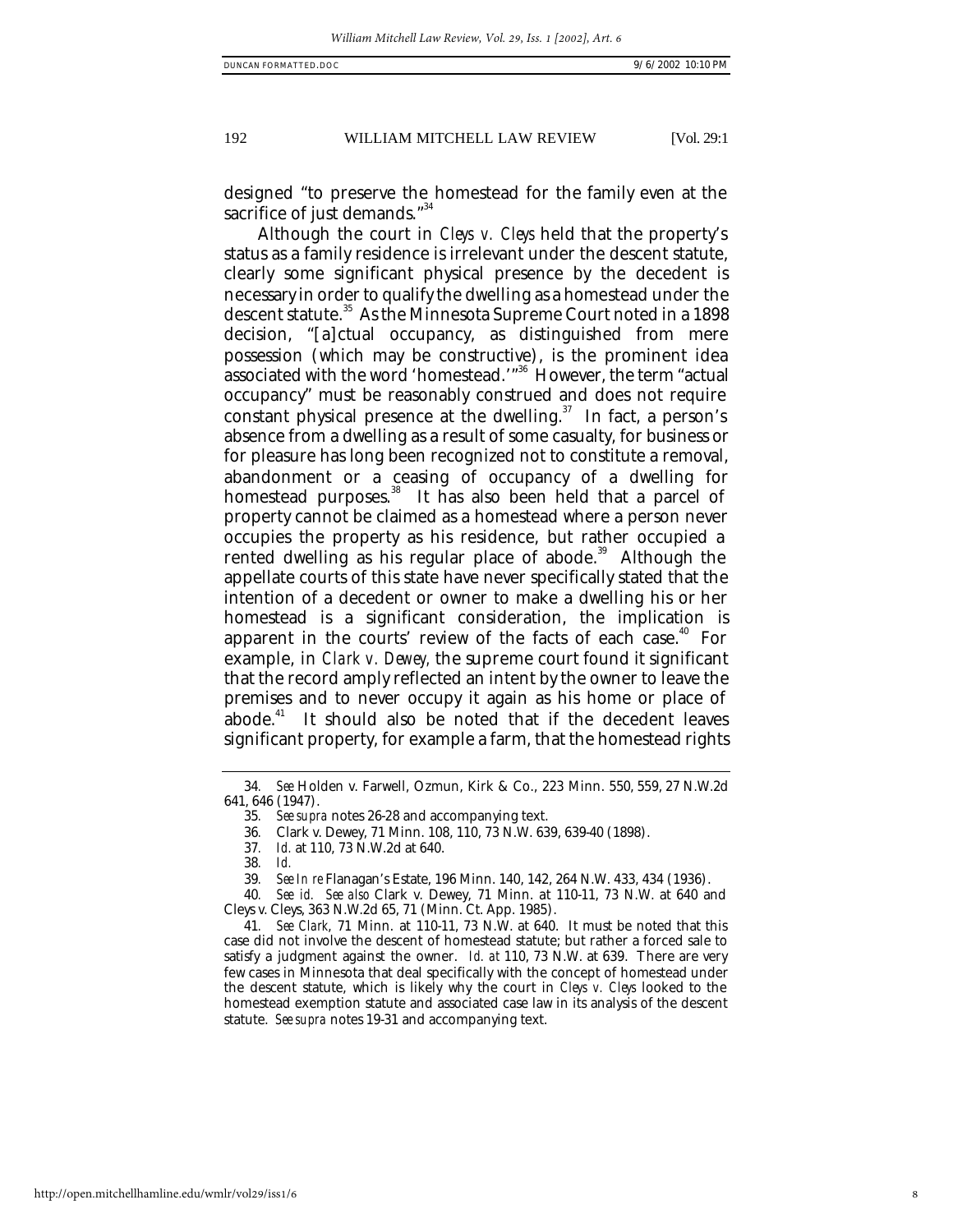designed "to preserve the homestead for the family even at the sacrifice of just demands."<sup>34</sup>

Although the court in *Cleys v. Cleys* held that the property's status as a family residence is irrelevant under the descent statute, clearly some significant physical presence by the decedent is necessary in order to qualify the dwelling as a homestead under the descent statute.<sup>35</sup> As the Minnesota Supreme Court noted in a 1898 decision, "[a]ctual occupancy, as distinguished from mere possession (which may be constructive), is the prominent idea associated with the word 'homestead.'"<sup>36</sup> However, the term "actual occupancy" must be reasonably construed and does not require constant physical presence at the dwelling.<sup>37</sup> In fact, a person's absence from a dwelling as a result of some casualty, for business or for pleasure has long been recognized not to constitute a removal, abandonment or a ceasing of occupancy of a dwelling for homestead purposes.<sup>38</sup> It has also been held that a parcel of property cannot be claimed as a homestead where a person never occupies the property as his residence, but rather occupied a rented dwelling as his regular place of abode.<sup>39</sup> Although the appellate courts of this state have never specifically stated that the intention of a decedent or owner to make a dwelling his or her homestead is a significant consideration, the implication is apparent in the courts' review of the facts of each case.<sup> $40$ </sup> For example, in *Clark v. Dewey,* the supreme court found it significant that the record amply reflected an intent by the owner to leave the premises and to never occupy it again as his home or place of abode.<sup>41</sup> It should also be noted that if the decedent leaves significant property, for example a farm, that the homestead rights

<sup>34</sup>*. See* Holden v. Farwell, Ozmun, Kirk & Co., 223 Minn. 550, 559, 27 N.W.2d 641, 646 (1947).

<sup>35</sup>*. See supra* notes 26-28 and accompanying text.

<sup>36</sup>*.* Clark v. Dewey, 71 Minn. 108, 110, 73 N.W. 639, 639-40 (1898).

<sup>37</sup>*. Id.* at 110, 73 N.W.2d at 640.

<sup>38</sup>*. Id.*

<sup>39</sup>*. See In re* Flanagan's Estate, 196 Minn. 140, 142, 264 N.W. 433, 434 (1936).

<sup>40</sup>*. See id. See also* Clark v. Dewey, 71 Minn. at 110-11, 73 N.W. at 640 and Cleys v. Cleys, 363 N.W.2d 65, 71 (Minn. Ct. App. 1985).

<sup>41</sup>*. See Clark*, 71 Minn. at 110-11, 73 N.W. at 640. It must be noted that this case did not involve the descent of homestead statute; but rather a forced sale to satisfy a judgment against the owner. *Id. at* 110, 73 N.W. at 639. There are very few cases in Minnesota that deal specifically with the concept of homestead under the descent statute, which is likely why the court in *Cleys v. Cleys* looked to the homestead exemption statute and associated case law in its analysis of the descent statute. *See supra* notes 19-31 and accompanying text.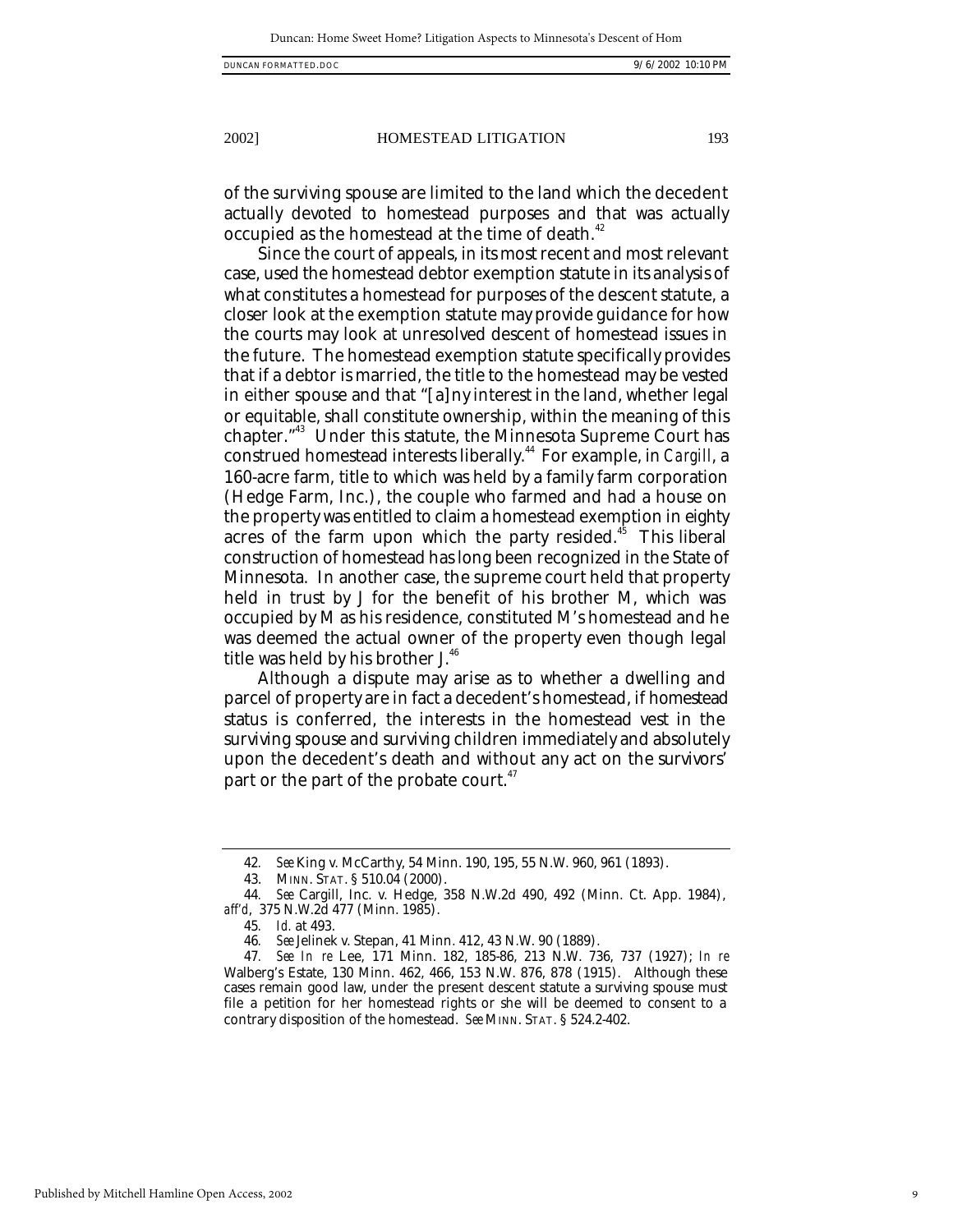of the surviving spouse are limited to the land which the decedent actually devoted to homestead purposes and that was actually occupied as the homestead at the time of death.<sup>42</sup>

Since the court of appeals, in its most recent and most relevant case, used the homestead debtor exemption statute in its analysis of what constitutes a homestead for purposes of the descent statute, a closer look at the exemption statute may provide guidance for how the courts may look at unresolved descent of homestead issues in the future. The homestead exemption statute specifically provides that if a debtor is married, the title to the homestead may be vested in either spouse and that "[a]ny interest in the land, whether legal or equitable, shall constitute ownership, within the meaning of this chapter."<sup>43</sup> Under this statute, the Minnesota Supreme Court has construed homestead interests liberally.<sup>44</sup> For example, in *Cargill*, a 160-acre farm, title to which was held by a family farm corporation (Hedge Farm, Inc.), the couple who farmed and had a house on the property was entitled to claim a homestead exemption in eighty acres of the farm upon which the party resided.<sup> $45$ </sup> This liberal construction of homestead has long been recognized in the State of Minnesota. In another case, the supreme court held that property held in trust by J for the benefit of his brother M, which was occupied by M as his residence, constituted M's homestead and he was deemed the actual owner of the property even though legal title was held by his brother J.<sup>46</sup>

Although a dispute may arise as to whether a dwelling and parcel of property are in fact a decedent's homestead, if homestead status is conferred, the interests in the homestead vest in the surviving spouse and surviving children immediately and absolutely upon the decedent's death and without any act on the survivors' part or the part of the probate court.<sup>47</sup>

<sup>42</sup>*. See* King v. McCarthy, 54 Minn. 190, 195, 55 N.W. 960, 961 (1893).

<sup>43.</sup> MINN. STAT. § 510.04 (2000).

<sup>44</sup>*. See* Cargill, Inc. v. Hedge, 358 N.W.2d 490, 492 (Minn. Ct. App. 1984), *aff'd*, 375 N.W.2d 477 (Minn. 1985).

<sup>45</sup>*. Id.* at 493.

<sup>46</sup>*. See* Jelinek v. Stepan, 41 Minn. 412, 43 N.W. 90 (1889).

<sup>47</sup>*. See In re* Lee, 171 Minn. 182, 185-86, 213 N.W. 736, 737 (1927); *In re* Walberg's Estate, 130 Minn. 462, 466, 153 N.W. 876, 878 (1915). Although these cases remain good law, under the present descent statute a surviving spouse must file a petition for her homestead rights or she will be deemed to consent to a contrary disposition of the homestead. *See* MINN. STAT. § 524.2-402.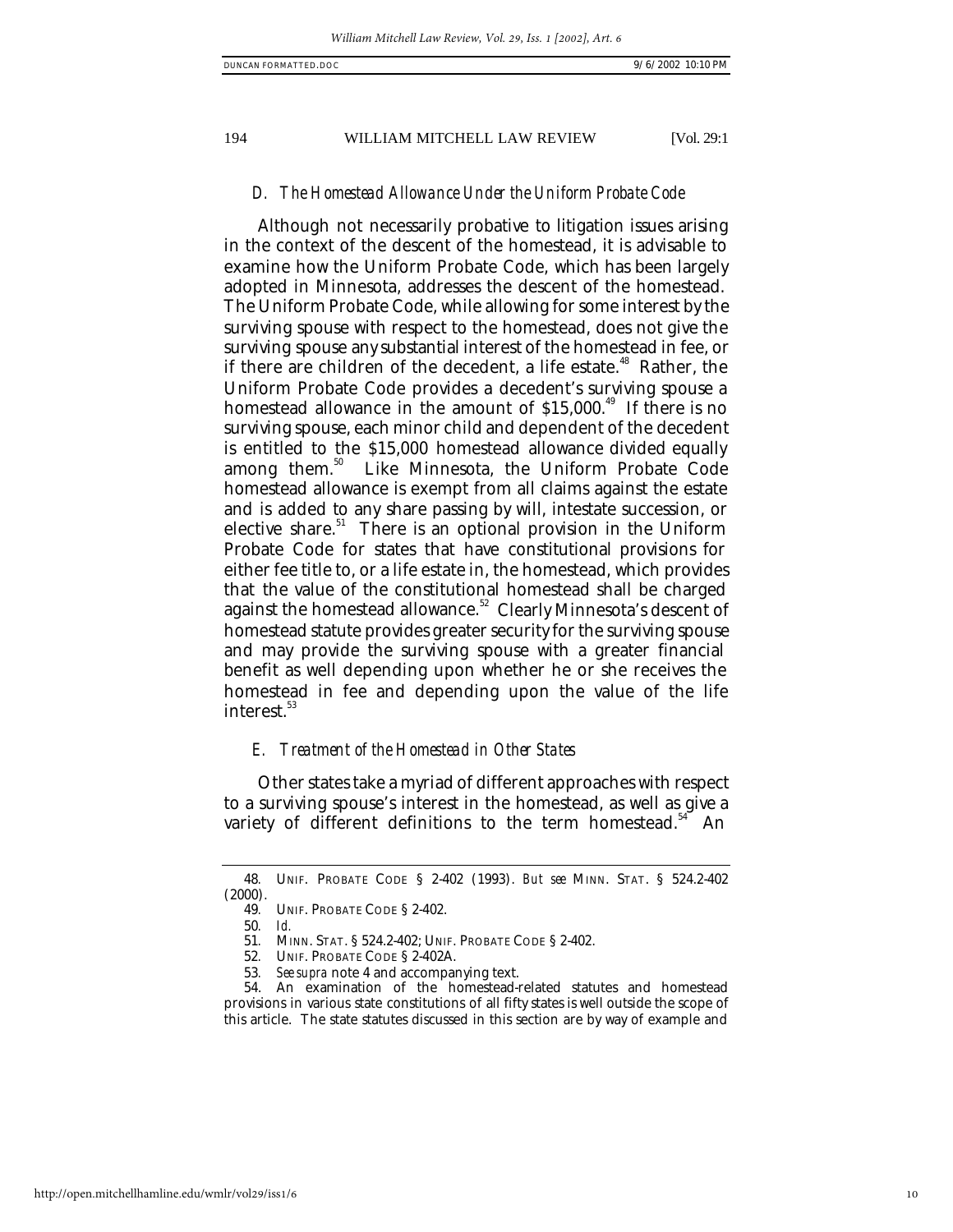# *D. The Homestead Allowance Under the Uniform Probate Code*

Although not necessarily probative to litigation issues arising in the context of the descent of the homestead, it is advisable to examine how the Uniform Probate Code, which has been largely adopted in Minnesota, addresses the descent of the homestead. The Uniform Probate Code, while allowing for some interest by the surviving spouse with respect to the homestead, does not give the surviving spouse any substantial interest of the homestead in fee, or if there are children of the decedent, a life estate.<sup>48</sup> Rather, the Uniform Probate Code provides a decedent's surviving spouse a homestead allowance in the amount of  $$15,000.<sup>49</sup>$  If there is no surviving spouse, each minor child and dependent of the decedent is entitled to the \$15,000 homestead allowance divided equally among them.<sup>50</sup> Like Minnesota, the Uniform Probate Code homestead allowance is exempt from all claims against the estate and is added to any share passing by will, intestate succession, or elective share.<sup>51</sup> There is an optional provision in the Uniform Probate Code for states that have constitutional provisions for either fee title to, or a life estate in, the homestead, which provides that the value of the constitutional homestead shall be charged against the homestead allowance.<sup>52</sup> Clearly Minnesota's descent of homestead statute provides greater security for the surviving spouse and may provide the surviving spouse with a greater financial benefit as well depending upon whether he or she receives the homestead in fee and depending upon the value of the life interest.<sup>53</sup>

#### *E. Treatment of the Homestead in Other States*

Other states take a myriad of different approaches with respect to a surviving spouse's interest in the homestead, as well as give a variety of different definitions to the term homestead. $34$  An

<sup>48</sup>*.* UNIF. PROBATE CODE § 2-402 (1993). *But see* MINN. STAT. § 524.2-402 (2000).

<sup>49</sup>*.* UNIF. PROBATE CODE § 2-402.

<sup>50</sup>*. Id.*

<sup>51</sup>*.* MINN. STAT. § 524.2-402; UNIF. PROBATE CODE § 2-402.

<sup>52</sup>*.* UNIF. PROBATE CODE § 2-402A.

<sup>53</sup>*. See supra* note 4 and accompanying text.

<sup>54.</sup> An examination of the homestead-related statutes and homestead provisions in various state constitutions of all fifty states is well outside the scope of this article. The state statutes discussed in this section are by way of example and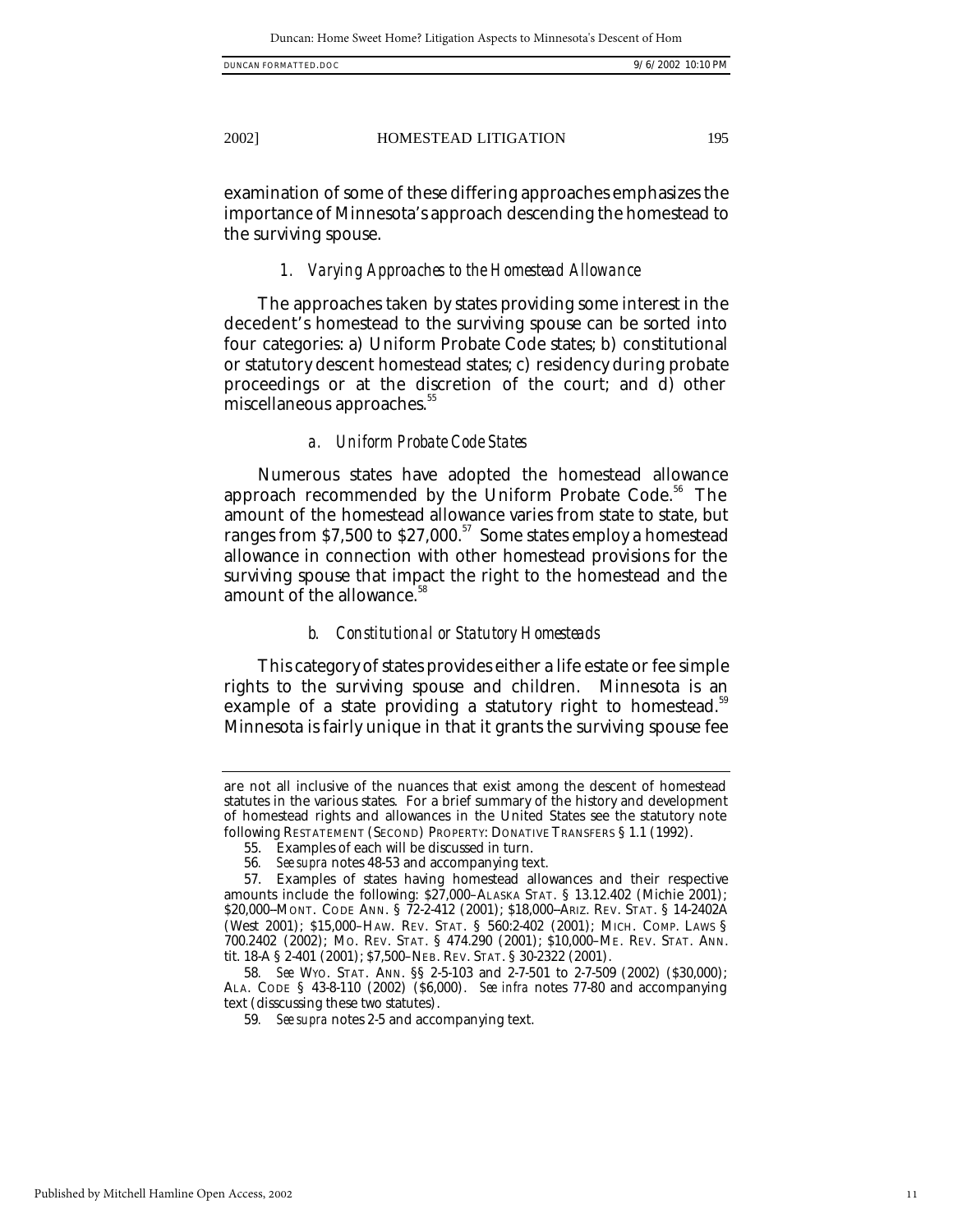| DUNCAN FORMATTED.DOC |  | /6/2002 10:10 PM |  |
|----------------------|--|------------------|--|
|----------------------|--|------------------|--|

examination of some of these differing approaches emphasizes the importance of Minnesota's approach descending the homestead to the surviving spouse.

#### *1. Varying Approaches to the Homestead Allowance*

The approaches taken by states providing some interest in the decedent's homestead to the surviving spouse can be sorted into four categories: a) Uniform Probate Code states; b) constitutional or statutory descent homestead states; c) residency during probate proceedings or at the discretion of the court; and d) other miscellaneous approaches.<sup>55</sup>

#### *a. Uniform Probate Code States*

Numerous states have adopted the homestead allowance approach recommended by the Uniform Probate Code.<sup>56</sup> The amount of the homestead allowance varies from state to state, but ranges from \$7,500 to \$27,000.<sup>57</sup> Some states employ a homestead allowance in connection with other homestead provisions for the surviving spouse that impact the right to the homestead and the amount of the allowance.<sup>58</sup>

#### *b. Constitutional or Statutory Homesteads*

This category of states provides either a life estate or fee simple rights to the surviving spouse and children. Minnesota is an example of a state providing a statutory right to homestead.<sup>59</sup> Minnesota is fairly unique in that it grants the surviving spouse fee

are not all inclusive of the nuances that exist among the descent of homestead statutes in the various states. For a brief summary of the history and development of homestead rights and allowances in the United States see the statutory note following RESTATEMENT (SECOND) PROPERTY: DONATIVE TRANSFERS § 1.1 (1992).

<sup>55.</sup> Examples of each will be discussed in turn.

<sup>56</sup>*. See supra* notes 48-53 and accompanying text.

<sup>57.</sup> Examples of states having homestead allowances and their respective amounts include the following: \$27,000–ALASKA STAT. § 13.12.402 (Michie 2001); \$20,000--MONT. CODE ANN. § 72-2-412 (2001); \$18,000--ARIZ. REV. STAT. § 14-2402A (West 2001); \$15,000–HAW. REV. STAT. § 560:2-402 (2001); MICH. COMP. LAWS § 700.2402 (2002); MO. REV. STAT. § 474.290 (2001); \$10,000–ME. REV. STAT. ANN. tit. 18-A § 2-401 (2001); \$7,500–NEB. REV. STAT. § 30-2322 (2001).

<sup>58</sup>*. See* WYO. STAT. ANN. §§ 2-5-103 and 2-7-501 to 2-7-509 (2002) (\$30,000); ALA. CODE § 43-8-110 (2002) (\$6,000). *See infra* notes 77-80 and accompanying text (disscussing these two statutes).

<sup>59</sup>*. See supra* notes 2-5 and accompanying text.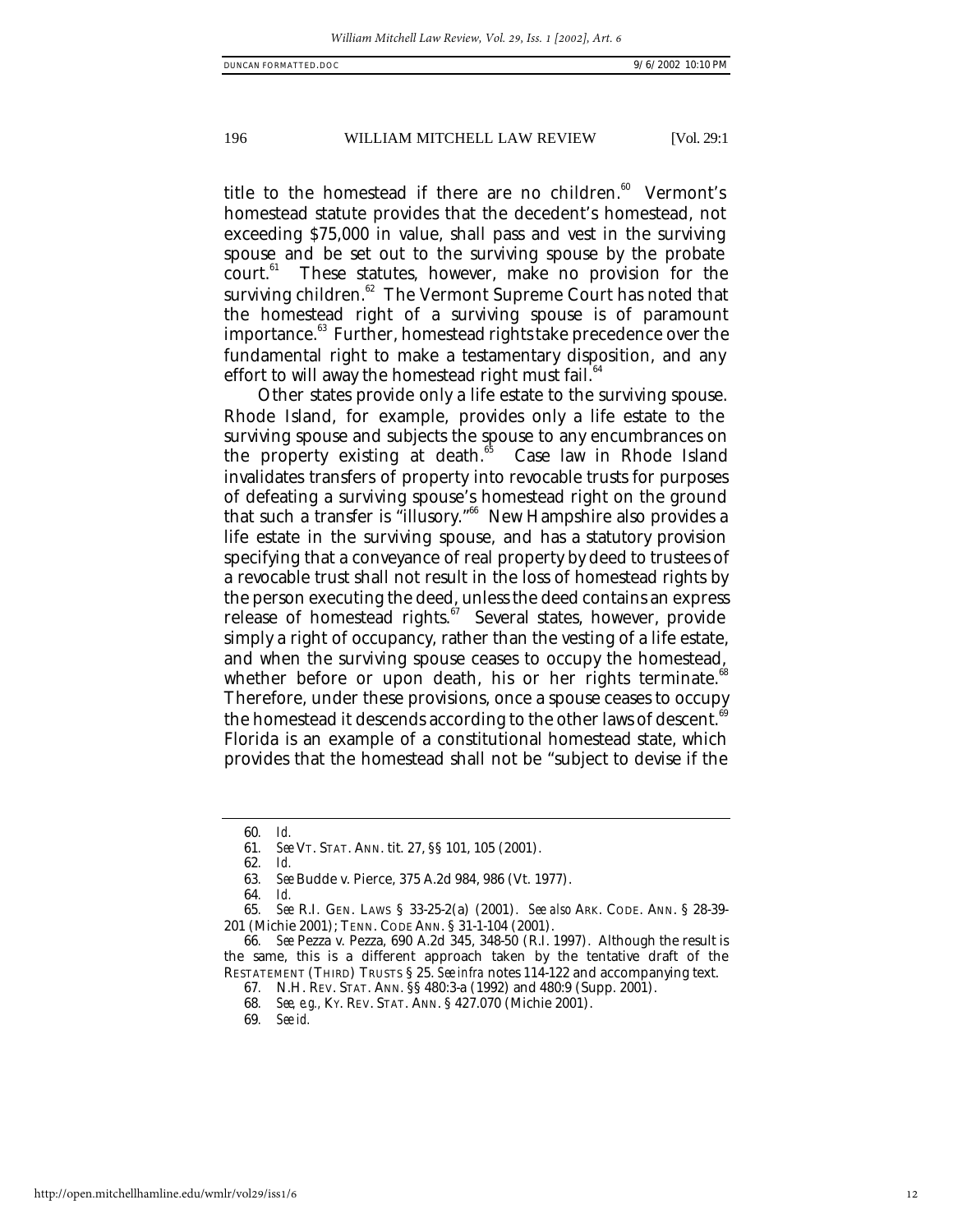title to the homestead if there are no children. $60$  Vermont's homestead statute provides that the decedent's homestead, not exceeding \$75,000 in value, shall pass and vest in the surviving spouse and be set out to the surviving spouse by the probate court.<sup>61</sup> These statutes, however, make no provision for the surviving children.<sup>62</sup> The Vermont Supreme Court has noted that the homestead right of a surviving spouse is of paramount importance.<sup>63</sup> Further, homestead rights take precedence over the fundamental right to make a testamentary disposition, and any effort to will away the homestead right must fail. $64$ 

Other states provide only a life estate to the surviving spouse. Rhode Island, for example, provides only a life estate to the surviving spouse and subjects the spouse to any encumbrances on the property existing at death.<sup>55</sup> Case law in Rhode Island invalidates transfers of property into revocable trusts for purposes of defeating a surviving spouse's homestead right on the ground that such a transfer is "illusory."<sup>66</sup> New Hampshire also provides a life estate in the surviving spouse, and has a statutory provision specifying that a conveyance of real property by deed to trustees of a revocable trust shall not result in the loss of homestead rights by the person executing the deed, unless the deed contains an express release of homestead rights. $\frac{67}{12}$  Several states, however, provide simply a right of occupancy, rather than the vesting of a life estate, and when the surviving spouse ceases to occupy the homestead, whether before or upon death, his or her rights terminate. $\alpha$ Therefore, under these provisions, once a spouse ceases to occupy the homestead it descends according to the other laws of descent.<sup>6</sup> Florida is an example of a constitutional homestead state, which provides that the homestead shall not be "subject to devise if the

62*. Id.*

64*. Id.*

69*. See id.*

<sup>60</sup>*. Id.*

<sup>61</sup>*. See* VT. STAT. ANN. tit. 27, §§ 101, 105 (2001).

<sup>63</sup>*. See* Budde v. Pierce, 375 A.2d 984, 986 (Vt. 1977).

<sup>65</sup>*. See* R.I. GEN. LAWS § 33-25-2(a) (2001). *See also* ARK. CODE. ANN. § 28-39- 201 (Michie 2001); TENN. CODE ANN. § 31-1-104 (2001).

<sup>66</sup>*. See* Pezza v. Pezza, 690 A.2d 345, 348-50 (R.I. 1997). Although the result is the same, this is a different approach taken by the tentative draft of the RESTATEMENT (THIRD) TRUSTS § 25. *See infra* notes 114-122 and accompanying text.

<sup>67</sup>*.* N.H. REV. STAT. ANN. §§ 480:3-a (1992) and 480:9 (Supp. 2001). 68*. See, e.g.,* KY. REV. STAT. ANN. § 427.070 (Michie 2001).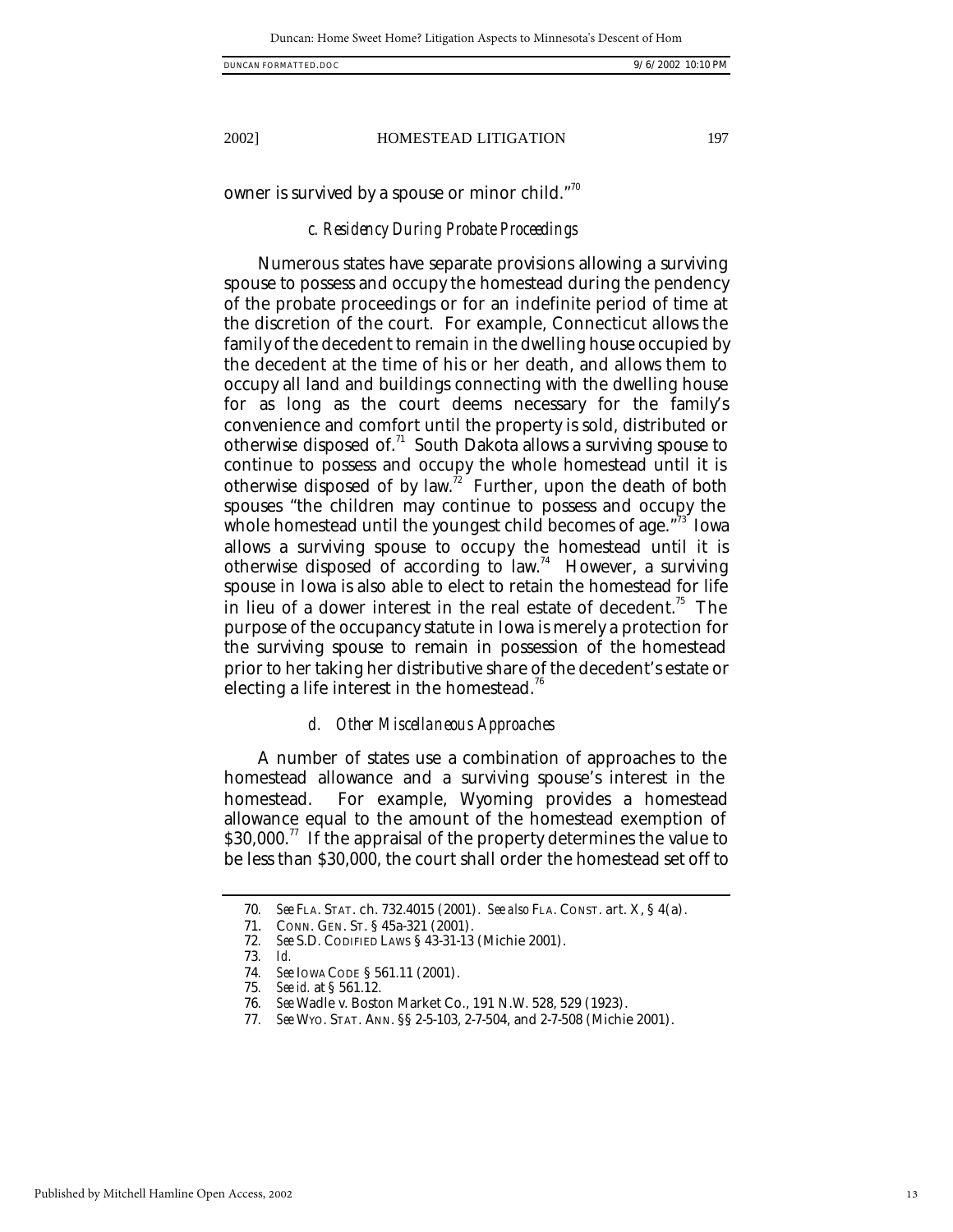owner is survived by a spouse or minor child. $\frac{1}{10}$ 

#### *c. Residency During Probate Proceedings*

Numerous states have separate provisions allowing a surviving spouse to possess and occupy the homestead during the pendency of the probate proceedings or for an indefinite period of time at the discretion of the court. For example, Connecticut allows the family of the decedent to remain in the dwelling house occupied by the decedent at the time of his or her death, and allows them to occupy all land and buildings connecting with the dwelling house for as long as the court deems necessary for the family's convenience and comfort until the property is sold, distributed or otherwise disposed of. $<sup>71</sup>$  South Dakota allows a surviving spouse to</sup> continue to possess and occupy the whole homestead until it is otherwise disposed of by law.<sup>72</sup> Further, upon the death of both spouses "the children may continue to possess and occupy the whole homestead until the youngest child becomes of age."<sup>3</sup> Iowa allows a surviving spouse to occupy the homestead until it is otherwise disposed of according to law.<sup>74</sup> However, a surviving spouse in Iowa is also able to elect to retain the homestead for life in lieu of a dower interest in the real estate of decedent.<sup>75</sup> The purpose of the occupancy statute in Iowa is merely a protection for the surviving spouse to remain in possession of the homestead prior to her taking her distributive share of the decedent's estate or electing a life interest in the homestead.<sup>76</sup>

#### *d. Other Miscellaneous Approaches*

A number of states use a combination of approaches to the homestead allowance and a surviving spouse's interest in the homestead. For example, Wyoming provides a homestead allowance equal to the amount of the homestead exemption of  $$30,000.<sup>77</sup>$  If the appraisal of the property determines the value to be less than \$30,000, the court shall order the homestead set off to

<sup>70</sup>*. See* FLA. STAT. ch. 732.4015 (2001). *See also* FLA. CONST. art. X, § 4(a).

<sup>71.</sup> CONN. GEN. ST. § 45a-321 (2001).

<sup>72</sup>*. See* S.D. CODIFIED LAWS § 43-31-13 (Michie 2001).

<sup>73</sup>*. Id.*

<sup>74</sup>*. See* IOWA CODE § 561.11 (2001).

<sup>75</sup>*. See id.* at § 561.12.

<sup>76</sup>*. See* Wadle v. Boston Market Co., 191 N.W. 528, 529 (1923).

<sup>77</sup>*. See* WYO. STAT. ANN. §§ 2-5-103, 2-7-504, and 2-7-508 (Michie 2001).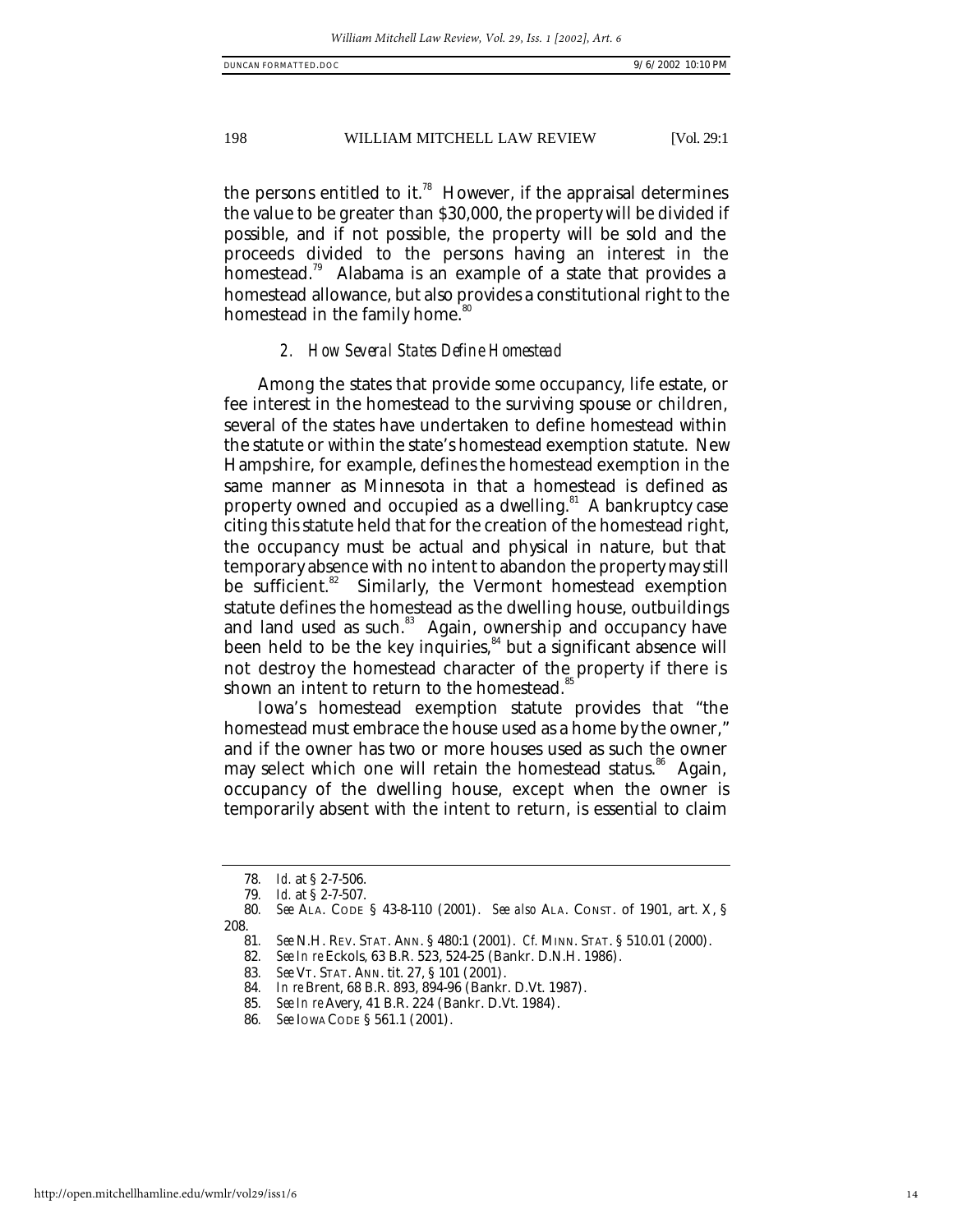the persons entitled to it.<sup>78</sup> However, if the appraisal determines the value to be greater than \$30,000, the property will be divided if possible, and if not possible, the property will be sold and the proceeds divided to the persons having an interest in the homestead.<sup>79</sup> Alabama is an example of a state that provides a homestead allowance, but also provides a constitutional right to the homestead in the family home.<sup>80</sup>

# *2. How Several States Define Homestead*

Among the states that provide some occupancy, life estate, or fee interest in the homestead to the surviving spouse or children, several of the states have undertaken to define homestead within the statute or within the state's homestead exemption statute. New Hampshire, for example, defines the homestead exemption in the same manner as Minnesota in that a homestead is defined as property owned and occupied as a dwelling.<sup>81</sup> A bankruptcy case citing this statute held that for the creation of the homestead right, the occupancy must be actual and physical in nature, but that temporary absence with no intent to abandon the property may still be sufficient.<sup>82</sup> Similarly, the Vermont homestead exemption statute defines the homestead as the dwelling house, outbuildings and land used as such.<sup>83</sup> Again, ownership and occupancy have been held to be the key inquiries, <sup>84</sup> but a significant absence will not destroy the homestead character of the property if there is shown an intent to return to the homestead.<sup>8</sup>

Iowa's homestead exemption statute provides that "the homestead must embrace the house used as a home by the owner," and if the owner has two or more houses used as such the owner may select which one will retain the homestead status.<sup>86</sup> Again, occupancy of the dwelling house, except when the owner is temporarily absent with the intent to return, is essential to claim

<sup>78</sup>*. Id.* at § 2-7-506.

*Id.* at § 2-7-507.

<sup>80</sup>*. See* ALA. CODE § 43-8-110 (2001). *See also* ALA. CONST. of 1901, art. X, § 208.

<sup>81</sup>*. See* N.H. REV. STAT. ANN. § 480:1 (2001). *Cf.* MINN. STAT. § 510.01 (2000).

<sup>82</sup>*. See In re* Eckols, 63 B.R. 523, 524-25 (Bankr. D.N.H. 1986).

<sup>83</sup>*. See* VT. STAT. ANN. tit. 27, § 101 (2001).

<sup>84</sup>*. In re* Brent, 68 B.R. 893, 894-96 (Bankr. D.Vt. 1987).

<sup>85</sup>*. See In re* Avery, 41 B.R. 224 (Bankr. D.Vt. 1984).

<sup>86</sup>*. See* IOWA CODE § 561.1 (2001).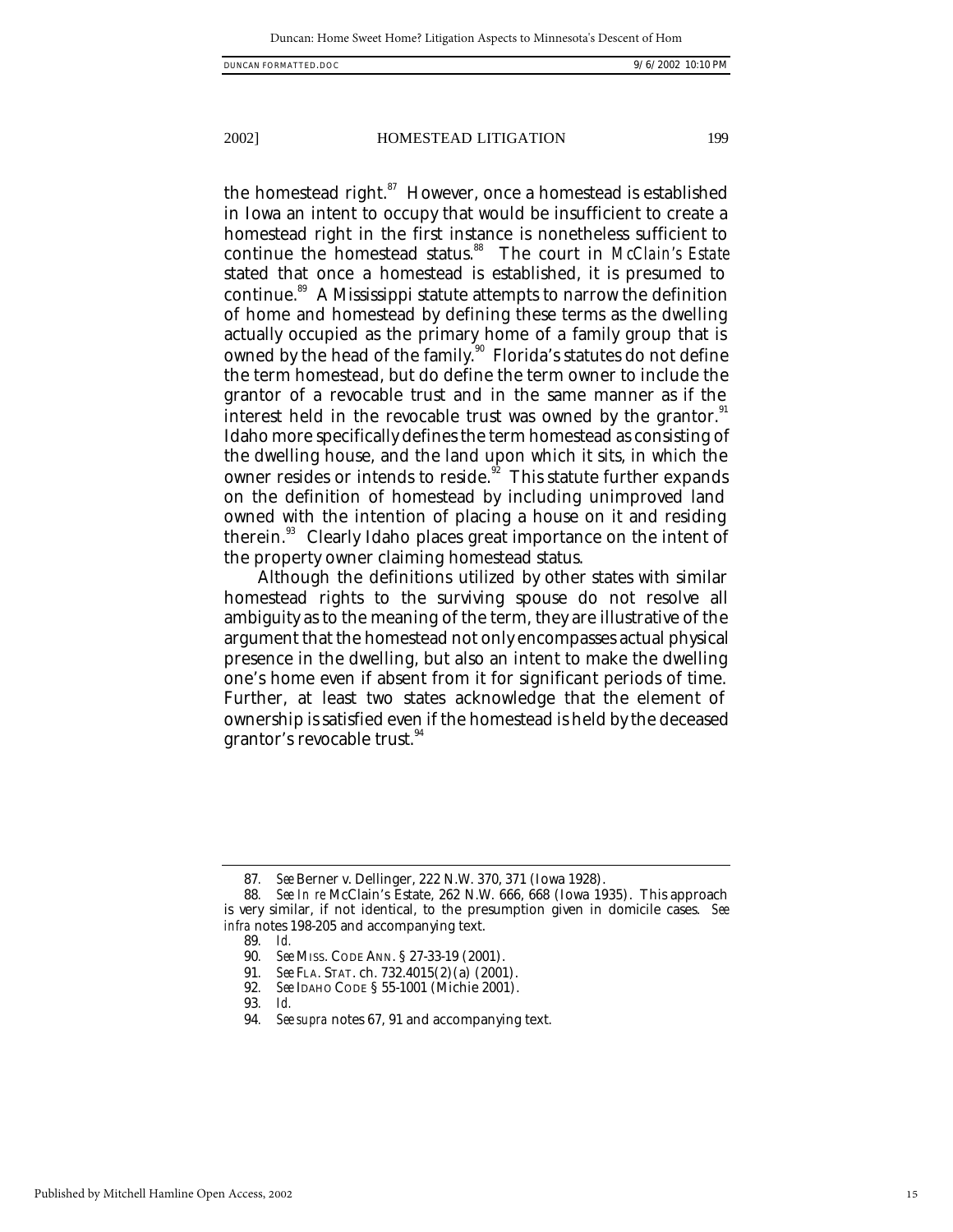the homestead right. $87$  However, once a homestead is established in Iowa an intent to occupy that would be insufficient to create a homestead right in the first instance is nonetheless sufficient to continue the homestead status.<sup>88</sup> The court in *McClain's Estate* stated that once a homestead is established, it is presumed to continue.<sup>89</sup> A Mississippi statute attempts to narrow the definition of home and homestead by defining these terms as the dwelling actually occupied as the primary home of a family group that is owned by the head of the family.<sup>90</sup> Florida's statutes do not define the term homestead, but do define the term owner to include the grantor of a revocable trust and in the same manner as if the interest held in the revocable trust was owned by the grantor. $91$ Idaho more specifically defines the term homestead as consisting of the dwelling house, and the land upon which it sits, in which the owner resides or intends to reside. $92$  This statute further expands on the definition of homestead by including unimproved land owned with the intention of placing a house on it and residing therein.<sup>93</sup> Clearly Idaho places great importance on the intent of the property owner claiming homestead status.

Although the definitions utilized by other states with similar homestead rights to the surviving spouse do not resolve all ambiguity as to the meaning of the term, they are illustrative of the argument that the homestead not only encompasses actual physical presence in the dwelling, but also an intent to make the dwelling one's home even if absent from it for significant periods of time. Further, at least two states acknowledge that the element of ownership is satisfied even if the homestead is held by the deceased grantor's revocable trust.<sup>94</sup>

89*. Id.*

- 91*. See* FLA. STAT. ch. 732.4015(2)(a) (2001).
- 92*. See* IDAHO CODE § 55-1001 (Michie 2001).

<sup>87</sup>*. See* Berner v. Dellinger, 222 N.W. 370, 371 (Iowa 1928).

<sup>88</sup>*. See In re* McClain's Estate, 262 N.W. 666, 668 (Iowa 1935). This approach is very similar, if not identical, to the presumption given in domicile cases. *See infra* notes 198-205 and accompanying text.

<sup>90</sup>*. See* MISS. CODE ANN. § 27-33-19 (2001).

<sup>93</sup>*. Id.*

<sup>94</sup>*. See supra* notes 67, 91 and accompanying text.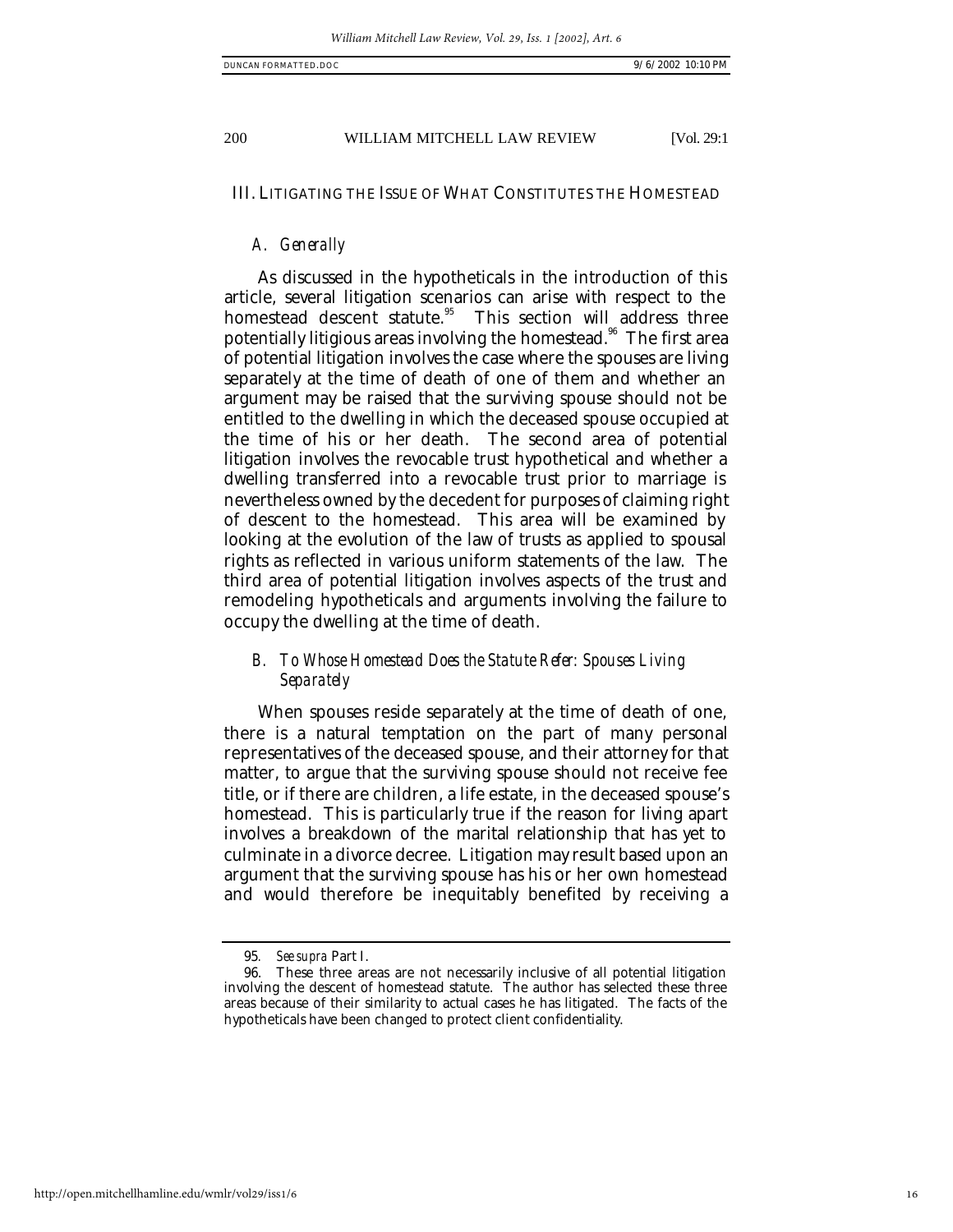# III. LITIGATING THE ISSUE OF WHAT CONSTITUTES THE HOMESTEAD

# *A. Generally*

As discussed in the hypotheticals in the introduction of this article, several litigation scenarios can arise with respect to the homestead descent statute.<sup>95</sup> This section will address three potentially litigious areas involving the homestead.<sup>96</sup> The first area of potential litigation involves the case where the spouses are living separately at the time of death of one of them and whether an argument may be raised that the surviving spouse should not be entitled to the dwelling in which the deceased spouse occupied at the time of his or her death. The second area of potential litigation involves the revocable trust hypothetical and whether a dwelling transferred into a revocable trust prior to marriage is nevertheless owned by the decedent for purposes of claiming right of descent to the homestead. This area will be examined by looking at the evolution of the law of trusts as applied to spousal rights as reflected in various uniform statements of the law. The third area of potential litigation involves aspects of the trust and remodeling hypotheticals and arguments involving the failure to occupy the dwelling at the time of death.

# *B. To Whose Homestead Does the Statute Refer: Spouses Living Separately*

When spouses reside separately at the time of death of one, there is a natural temptation on the part of many personal representatives of the deceased spouse, and their attorney for that matter, to argue that the surviving spouse should not receive fee title, or if there are children, a life estate, in the deceased spouse's homestead. This is particularly true if the reason for living apart involves a breakdown of the marital relationship that has yet to culminate in a divorce decree. Litigation may result based upon an argument that the surviving spouse has his or her own homestead and would therefore be inequitably benefited by receiving a

<sup>95</sup>*. See supra* Part I.

<sup>96.</sup> These three areas are not necessarily inclusive of all potential litigation involving the descent of homestead statute. The author has selected these three areas because of their similarity to actual cases he has litigated. The facts of the hypotheticals have been changed to protect client confidentiality.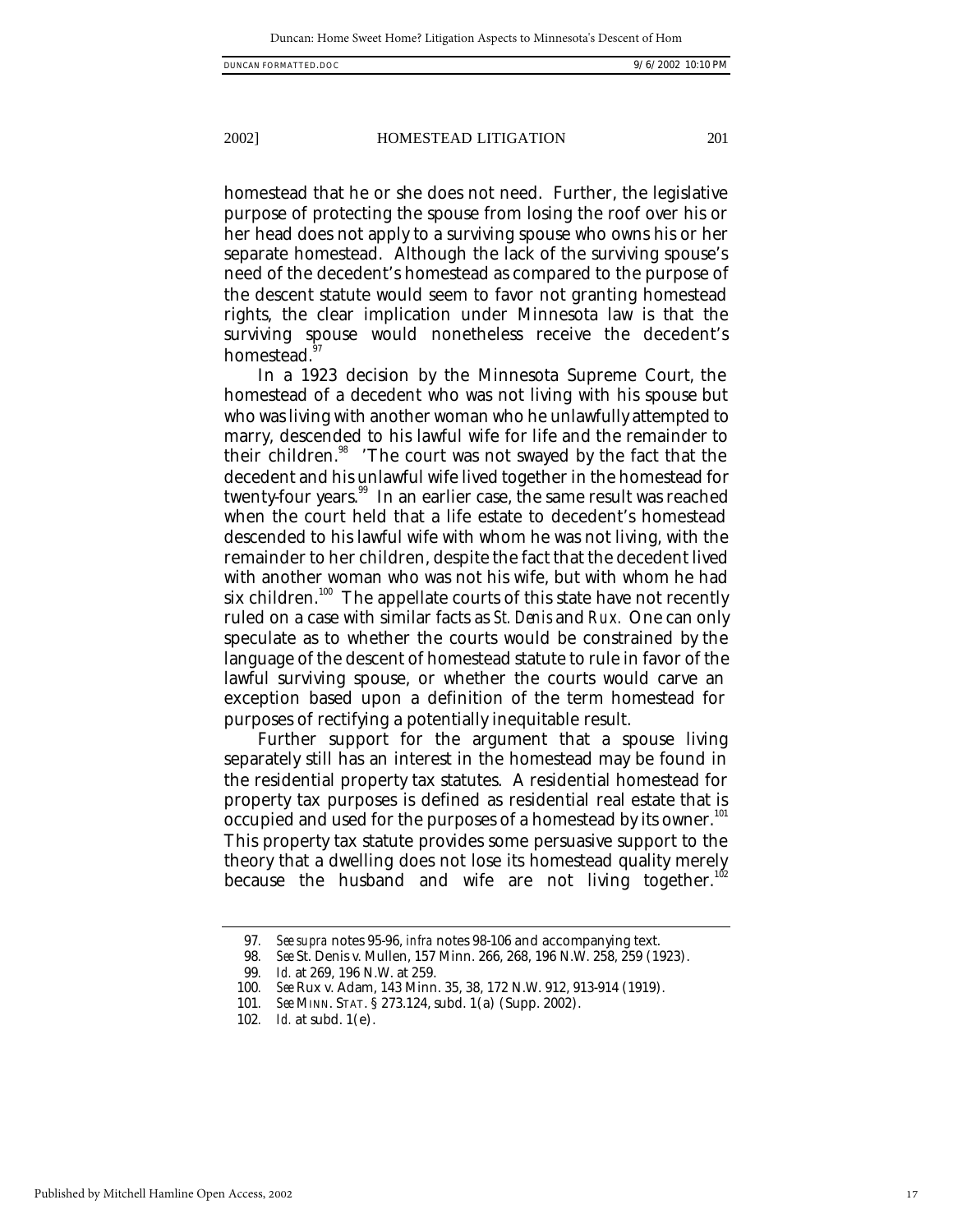homestead that he or she does not need. Further, the legislative purpose of protecting the spouse from losing the roof over his or her head does not apply to a surviving spouse who owns his or her separate homestead. Although the lack of the surviving spouse's need of the decedent's homestead as compared to the purpose of

the descent statute would seem to favor not granting homestead rights, the clear implication under Minnesota law is that the surviving spouse would nonetheless receive the decedent's homestead.<sup>9</sup>

In a 1923 decision by the Minnesota Supreme Court, the homestead of a decedent who was not living with his spouse but who was living with another woman who he unlawfully attempted to marry, descended to his lawful wife for life and the remainder to their children.<sup>98</sup> 'The court was not swayed by the fact that the decedent and his unlawful wife lived together in the homestead for twenty-four years. $^{\textrm{\tiny{99}}}$  In an earlier case, the same result was reached when the court held that a life estate to decedent's homestead descended to his lawful wife with whom he was not living, with the remainder to her children, despite the fact that the decedent lived with another woman who was not his wife, but with whom he had six children.<sup>100</sup> The appellate courts of this state have not recently ruled on a case with similar facts as *St. Denis* and *Rux.* One can only speculate as to whether the courts would be constrained by the language of the descent of homestead statute to rule in favor of the lawful surviving spouse, or whether the courts would carve an exception based upon a definition of the term homestead for purposes of rectifying a potentially inequitable result.

Further support for the argument that a spouse living separately still has an interest in the homestead may be found in the residential property tax statutes. A residential homestead for property tax purposes is defined as residential real estate that is  $\overline{\text{o}}$ ccupied and used for the purposes of a homestead by its owner.<sup>101</sup> This property tax statute provides some persuasive support to the theory that a dwelling does not lose its homestead quality merely because the husband and wife are not living together.<sup>11</sup>

<sup>97</sup>*. See supra* notes 95-96, *infra* notes 98-106 and accompanying text.

<sup>98</sup>*. See* St. Denis v. Mullen, 157 Minn. 266, 268, 196 N.W. 258, 259 (1923).

<sup>99</sup>*. Id.* at 269, 196 N.W. at 259.

<sup>100</sup>*. See* Rux v. Adam, 143 Minn. 35, 38, 172 N.W. 912, 913-914 (1919).

<sup>101</sup>*. See* MINN. STAT. § 273.124, subd. 1(a) (Supp. 2002).

<sup>102</sup>*. Id.* at subd. 1(e).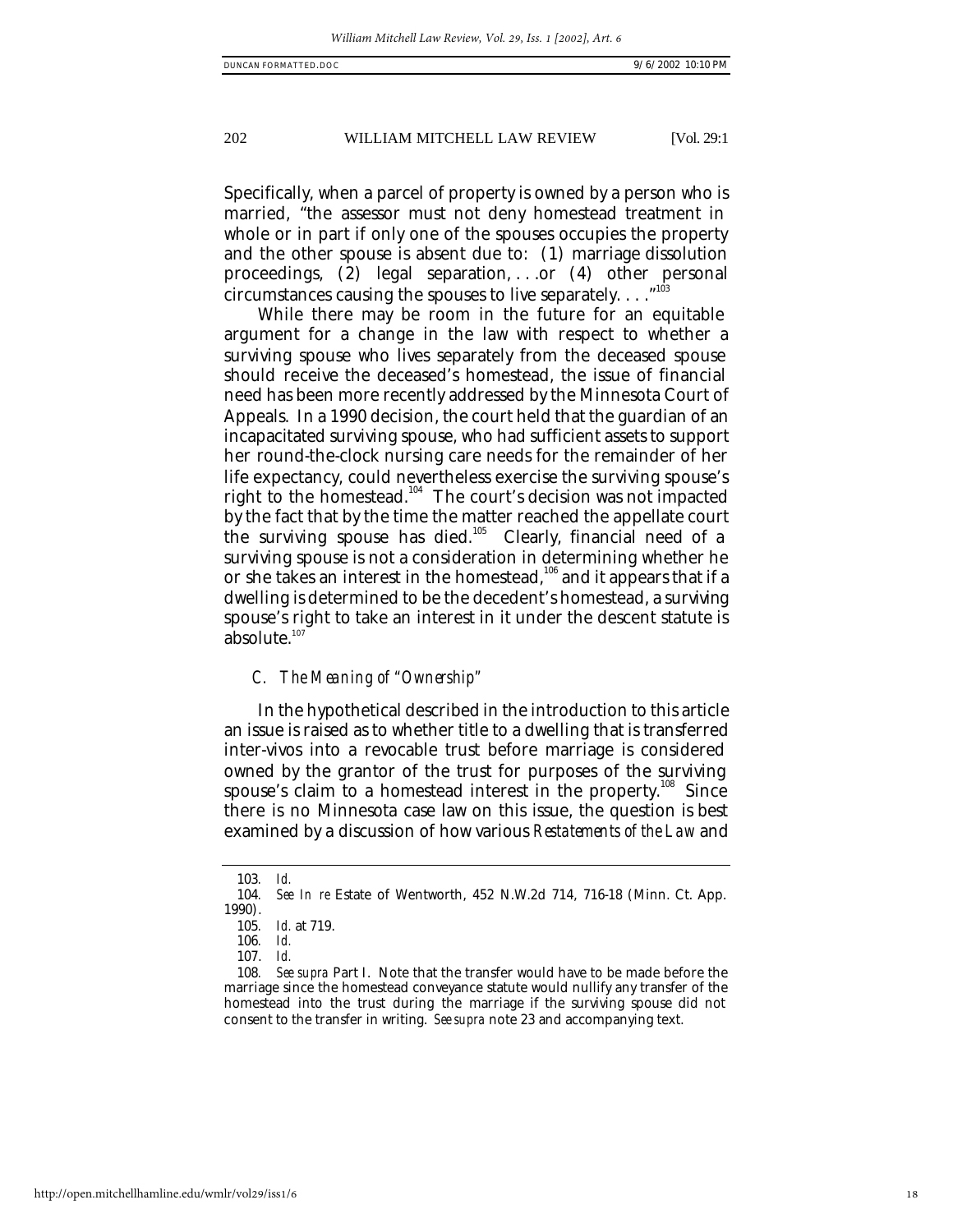Specifically, when a parcel of property is owned by a person who is married, "the assessor must not deny homestead treatment in whole or in part if only one of the spouses occupies the property and the other spouse is absent due to: (1) marriage dissolution proceedings, (2) legal separation, . . .or (4) other personal circumstances causing the spouses to live separately.  $\dots$ <sup>10</sup>

While there may be room in the future for an equitable argument for a change in the law with respect to whether a surviving spouse who lives separately from the deceased spouse should receive the deceased's homestead, the issue of financial need has been more recently addressed by the Minnesota Court of Appeals. In a 1990 decision, the court held that the guardian of an incapacitated surviving spouse, who had sufficient assets to support her round-the-clock nursing care needs for the remainder of her life expectancy, could nevertheless exercise the surviving spouse's right to the homestead.<sup>104</sup> The court's decision was not impacted by the fact that by the time the matter reached the appellate court the surviving spouse has died.<sup>105</sup> Clearly, financial need of a surviving spouse is not a consideration in determining whether he or she takes an interest in the homestead, $106$  and it appears that if a dwelling is determined to be the decedent's homestead, a surviving spouse's right to take an interest in it under the descent statute is absolute. $107$ 

# *C. The Meaning of "Ownership"*

In the hypothetical described in the introduction to this article an issue is raised as to whether title to a dwelling that is transferred inter-vivos into a revocable trust before marriage is considered owned by the grantor of the trust for purposes of the surviving spouse's claim to a homestead interest in the property.<sup>108</sup> Since there is no Minnesota case law on this issue, the question is best examined by a discussion of how various *Restatements of the Law* and

<sup>103</sup>*. Id.*

*See In re* Estate of Wentworth, 452 N.W.2d 714, 716-18 (Minn. Ct. App. 1990).

<sup>105</sup>*. Id.* at 719.

<sup>106</sup>*. Id.*

<sup>107.</sup> *Id.*

<sup>108</sup>*. See supra* Part I. Note that the transfer would have to be made before the marriage since the homestead conveyance statute would nullify any transfer of the homestead into the trust during the marriage if the surviving spouse did not consent to the transfer in writing. *See supra* note 23 and accompanying text.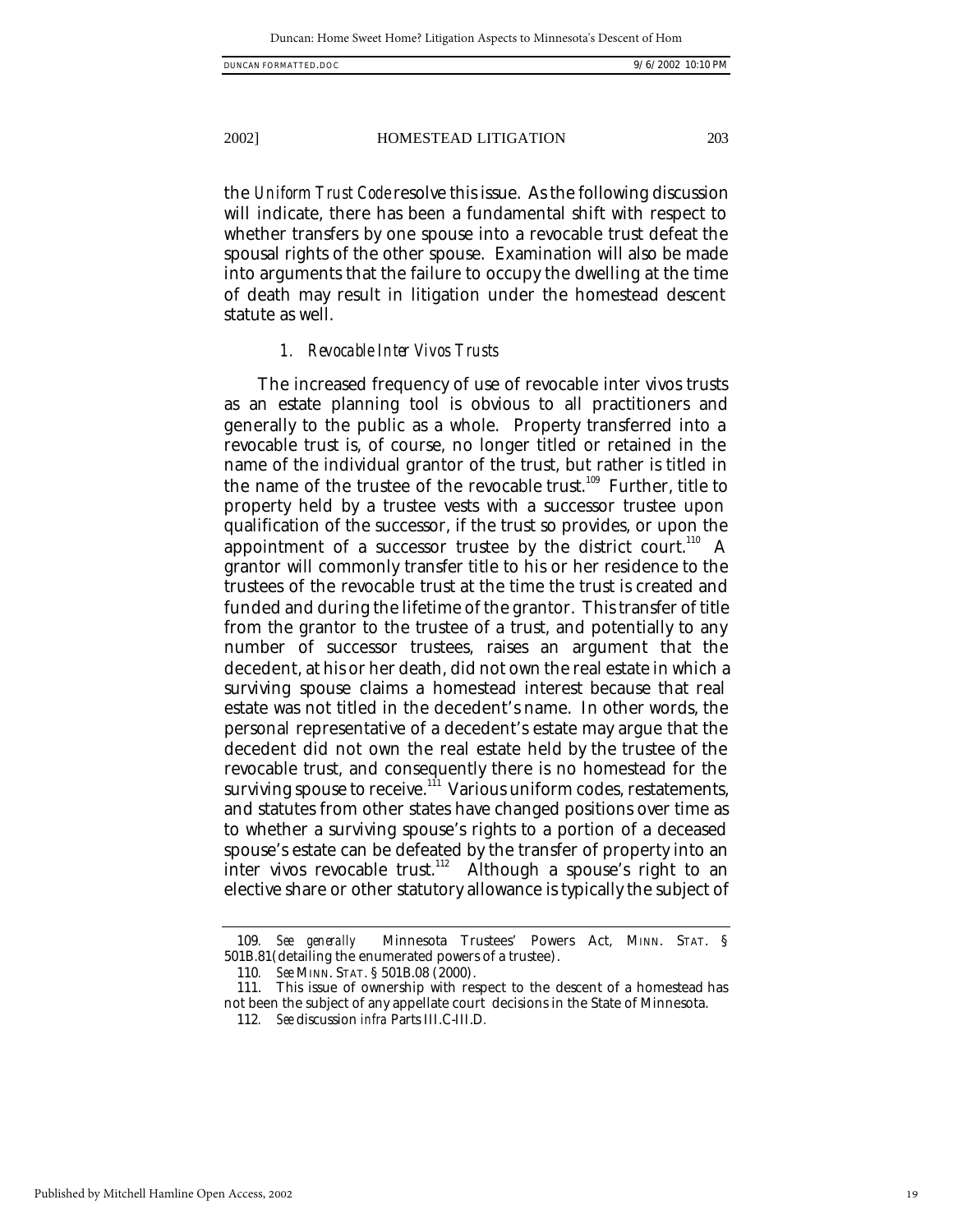the *Uniform Trust Code* resolve this issue. As the following discussion will indicate, there has been a fundamental shift with respect to whether transfers by one spouse into a revocable trust defeat the spousal rights of the other spouse. Examination will also be made into arguments that the failure to occupy the dwelling at the time of death may result in litigation under the homestead descent statute as well.

# *1. Revocable Inter Vivos Trusts*

The increased frequency of use of revocable inter vivos trusts as an estate planning tool is obvious to all practitioners and generally to the public as a whole. Property transferred into a revocable trust is, of course, no longer titled or retained in the name of the individual grantor of the trust, but rather is titled in the name of the trustee of the revocable trust.<sup>109</sup> Further, title to property held by a trustee vests with a successor trustee upon qualification of the successor, if the trust so provides, or upon the appointment of a successor trustee by the district court.<sup>110</sup> A grantor will commonly transfer title to his or her residence to the trustees of the revocable trust at the time the trust is created and funded and during the lifetime of the grantor. This transfer of title from the grantor to the trustee of a trust, and potentially to any number of successor trustees, raises an argument that the decedent, at his or her death, did not own the real estate in which a surviving spouse claims a homestead interest because that real estate was not titled in the decedent's name. In other words, the personal representative of a decedent's estate may argue that the decedent did not own the real estate held by the trustee of the revocable trust, and consequently there is no homestead for the surviving spouse to receive. $^{\rm 111}$  Various uniform codes, restatements, and statutes from other states have changed positions over time as to whether a surviving spouse's rights to a portion of a deceased spouse's estate can be defeated by the transfer of property into an inter vivos revocable trust.<sup>112</sup> Although a spouse's right to an elective share or other statutory allowance is typically the subject of

<sup>109</sup>*. See generally* Minnesota Trustees' Powers Act, MINN. STAT. § 501B.81(detailing the enumerated powers of a trustee).

<sup>110</sup>*. See* MINN. STAT. § 501B.08 (2000).

<sup>111.</sup> This issue of ownership with respect to the descent of a homestead has not been the subject of any appellate court decisions in the State of Minnesota.

<sup>112</sup>*. See* discussion *infra* Parts III.C-III.D*.*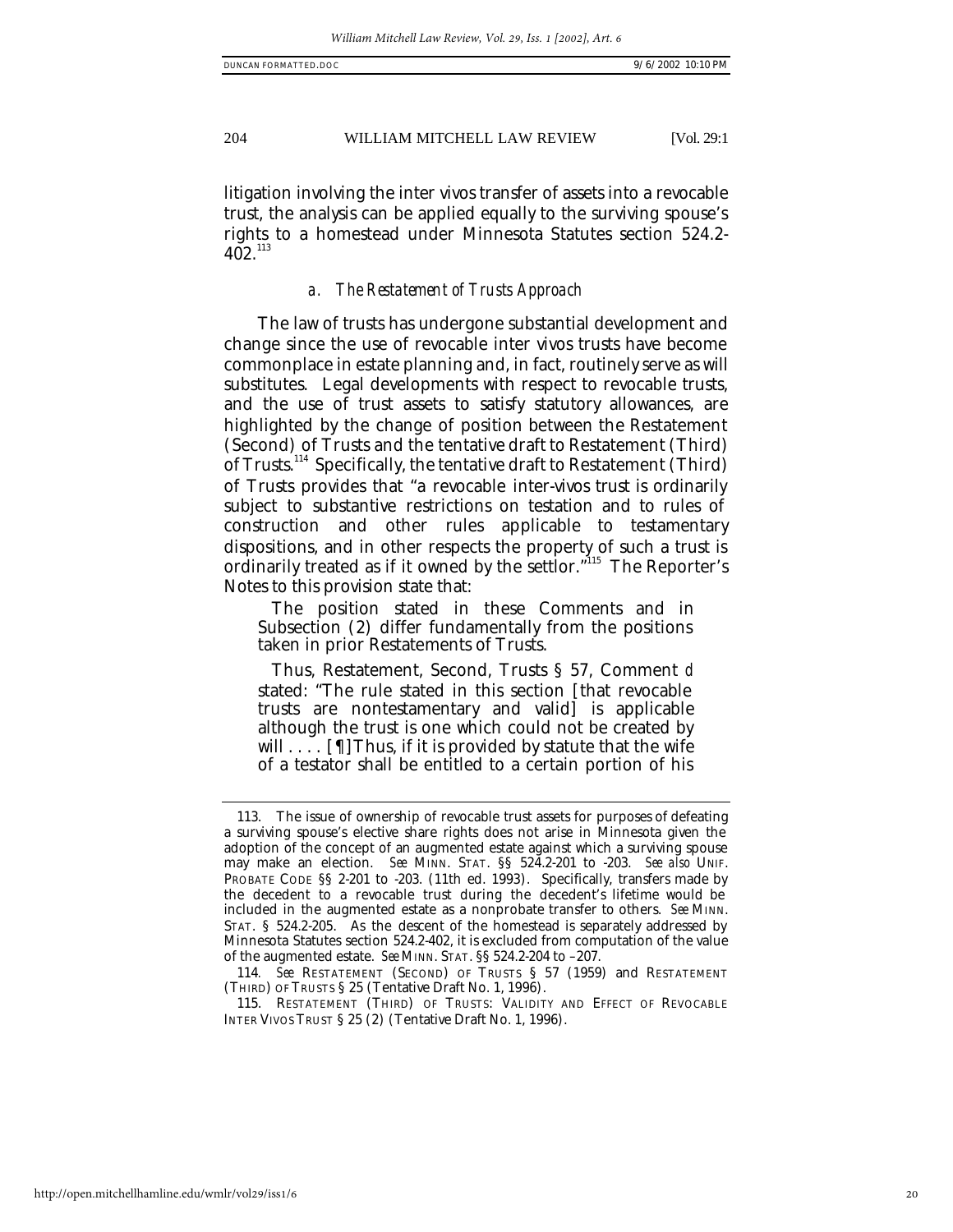litigation involving the inter vivos transfer of assets into a revocable trust, the analysis can be applied equally to the surviving spouse's rights to a homestead under Minnesota Statutes section 524.2-  $402^{113}$ 

# *a. The Restatement of Trusts Approach*

The law of trusts has undergone substantial development and change since the use of revocable inter vivos trusts have become commonplace in estate planning and, in fact, routinely serve as will substitutes. Legal developments with respect to revocable trusts, and the use of trust assets to satisfy statutory allowances, are highlighted by the change of position between the Restatement (Second) of Trusts and the tentative draft to Restatement (Third) of Trusts.<sup>114</sup> Specifically, the tentative draft to Restatement (Third) of Trusts provides that "a revocable inter-vivos trust is ordinarily subject to substantive restrictions on testation and to rules of construction and other rules applicable to testamentary dispositions, and in other respects the property of such a trust is ordinarily treated as if it owned by the settlor."<sup>115</sup> The Reporter's Notes to this provision state that:

The position stated in these Comments and in Subsection (2) differ fundamentally from the positions taken in prior Restatements of Trusts.

Thus, Restatement, Second, Trusts § 57, Comment *d* stated: "The rule stated in this section [that revocable trusts are nontestamentary and valid] is applicable although the trust is one which could not be created by will  $\dots$  [[[] Thus, if it is provided by statute that the wife of a testator shall be entitled to a certain portion of his

<sup>113.</sup> The issue of ownership of revocable trust assets for purposes of defeating a surviving spouse's elective share rights does not arise in Minnesota given the adoption of the concept of an augmented estate against which a surviving spouse may make an election. *See* MINN. STAT. §§ 524.2-201 to -203. *See also* UNIF. PROBATE CODE §§ 2-201 to -203. (11th ed. 1993). Specifically, transfers made by the decedent to a revocable trust during the decedent's lifetime would be included in the augmented estate as a nonprobate transfer to others. *See* MINN. STAT. § 524.2-205. As the descent of the homestead is separately addressed by Minnesota Statutes section 524.2-402, it is excluded from computation of the value of the augmented estate. *See* MINN. STAT. §§ 524.2-204 to –207.

<sup>114</sup>*. See* RESTATEMENT (SECOND) OF TRUSTS § 57 (1959) and RESTATEMENT (THIRD) OF TRUSTS § 25 (Tentative Draft No. 1, 1996).

<sup>115.</sup> RESTATEMENT (THIRD) OF TRUSTS: VALIDITY AND EFFECT OF REVOCABLE INTER VIVOS TRUST § 25 (2) (Tentative Draft No. 1, 1996).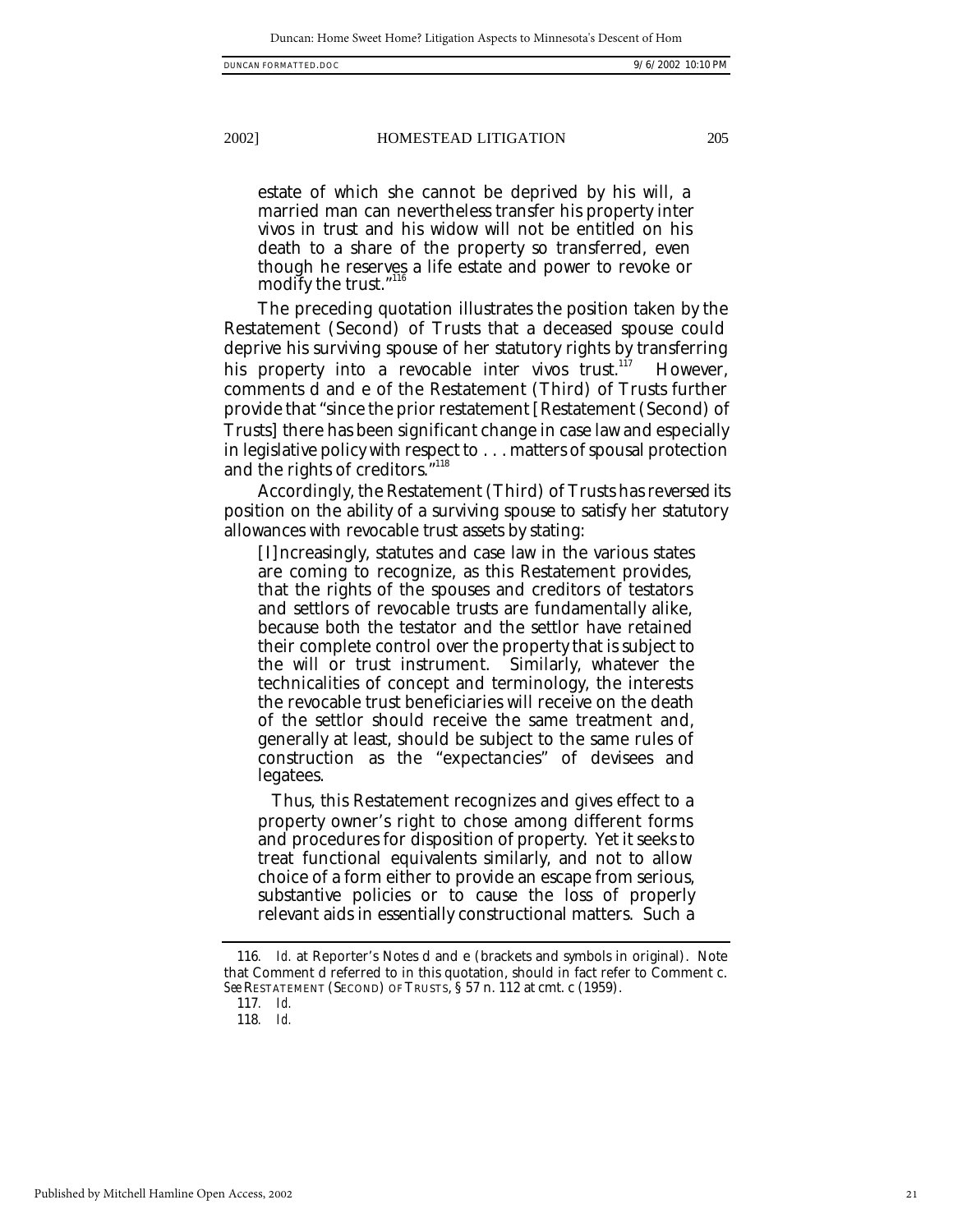estate of which she cannot be deprived by his will, a married man can nevertheless transfer his property inter vivos in trust and his widow will not be entitled on his death to a share of the property so transferred, even though he reserves a life estate and power to revoke or modify the trust."<sup>116</sup>

The preceding quotation illustrates the position taken by the Restatement (Second) of Trusts that a deceased spouse could deprive his surviving spouse of her statutory rights by transferring his property into a revocable inter vivos trust.<sup>117</sup> However, comments d and e of the Restatement (Third) of Trusts further provide that "since the prior restatement [Restatement (Second) of Trusts] there has been significant change in case law and especially in legislative policy with respect to . . . matters of spousal protection and the rights of creditors.<sup>7118</sup>

Accordingly, the Restatement (Third) of Trusts has reversed its position on the ability of a surviving spouse to satisfy her statutory allowances with revocable trust assets by stating:

[I]ncreasingly, statutes and case law in the various states are coming to recognize, as this Restatement provides, that the rights of the spouses and creditors of testators and settlors of revocable trusts are fundamentally alike, because both the testator and the settlor have retained their complete control over the property that is subject to the will or trust instrument. Similarly, whatever the technicalities of concept and terminology, the interests the revocable trust beneficiaries will receive on the death of the settlor should receive the same treatment and, generally at least, should be subject to the same rules of construction as the "expectancies" of devisees and legatees.

Thus, this Restatement recognizes and gives effect to a property owner's right to chose among different forms and procedures for disposition of property. Yet it seeks to treat functional equivalents similarly, and not to allow choice of a form either to provide an escape from serious, substantive policies or to cause the loss of properly relevant aids in essentially constructional matters. Such a

<sup>116</sup>*. Id.* at Reporter's Notes d and e (brackets and symbols in original). Note that Comment d referred to in this quotation, should in fact refer to Comment c. *See* RESTATEMENT (SECOND) OF TRUSTS, § 57 n. 112 at cmt. c (1959).

<sup>117</sup>*. Id.*

<sup>118</sup>*. Id.*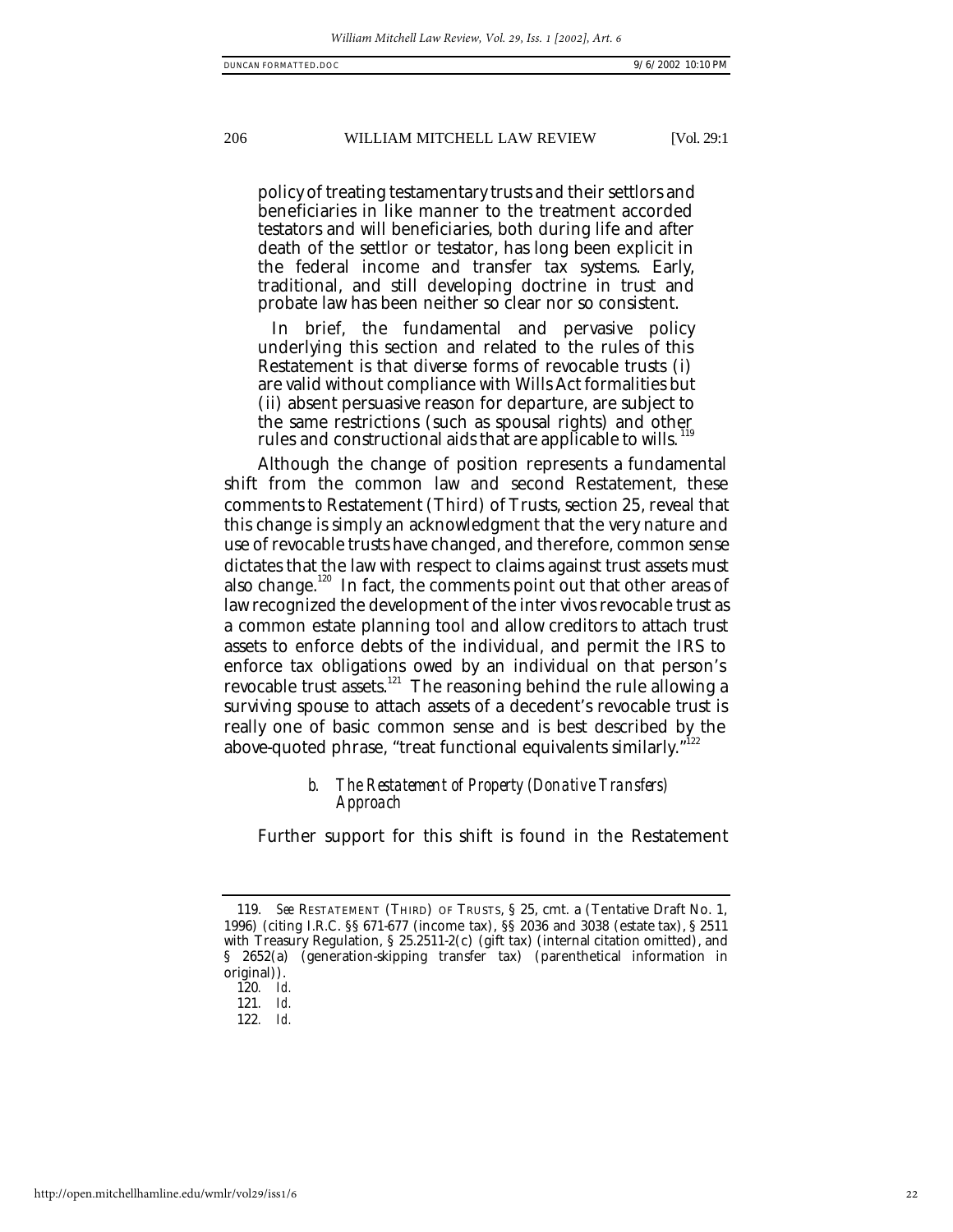policy of treating testamentary trusts and their settlors and beneficiaries in like manner to the treatment accorded testators and will beneficiaries, both during life and after death of the settlor or testator, has long been explicit in the federal income and transfer tax systems. Early, traditional, and still developing doctrine in trust and probate law has been neither so clear nor so consistent.

In brief, the fundamental and pervasive policy underlying this section and related to the rules of this Restatement is that diverse forms of revocable trusts (i) are valid without compliance with Wills Act formalities but (ii) absent persuasive reason for departure, are subject to the same restrictions (such as spousal rights) and other rules and constructional aids that are applicable to wills.

Although the change of position represents a fundamental shift from the common law and second Restatement, these comments to Restatement (Third) of Trusts, section 25, reveal that this change is simply an acknowledgment that the very nature and use of revocable trusts have changed, and therefore, common sense dictates that the law with respect to claims against trust assets must also change.<sup>120</sup> In fact, the comments point out that other areas of law recognized the development of the inter vivos revocable trust as a common estate planning tool and allow creditors to attach trust assets to enforce debts of the individual, and permit the IRS to enforce tax obligations owed by an individual on that person's revocable trust assets.<sup>121</sup> The reasoning behind the rule allowing a surviving spouse to attach assets of a decedent's revocable trust is really one of basic common sense and is best described by the above-quoted phrase, "treat functional equivalents similarly."<sup>122</sup>

# *b. The Restatement of Property (Donative Transfers) Approach*

Further support for this shift is found in the Restatement

<sup>119.</sup> *See* RESTATEMENT (THIRD) OF TRUSTS, § 25, cmt. a (Tentative Draft No. 1, 1996) (citing I.R.C. §§ 671-677 (income tax), §§ 2036 and 3038 (estate tax), § 2511 with Treasury Regulation, § 25.2511-2(c) (gift tax) (internal citation omitted), and § 2652(a) (generation-skipping transfer tax) (parenthetical information in original)).

<sup>120</sup>*. Id.*

<sup>121</sup>*. Id.*

<sup>122</sup>*. Id.*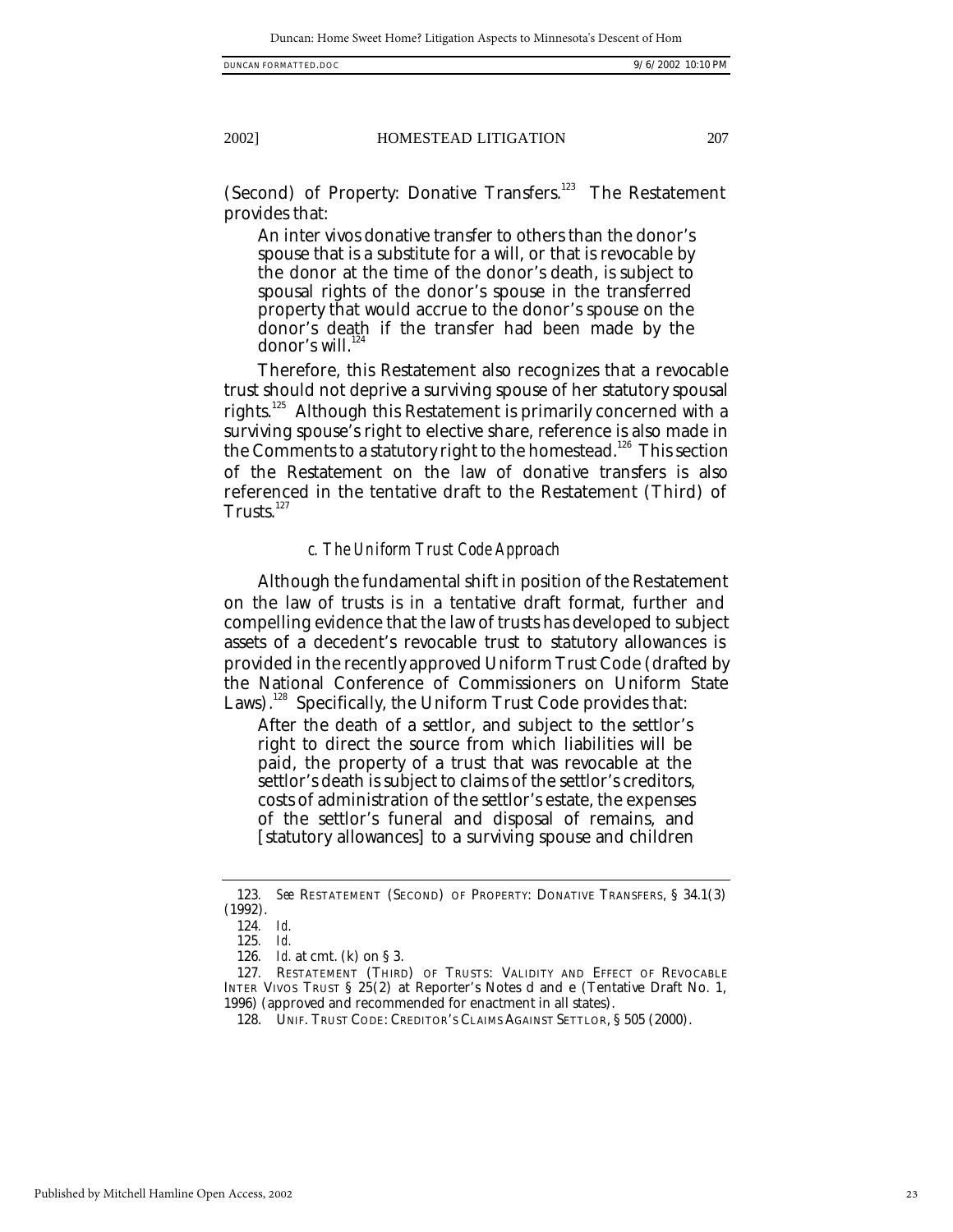(Second) of Property: Donative Transfers.<sup>123</sup> The Restatement provides that:

An inter vivos donative transfer to others than the donor's spouse that is a substitute for a will, or that is revocable by the donor at the time of the donor's death, is subject to spousal rights of the donor's spouse in the transferred property that would accrue to the donor's spouse on the donor's death if the transfer had been made by the donor's will.<sup>1</sup>

Therefore, this Restatement also recognizes that a revocable trust should not deprive a surviving spouse of her statutory spousal rights.<sup>125</sup> Although this Restatement is primarily concerned with a surviving spouse's right to elective share, reference is also made in the Comments to a statutory right to the homestead.<sup>126</sup> This section of the Restatement on the law of donative transfers is also referenced in the tentative draft to the Restatement (Third) of Trusts. $127$ 

#### *c. The Uniform Trust Code Approach*

Although the fundamental shift in position of the Restatement on the law of trusts is in a tentative draft format, further and compelling evidence that the law of trusts has developed to subject assets of a decedent's revocable trust to statutory allowances is provided in the recently approved Uniform Trust Code (drafted by the National Conference of Commissioners on Uniform State Laws).<sup>128</sup> Specifically, the Uniform Trust Code provides that:

After the death of a settlor, and subject to the settlor's right to direct the source from which liabilities will be paid, the property of a trust that was revocable at the settlor's death is subject to claims of the settlor's creditors, costs of administration of the settlor's estate, the expenses of the settlor's funeral and disposal of remains, and [statutory allowances] to a surviving spouse and children

<sup>123</sup>*. See* RESTATEMENT (SECOND) OF PROPERTY: DONATIVE TRANSFERS, § 34.1(3) (1992).

<sup>124</sup>*. Id.*

<sup>125</sup>*. Id.*

<sup>126</sup>*. Id.* at cmt. (k) on § 3.

<sup>127</sup>*.* RESTATEMENT (THIRD) OF TRUSTS: VALIDITY AND EFFECT OF REVOCABLE INTER VIVOS TRUST § 25(2) at Reporter's Notes d and e (Tentative Draft No. 1, 1996) (approved and recommended for enactment in all states).

<sup>128.</sup> UNIF. TRUST CODE: CREDITOR'S CLAIMS AGAINST SETTLOR, § 505 (2000).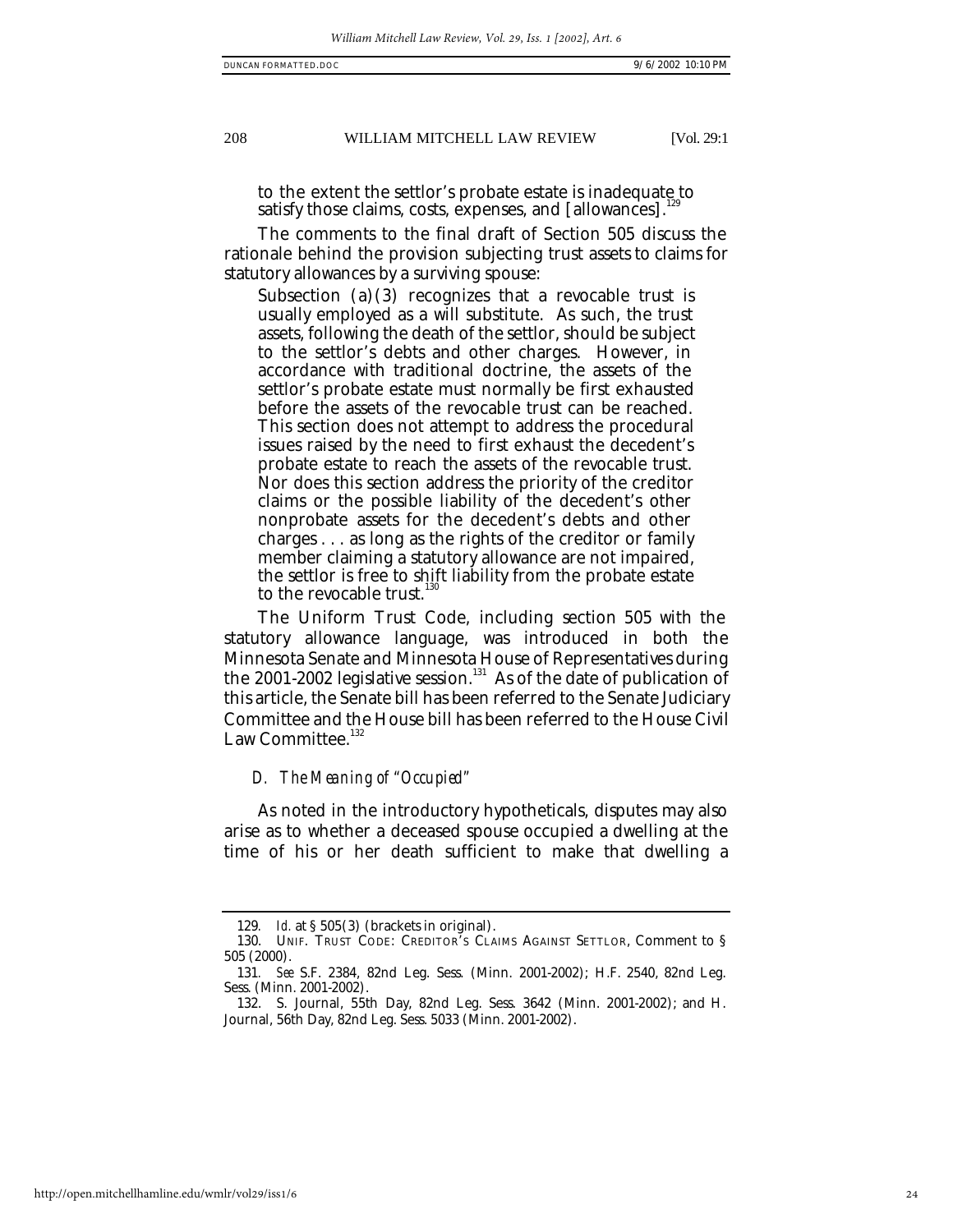to the extent the settlor's probate estate is inadequate to satisfy those claims, costs, expenses, and [allowances].<sup>1</sup>

The comments to the final draft of Section 505 discuss the rationale behind the provision subjecting trust assets to claims for statutory allowances by a surviving spouse:

Subsection  $(a)(3)$  recognizes that a revocable trust is usually employed as a will substitute. As such, the trust assets, following the death of the settlor, should be subject to the settlor's debts and other charges. However, in accordance with traditional doctrine, the assets of the settlor's probate estate must normally be first exhausted before the assets of the revocable trust can be reached. This section does not attempt to address the procedural issues raised by the need to first exhaust the decedent's probate estate to reach the assets of the revocable trust. Nor does this section address the priority of the creditor claims or the possible liability of the decedent's other nonprobate assets for the decedent's debts and other charges . . . as long as the rights of the creditor or family member claiming a statutory allowance are not impaired, the settlor is free to shift liability from the probate estate to the revocable trust.<sup>1</sup>

The Uniform Trust Code, including section 505 with the statutory allowance language, was introduced in both the Minnesota Senate and Minnesota House of Representatives during the 2001-2002 legislative session.<sup>131</sup> As of the date of publication of this article, the Senate bill has been referred to the Senate Judiciary Committee and the House bill has been referred to the House Civil Law Committee.<sup>132</sup>

# *D. The Meaning of "Occupied"*

As noted in the introductory hypotheticals, disputes may also arise as to whether a deceased spouse occupied a dwelling at the time of his or her death sufficient to make that dwelling a

<sup>129</sup>*. Id.* at § 505(3) (brackets in original).

<sup>130.</sup> UNIF. TRUST CODE: CREDITOR'S CLAIMS AGAINST SETTLOR, Comment to § 505 (2000).

<sup>131</sup>*. See* S.F. 2384, 82nd Leg. Sess. (Minn. 2001-2002); H.F. 2540, 82nd Leg. Sess. (Minn. 2001-2002).

<sup>132.</sup> S. Journal, 55th Day, 82nd Leg. Sess. 3642 (Minn. 2001-2002); and H. Journal, 56th Day, 82nd Leg. Sess. 5033 (Minn. 2001-2002).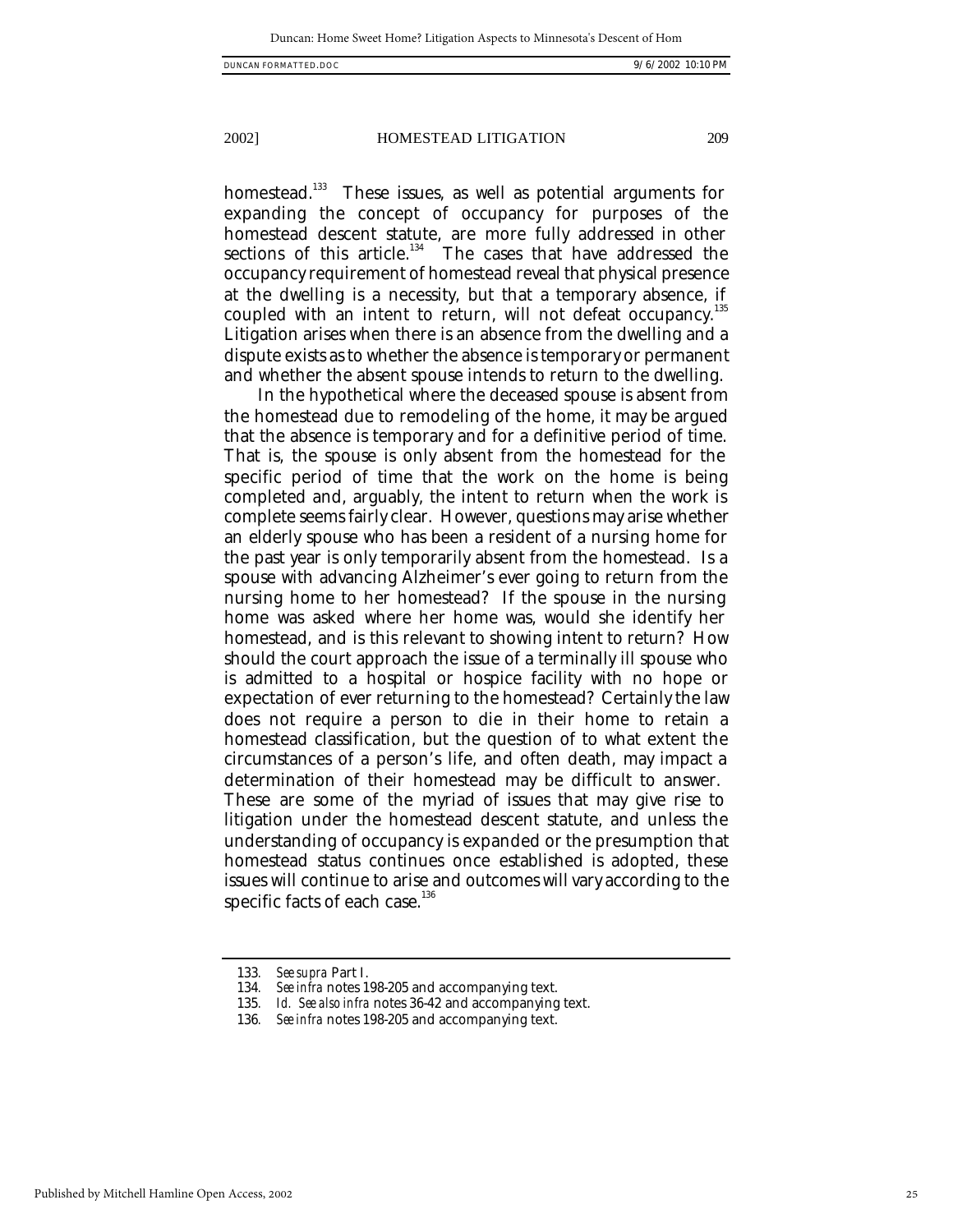homestead.<sup>133</sup> These issues, as well as potential arguments for expanding the concept of occupancy for purposes of the homestead descent statute, are more fully addressed in other sections of this article.<sup>134</sup> The cases that have addressed the occupancy requirement of homestead reveal that physical presence at the dwelling is a necessity, but that a temporary absence, if coupled with an intent to return, will not defeat occupancy. 135 Litigation arises when there is an absence from the dwelling and a dispute exists as to whether the absence is temporary or permanent and whether the absent spouse intends to return to the dwelling.

In the hypothetical where the deceased spouse is absent from the homestead due to remodeling of the home, it may be argued that the absence is temporary and for a definitive period of time. That is, the spouse is only absent from the homestead for the specific period of time that the work on the home is being completed and, arguably, the intent to return when the work is complete seems fairly clear. However, questions may arise whether an elderly spouse who has been a resident of a nursing home for the past year is only temporarily absent from the homestead. Is a spouse with advancing Alzheimer's ever going to return from the nursing home to her homestead? If the spouse in the nursing home was asked where her home was, would she identify her homestead, and is this relevant to showing intent to return? How should the court approach the issue of a terminally ill spouse who is admitted to a hospital or hospice facility with no hope or expectation of ever returning to the homestead? Certainly the law does not require a person to die in their home to retain a homestead classification, but the question of to what extent the circumstances of a person's life, and often death, may impact a determination of their homestead may be difficult to answer. These are some of the myriad of issues that may give rise to litigation under the homestead descent statute, and unless the understanding of occupancy is expanded or the presumption that homestead status continues once established is adopted, these issues will continue to arise and outcomes will vary according to the specific facts of each case. $136$ 

<sup>133</sup>*. See supra* Part I.

<sup>134</sup>*. See infra* notes 198-205 and accompanying text.

<sup>135</sup>*. Id. See also infra* notes 36-42 and accompanying text.

<sup>136</sup>*. See infra* notes 198-205 and accompanying text.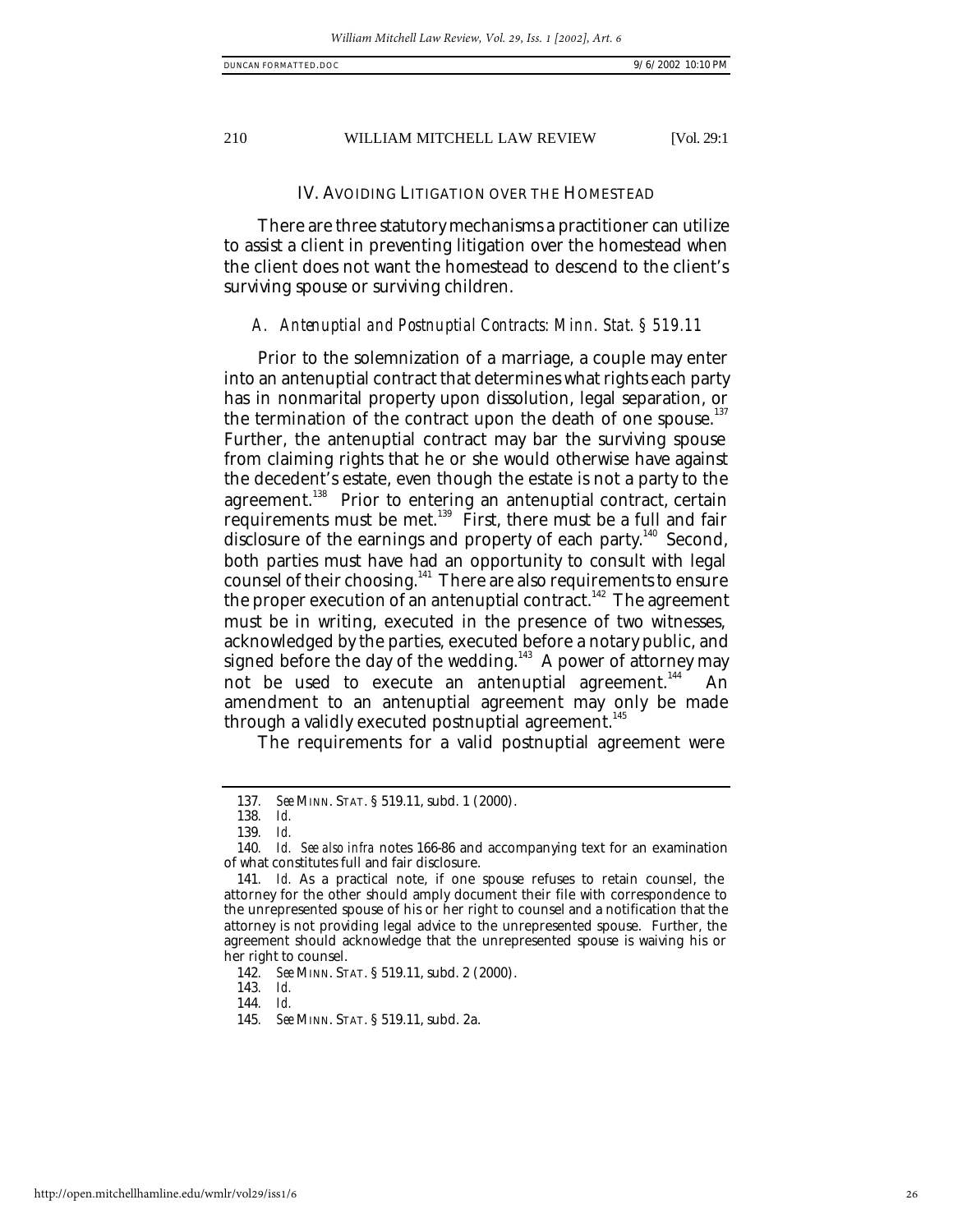#### IV. AVOIDING LITIGATION OVER THE HOMESTEAD

There are three statutory mechanisms a practitioner can utilize to assist a client in preventing litigation over the homestead when the client does not want the homestead to descend to the client's surviving spouse or surviving children.

#### *A. Antenuptial and Postnuptial Contracts: Minn. Stat. § 519.11*

Prior to the solemnization of a marriage, a couple may enter into an antenuptial contract that determines what rights each party has in nonmarital property upon dissolution, legal separation, or the termination of the contract upon the death of one spouse. $137$ Further, the antenuptial contract may bar the surviving spouse from claiming rights that he or she would otherwise have against the decedent's estate, even though the estate is not a party to the agreement.<sup>138</sup> Prior to entering an antenuptial contract, certain requirements must be met.<sup>139</sup> First, there must be a full and fair disclosure of the earnings and property of each party.<sup>140</sup> Second, both parties must have had an opportunity to consult with legal counsel of their choosing.<sup>141</sup> There are also requirements to ensure the proper execution of an antenuptial contract.<sup>142</sup> The agreement must be in writing, executed in the presence of two witnesses, acknowledged by the parties, executed before a notary public, and signed before the day of the wedding.<sup>143</sup> A power of attorney may not be used to execute an antenuptial agreement.<sup>144</sup> An amendment to an antenuptial agreement may only be made through a validly executed postnuptial agreement.<sup>145</sup>

The requirements for a valid postnuptial agreement were

143*. Id.*

144*. Id.*

<sup>137</sup>*. See* MINN. STAT. § 519.11, subd. 1 (2000).

<sup>138</sup>*. Id.*

<sup>139</sup>*. Id.*

<sup>140</sup>*. Id. See also infra* notes 166-86 and accompanying text for an examination of what constitutes full and fair disclosure.

<sup>141</sup>*. Id.* As a practical note, if one spouse refuses to retain counsel, the attorney for the other should amply document their file with correspondence to the unrepresented spouse of his or her right to counsel and a notification that the attorney is not providing legal advice to the unrepresented spouse. Further, the agreement should acknowledge that the unrepresented spouse is waiving his or her right to counsel.

<sup>142</sup>*. See* MINN. STAT. § 519.11, subd. 2 (2000).

<sup>145</sup>*. See* MINN. STAT. § 519.11, subd. 2a.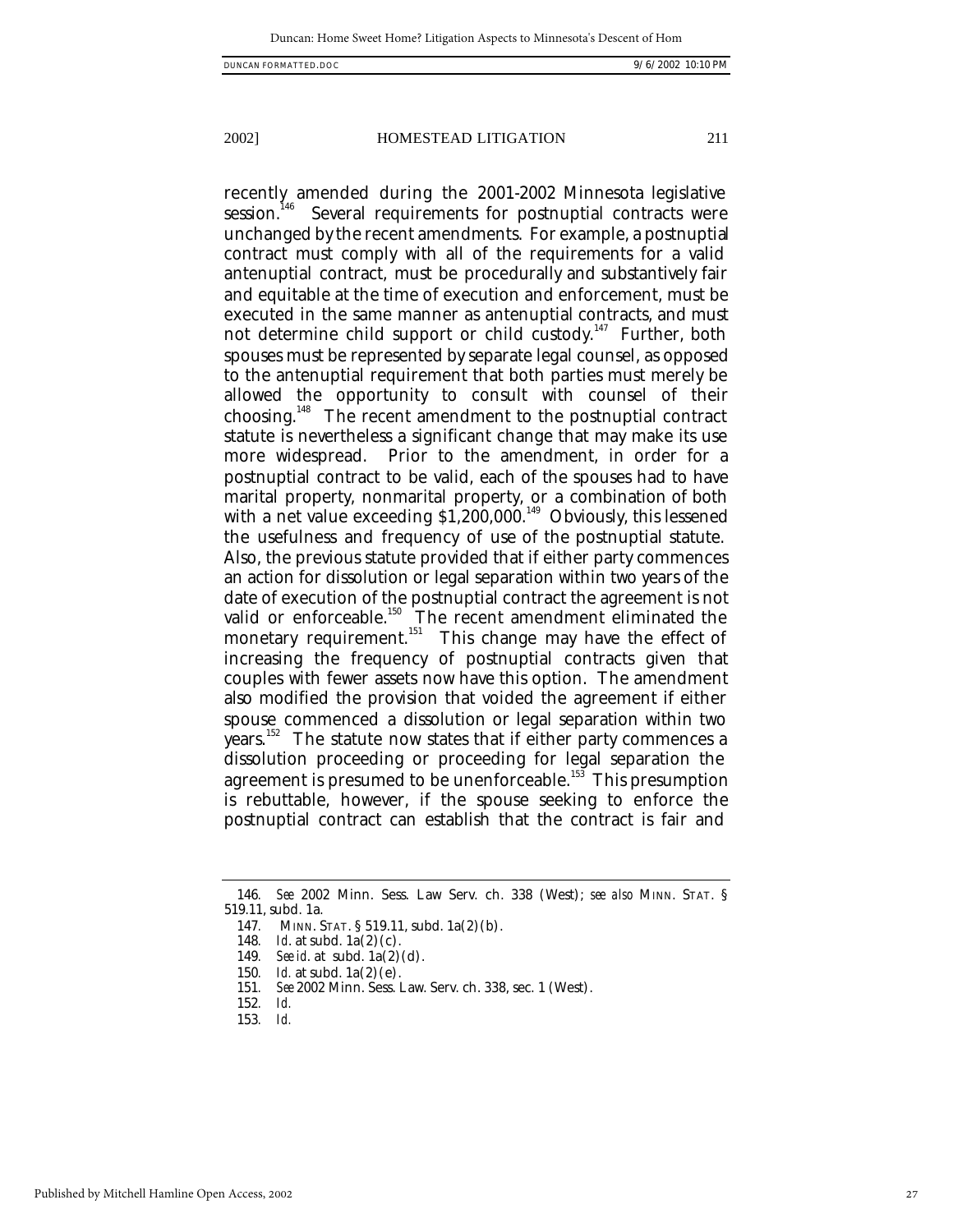recently amended during the 2001-2002 Minnesota legislative session.<sup>146</sup> Several requirements for postnuptial contracts were unchanged by the recent amendments. For example, a postnuptial contract must comply with all of the requirements for a valid antenuptial contract, must be procedurally and substantively fair and equitable at the time of execution and enforcement, must be executed in the same manner as antenuptial contracts, and must not determine child support or child custody.<sup>147</sup> Further, both spouses must be represented by separate legal counsel, as opposed to the antenuptial requirement that both parties must merely be allowed the opportunity to consult with counsel of their choosing.<sup>148</sup> The recent amendment to the postnuptial contract statute is nevertheless a significant change that may make its use more widespread. Prior to the amendment, in order for a postnuptial contract to be valid, each of the spouses had to have marital property, nonmarital property, or a combination of both with a net value exceeding \$1,200,000.<sup>149</sup> Obviously, this lessened the usefulness and frequency of use of the postnuptial statute. Also, the previous statute provided that if either party commences an action for dissolution or legal separation within two years of the date of execution of the postnuptial contract the agreement is not valid or enforceable.<sup>150</sup> The recent amendment eliminated the monetary requirement.<sup>151</sup> This change may have the effect of increasing the frequency of postnuptial contracts given that couples with fewer assets now have this option. The amendment also modified the provision that voided the agreement if either spouse commenced a dissolution or legal separation within two years.<sup>152</sup> The statute now states that if either party commences a dissolution proceeding or proceeding for legal separation the agreement is presumed to be unenforceable.<sup>153</sup> This presumption is rebuttable, however, if the spouse seeking to enforce the postnuptial contract can establish that the contract is fair and

<sup>146</sup>*. See* 2002 Minn. Sess. Law Serv. ch. 338 (West); *see also* MINN. STAT. § 519.11, subd. 1a.

<sup>147</sup>*.* MINN. STAT. § 519.11, subd. 1a(2)(b).

<sup>148</sup>*. Id*. at subd. 1a(2)(c).

<sup>149</sup>*. See id*. at subd. 1a(2)(d).

<sup>150</sup>*. Id.* at subd. 1a(2)(e).

<sup>151</sup>*. See* 2002 Minn. Sess. Law. Serv. ch. 338, sec. 1 (West).

<sup>152</sup>*. Id.*

<sup>153</sup>*. Id.*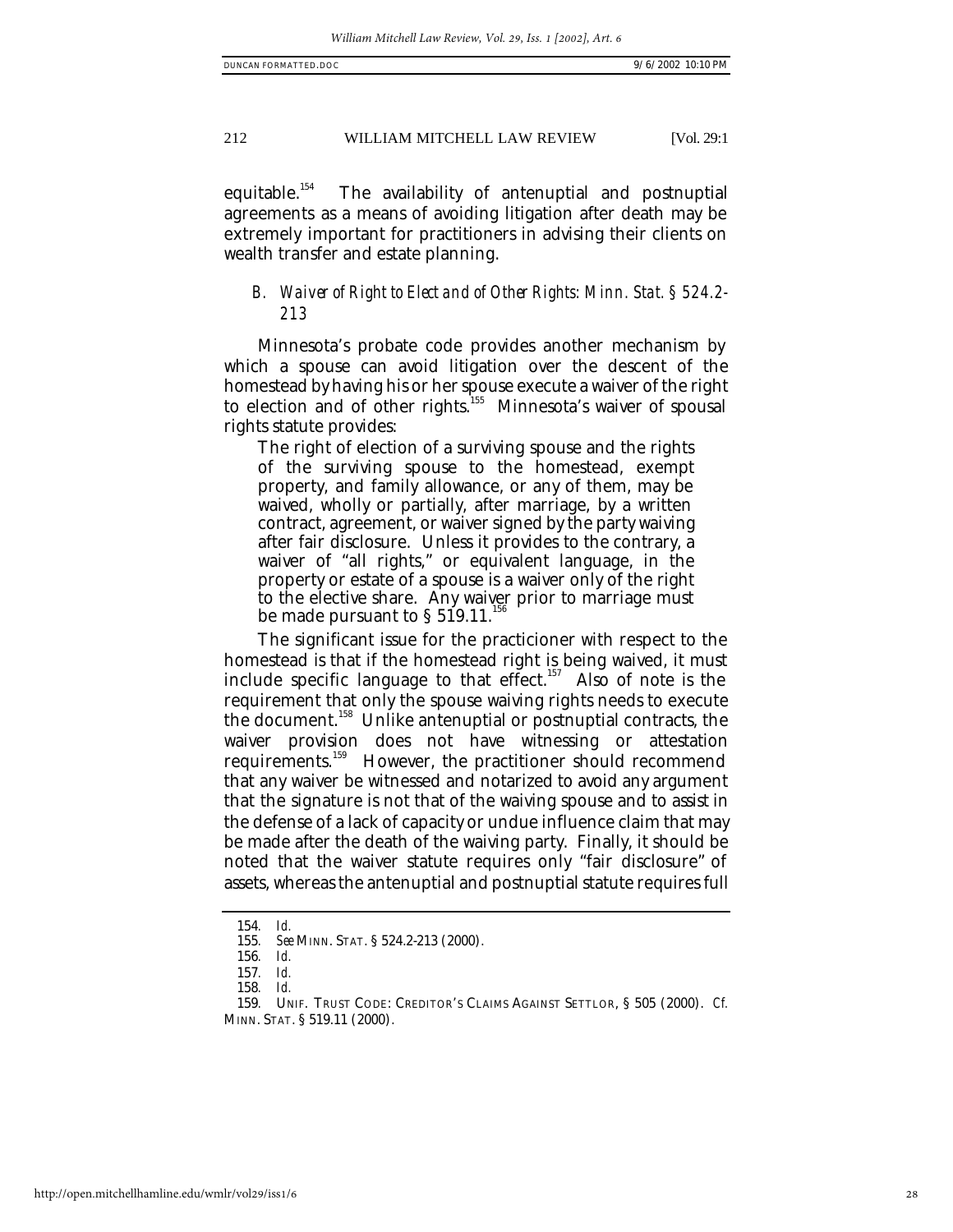equitable.<sup>154</sup> The availability of antenuptial and postnuptial agreements as a means of avoiding litigation after death may be extremely important for practitioners in advising their clients on wealth transfer and estate planning.

# *B. Waiver of Right to Elect and of Other Rights: Minn. Stat. § 524.2- 213*

Minnesota's probate code provides another mechanism by which a spouse can avoid litigation over the descent of the homestead by having his or her spouse execute a waiver of the right to election and of other rights.<sup>155</sup> Minnesota's waiver of spousal rights statute provides:

The right of election of a surviving spouse and the rights of the surviving spouse to the homestead, exempt property, and family allowance, or any of them, may be waived, wholly or partially, after marriage, by a written contract, agreement, or waiver signed by the party waiving after fair disclosure. Unless it provides to the contrary, a waiver of "all rights," or equivalent language, in the property or estate of a spouse is a waiver only of the right to the elective share. Any waiver prior to marriage must be made pursuant to  $\S 519.11$ .

The significant issue for the practicioner with respect to the homestead is that if the homestead right is being waived, it must include specific language to that effect.<sup>157</sup> Also of note is the requirement that only the spouse waiving rights needs to execute the document.<sup>158</sup> Unlike antenuptial or postnuptial contracts, the waiver provision does not have witnessing or attestation requirements.<sup>159</sup> However, the practitioner should recommend that any waiver be witnessed and notarized to avoid any argument that the signature is not that of the waiving spouse and to assist in the defense of a lack of capacity or undue influence claim that may be made after the death of the waiving party. Finally, it should be noted that the waiver statute requires only "fair disclosure" of assets, whereas the antenuptial and postnuptial statute requires full

<sup>154</sup>*. Id.*

<sup>155</sup>*. See* MINN. STAT. § 524.2-213 (2000).

<sup>156</sup>*. Id.*

<sup>157</sup>*. Id.*

<sup>158</sup>*. Id.*

<sup>159</sup>*.* UNIF. TRUST CODE: CREDITOR'S CLAIMS AGAINST SETTLOR, § 505 (2000). *Cf.* MINN. STAT. § 519.11 (2000).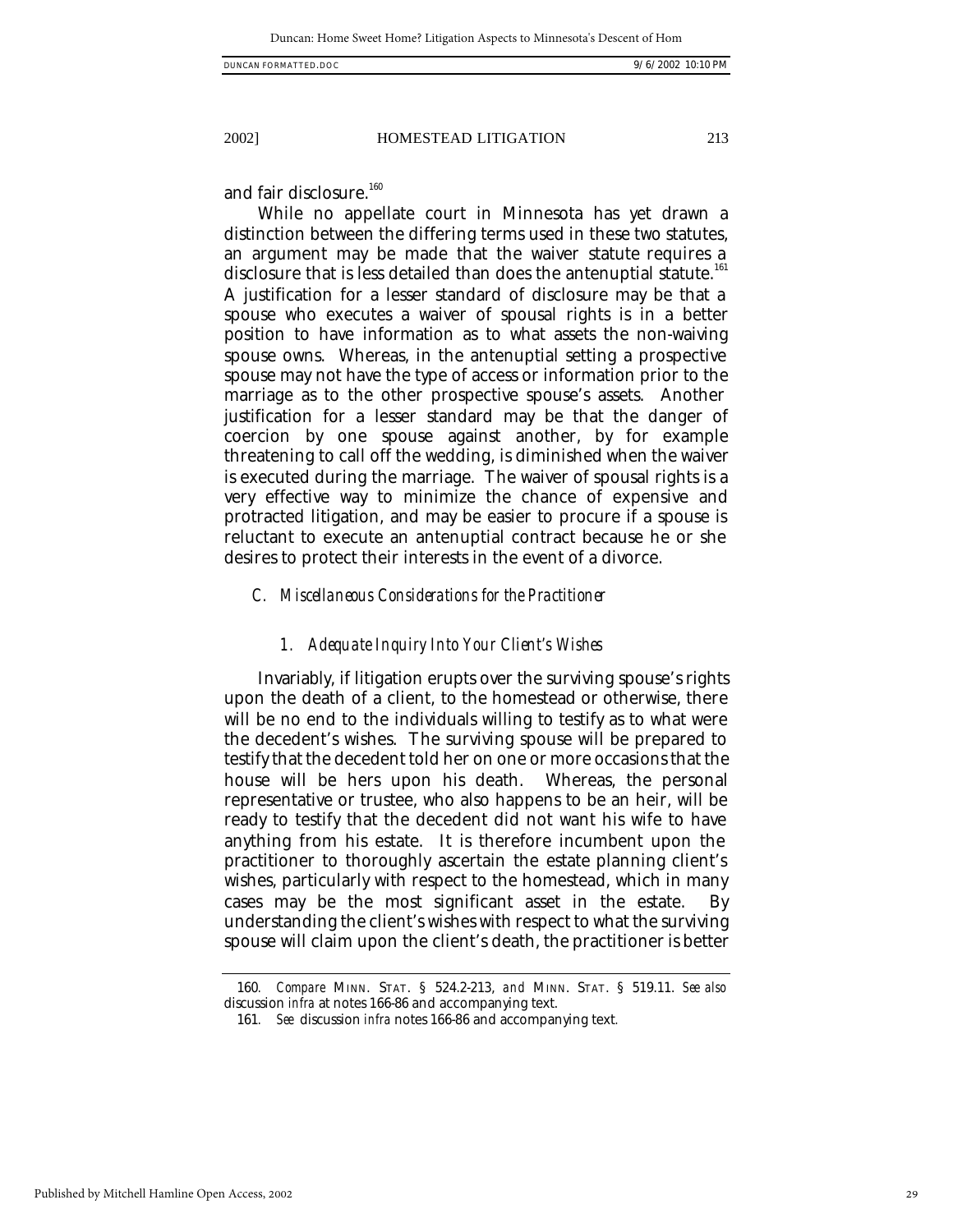and fair disclosure.<sup>160</sup>

While no appellate court in Minnesota has yet drawn a distinction between the differing terms used in these two statutes, an argument may be made that the waiver statute requires a disclosure that is less detailed than does the antenuptial statute.<sup>161</sup> A justification for a lesser standard of disclosure may be that a spouse who executes a waiver of spousal rights is in a better position to have information as to what assets the non-waiving spouse owns. Whereas, in the antenuptial setting a prospective spouse may not have the type of access or information prior to the marriage as to the other prospective spouse's assets. Another justification for a lesser standard may be that the danger of coercion by one spouse against another, by for example threatening to call off the wedding, is diminished when the waiver is executed during the marriage. The waiver of spousal rights is a very effective way to minimize the chance of expensive and protracted litigation, and may be easier to procure if a spouse is reluctant to execute an antenuptial contract because he or she desires to protect their interests in the event of a divorce.

#### *C. Miscellaneous Considerations for the Practitioner*

#### *1. Adequate Inquiry Into Your Client's Wishes*

Invariably, if litigation erupts over the surviving spouse's rights upon the death of a client, to the homestead or otherwise, there will be no end to the individuals willing to testify as to what were the decedent's wishes. The surviving spouse will be prepared to testify that the decedent told her on one or more occasions that the house will be hers upon his death. Whereas, the personal representative or trustee, who also happens to be an heir, will be ready to testify that the decedent did not want his wife to have anything from his estate. It is therefore incumbent upon the practitioner to thoroughly ascertain the estate planning client's wishes, particularly with respect to the homestead, which in many cases may be the most significant asset in the estate. By understanding the client's wishes with respect to what the surviving spouse will claim upon the client's death, the practitioner is better

<sup>160</sup>*. Compare* MINN. STAT. § 524.2-213, *and* MINN. STAT. § 519.11. *See also*  discussion *infra* at notes 166-86 and accompanying text.

<sup>161</sup>*. See* discussion *infra* notes 166-86 and accompanying text*.*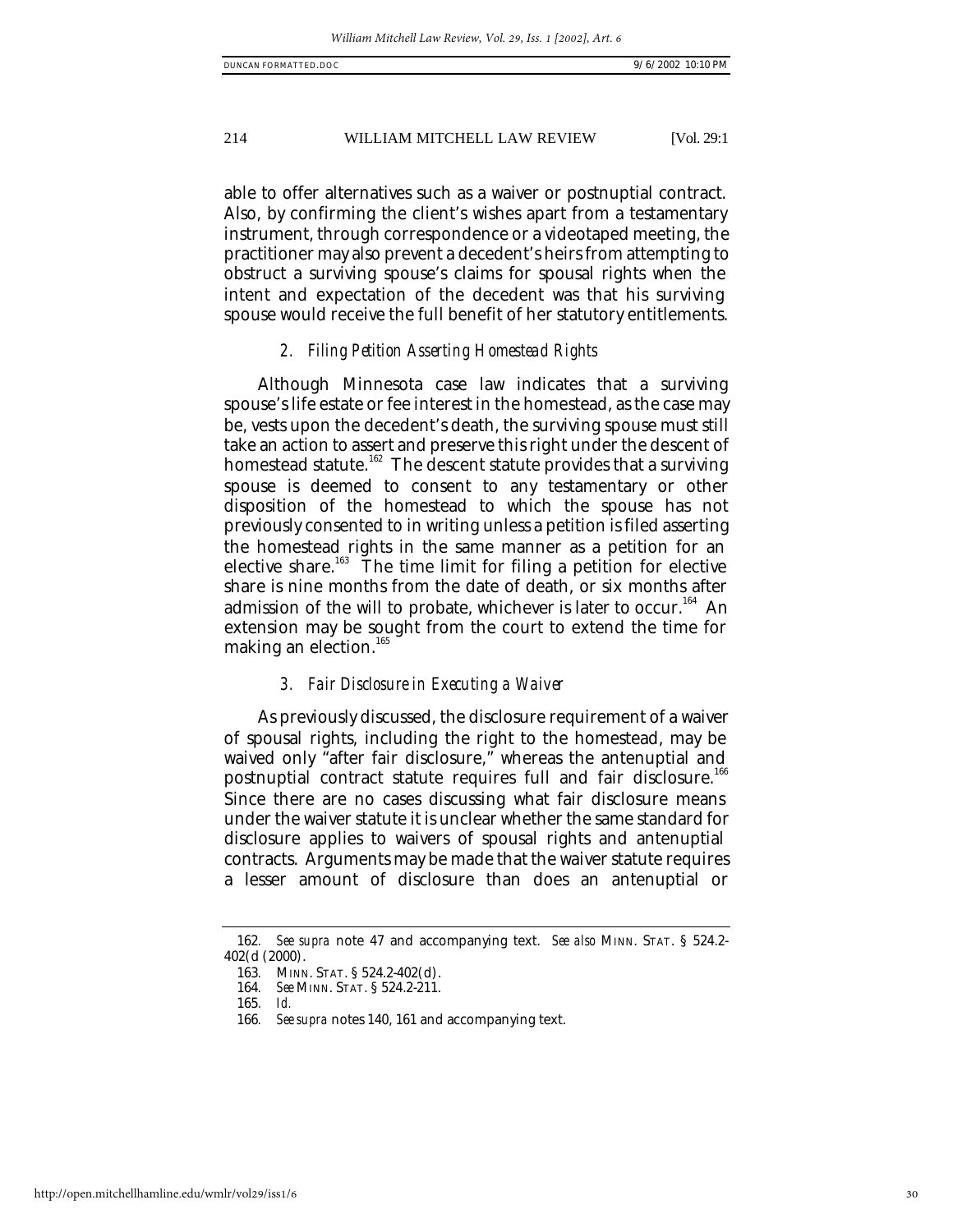able to offer alternatives such as a waiver or postnuptial contract. Also, by confirming the client's wishes apart from a testamentary instrument, through correspondence or a videotaped meeting, the practitioner may also prevent a decedent's heirs from attempting to obstruct a surviving spouse's claims for spousal rights when the intent and expectation of the decedent was that his surviving spouse would receive the full benefit of her statutory entitlements.

#### *2. Filing Petition Asserting Homestead Rights*

Although Minnesota case law indicates that a surviving spouse's life estate or fee interest in the homestead, as the case may be, vests upon the decedent's death, the surviving spouse must still take an action to assert and preserve this right under the descent of homestead statute.<sup>162</sup> The descent statute provides that a surviving spouse is deemed to consent to any testamentary or other disposition of the homestead to which the spouse has not previously consented to in writing unless a petition is filed asserting the homestead rights in the same manner as a petition for an elective share.<sup>163</sup> The time limit for filing a petition for elective share is nine months from the date of death, or six months after admission of the will to probate, whichever is later to occur.<sup>164</sup> An extension may be sought from the court to extend the time for making an election.<sup>165</sup>

#### *3. Fair Disclosure in Executing a Waiver*

As previously discussed, the disclosure requirement of a waiver of spousal rights, including the right to the homestead, may be waived only "after fair disclosure," whereas the antenuptial and postnuptial contract statute requires full and fair disclosure.<sup>166</sup> Since there are no cases discussing what fair disclosure means under the waiver statute it is unclear whether the same standard for disclosure applies to waivers of spousal rights and antenuptial contracts. Arguments may be made that the waiver statute requires a lesser amount of disclosure than does an antenuptial or

<sup>162</sup>*. See supra* note 47 and accompanying text. *See also* MINN. STAT. § 524.2- 402(d (2000).

<sup>163</sup>*.* MINN. STAT. § 524.2-402(d).

<sup>164</sup>*. See* MINN. STAT. § 524.2-211.

<sup>165</sup>*. Id.*

<sup>166</sup>*. See supra* notes 140, 161 and accompanying text.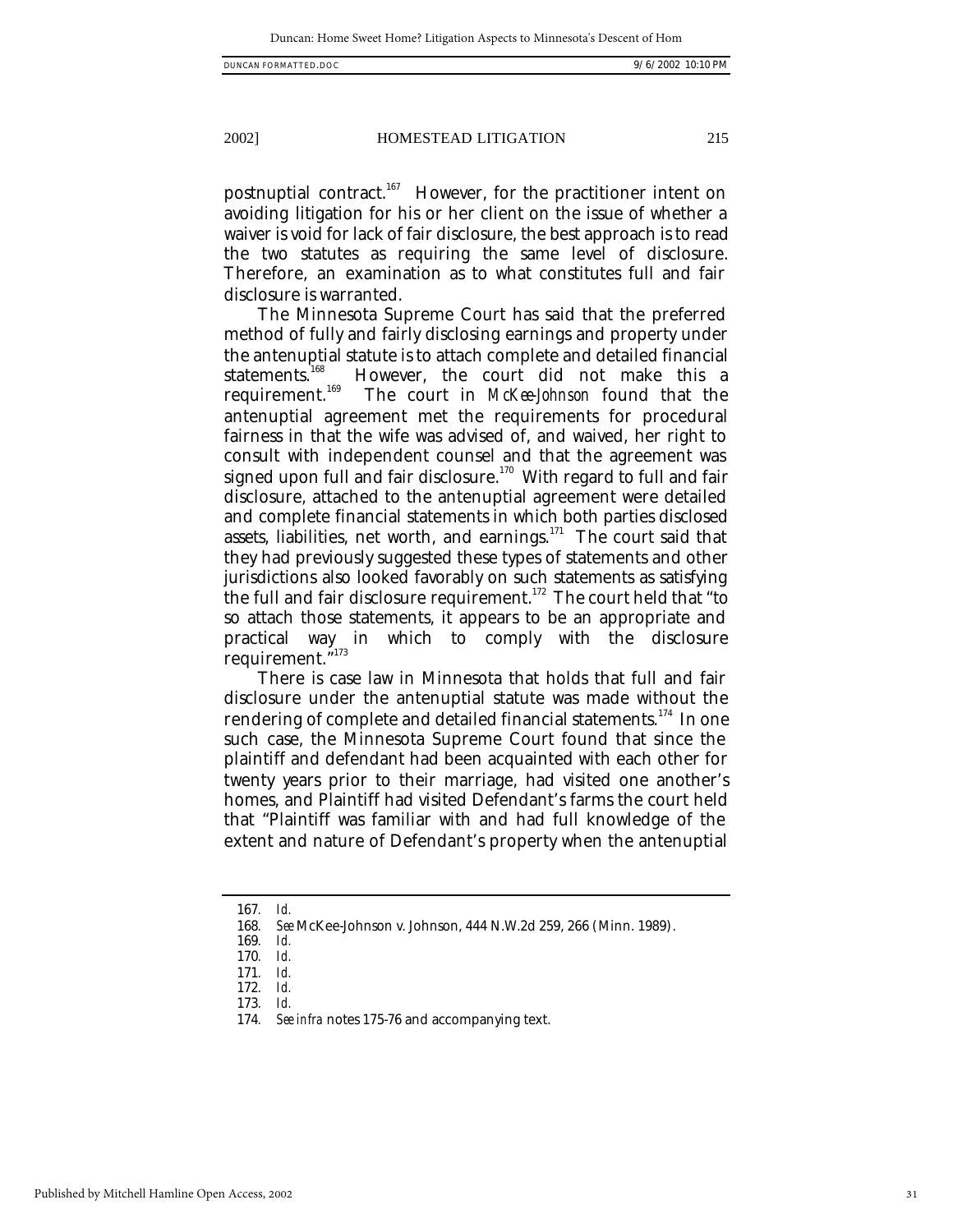postnuptial contract.<sup>167</sup> However, for the practitioner intent on avoiding litigation for his or her client on the issue of whether a waiver is void for lack of fair disclosure, the best approach is to read the two statutes as requiring the same level of disclosure. Therefore, an examination as to what constitutes full and fair disclosure is warranted.

The Minnesota Supreme Court has said that the preferred method of fully and fairly disclosing earnings and property under the antenuptial statute is to attach complete and detailed financial statements.<sup>168</sup> However, the court did not make this a statements.<sup>168</sup> However, the court did not make this a requirement.<sup>169</sup> The court in *McKee-Johnson* found that the The court in *McKee-Johnson* found that the antenuptial agreement met the requirements for procedural fairness in that the wife was advised of, and waived, her right to consult with independent counsel and that the agreement was signed upon full and fair disclosure.<sup>170</sup> With regard to full and fair disclosure, attached to the antenuptial agreement were detailed and complete financial statements in which both parties disclosed assets, liabilities, net worth, and earnings. $171$  The court said that they had previously suggested these types of statements and other jurisdictions also looked favorably on such statements as satisfying the full and fair disclosure requirement.<sup>172</sup> The court held that "to so attach those statements, it appears to be an appropriate and practical way in which to comply with the disclosure requirement."173

There is case law in Minnesota that holds that full and fair disclosure under the antenuptial statute was made without the rendering of complete and detailed financial statements.<sup>174</sup> In one such case, the Minnesota Supreme Court found that since the plaintiff and defendant had been acquainted with each other for twenty years prior to their marriage, had visited one another's homes, and Plaintiff had visited Defendant's farms the court held that "Plaintiff was familiar with and had full knowledge of the extent and nature of Defendant's property when the antenuptial

171*. Id.*

<sup>167</sup>*. Id.*

<sup>168</sup>*. See* McKee-Johnson v. Johnson, 444 N.W.2d 259, 266 (Minn. 1989).

<sup>169</sup>*. Id.*

<sup>170</sup>*. Id.*

<sup>172</sup>*. Id.* 173*. Id.*

<sup>174</sup>*. See infra* notes 175-76 and accompanying text.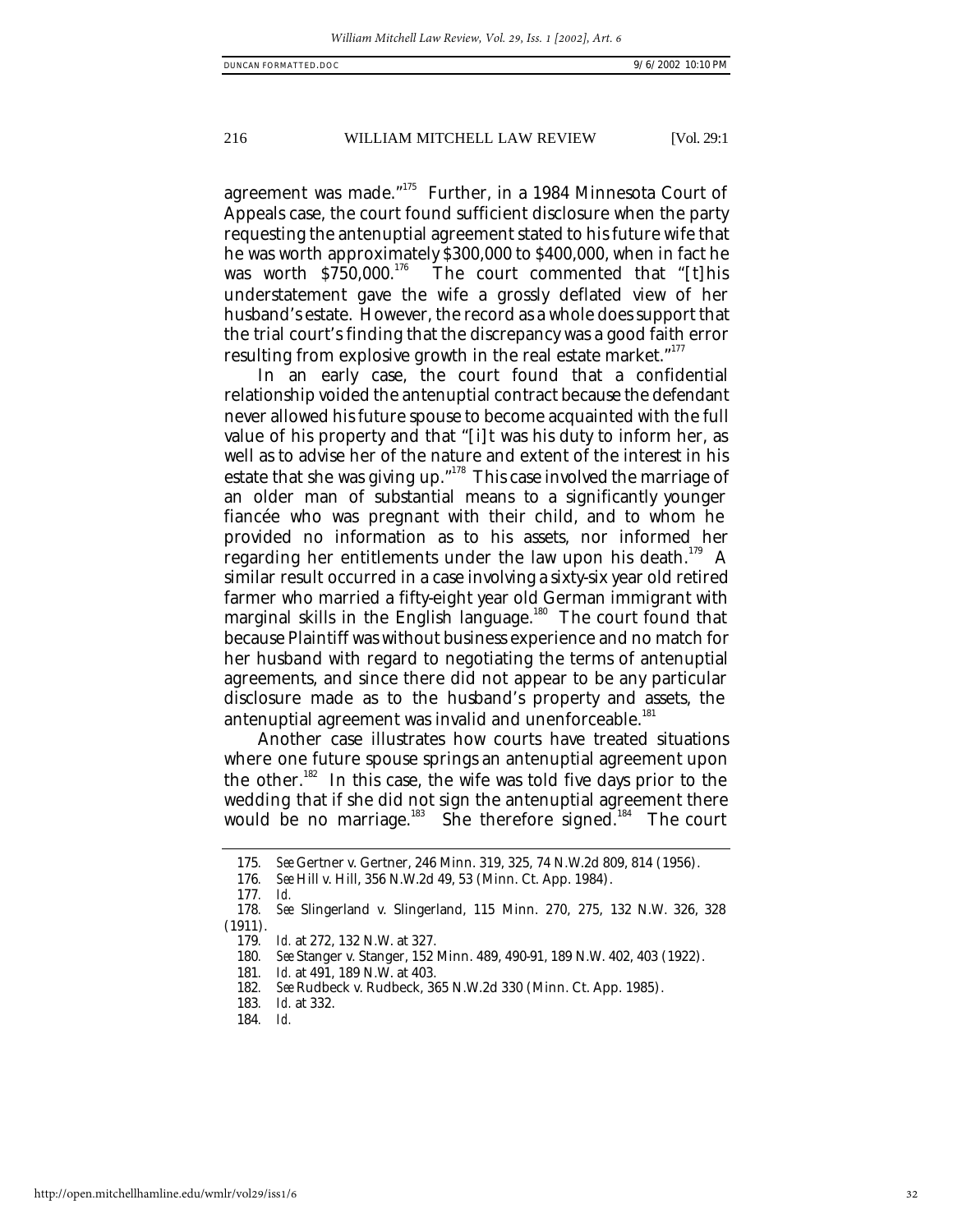agreement was made."<sup>175</sup> Further, in a 1984 Minnesota Court of Appeals case, the court found sufficient disclosure when the party requesting the antenuptial agreement stated to his future wife that he was worth approximately \$300,000 to \$400,000, when in fact he was worth \$750,000.<sup>176</sup> The court commented that "[t]his The court commented that "[t]his understatement gave the wife a grossly deflated view of her husband's estate. However, the record as a whole does support that the trial court's finding that the discrepancy was a good faith error resulting from explosive growth in the real estate market."<sup>177</sup>

In an early case, the court found that a confidential relationship voided the antenuptial contract because the defendant never allowed his future spouse to become acquainted with the full value of his property and that "[i]t was his duty to inform her, as well as to advise her of the nature and extent of the interest in his estate that she was giving up."<sup>178</sup> This case involved the marriage of an older man of substantial means to a significantly younger fiancée who was pregnant with their child, and to whom he provided no information as to his assets, nor informed her regarding her entitlements under the law upon his death.<sup>179</sup> A similar result occurred in a case involving a sixty-six year old retired farmer who married a fifty-eight year old German immigrant with marginal skills in the English language.<sup>180</sup> The court found that because Plaintiff was without business experience and no match for her husband with regard to negotiating the terms of antenuptial agreements, and since there did not appear to be any particular disclosure made as to the husband's property and assets, the antenuptial agreement was invalid and unenforceable.<sup>181</sup>

Another case illustrates how courts have treated situations where one future spouse springs an antenuptial agreement upon the other.<sup>182</sup> In this case, the wife was told five days prior to the wedding that if she did not sign the antenuptial agreement there would be no marriage.<sup>183</sup> She therefore signed.<sup>184</sup> The court

<sup>175</sup>*. See* Gertner v. Gertner, 246 Minn. 319, 325, 74 N.W.2d 809, 814 (1956).

<sup>176</sup>*. See* Hill v. Hill, 356 N.W.2d 49, 53 (Minn. Ct. App. 1984).

<sup>177</sup>*. Id.* 

<sup>178</sup>*. See* Slingerland v. Slingerland, 115 Minn. 270, 275, 132 N.W. 326, 328 (1911).

<sup>179</sup>*. Id.* at 272, 132 N.W. at 327.

<sup>180</sup>*. See* Stanger v. Stanger, 152 Minn. 489, 490-91, 189 N.W. 402, 403 (1922).

<sup>181</sup>*. Id.* at 491, 189 N.W. at 403.

<sup>182</sup>*. See* Rudbeck v. Rudbeck, 365 N.W.2d 330 (Minn. Ct. App. 1985).

<sup>183</sup>*. Id.* at 332.

<sup>184</sup>*. Id.*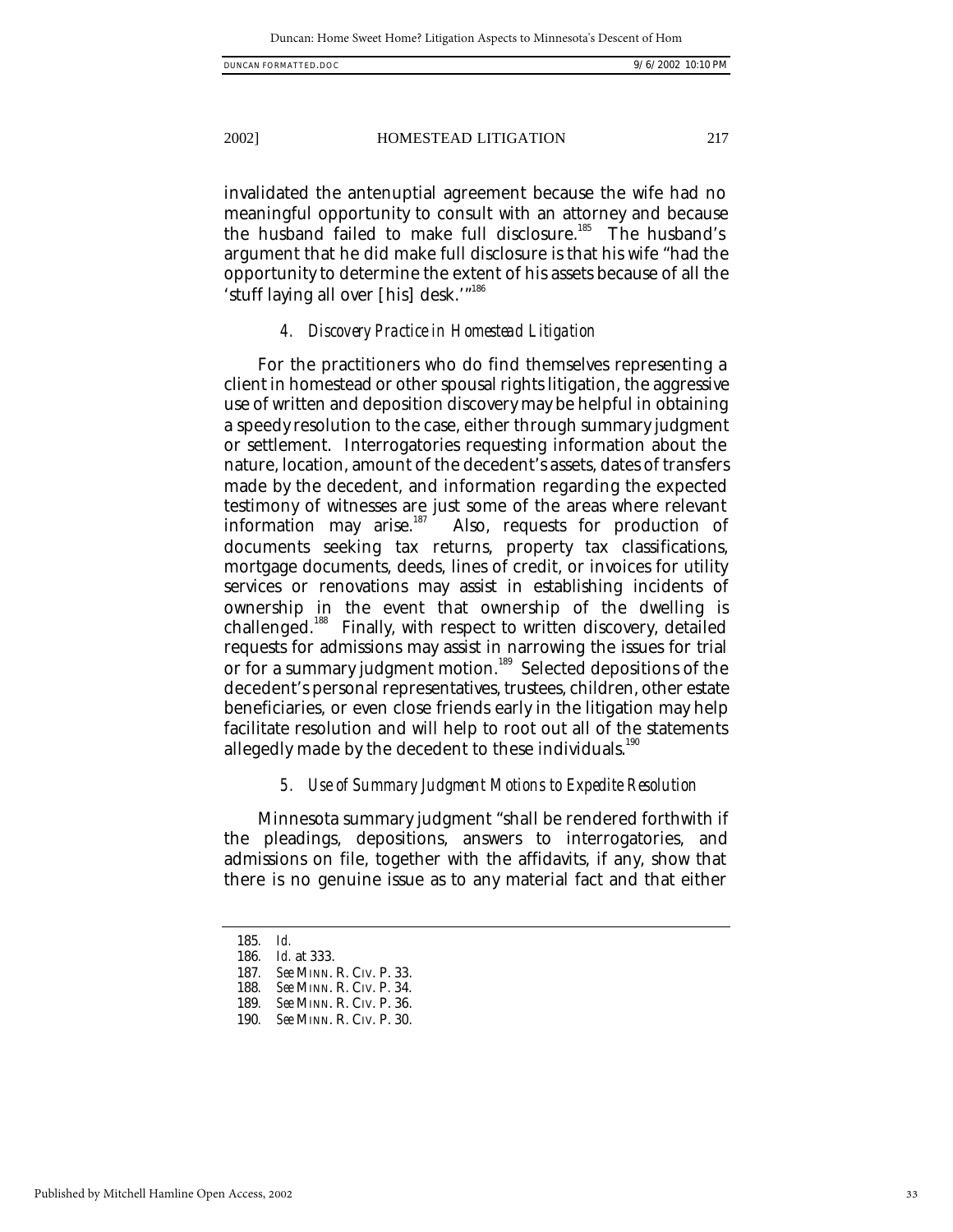invalidated the antenuptial agreement because the wife had no meaningful opportunity to consult with an attorney and because the husband failed to make full disclosure.<sup>185</sup> The husband's argument that he did make full disclosure is that his wife "had the opportunity to determine the extent of his assets because of all the 'stuff laying all over [his] desk."<sup>186</sup>

#### *4. Discovery Practice in Homestead Litigation*

For the practitioners who do find themselves representing a client in homestead or other spousal rights litigation, the aggressive use of written and deposition discovery may be helpful in obtaining a speedy resolution to the case, either through summary judgment or settlement. Interrogatories requesting information about the nature, location, amount of the decedent's assets, dates of transfers made by the decedent, and information regarding the expected testimony of witnesses are just some of the areas where relevant information may arise.<sup>187</sup> Also, requests for production of Also, requests for production of documents seeking tax returns, property tax classifications, mortgage documents, deeds, lines of credit, or invoices for utility services or renovations may assist in establishing incidents of ownership in the event that ownership of the dwelling is challenged. <sup>188</sup> Finally, with respect to written discovery, detailed requests for admissions may assist in narrowing the issues for trial or for a summary judgment motion.<sup>189</sup> Selected depositions of the decedent's personal representatives, trustees, children, other estate beneficiaries, or even close friends early in the litigation may help facilitate resolution and will help to root out all of the statements allegedly made by the decedent to these individuals.<sup>190</sup>

# *5. Use of Summary Judgment Motions to Expedite Resolution*

Minnesota summary judgment "shall be rendered forthwith if the pleadings, depositions, answers to interrogatories, and admissions on file, together with the affidavits, if any, show that there is no genuine issue as to any material fact and that either

2002] HOMESTEAD LITIGATION 217

<sup>185</sup>*. Id.*

<sup>186</sup>*. Id.* at 333.

<sup>187</sup>*. See* MINN. R. CIV. P. 33.

<sup>188</sup>*. See* MINN. R. CIV. P. 34.

<sup>189</sup>*. See* MINN. R. CIV. P. 36.

<sup>190</sup>*. See* MINN. R. CIV. P. 30.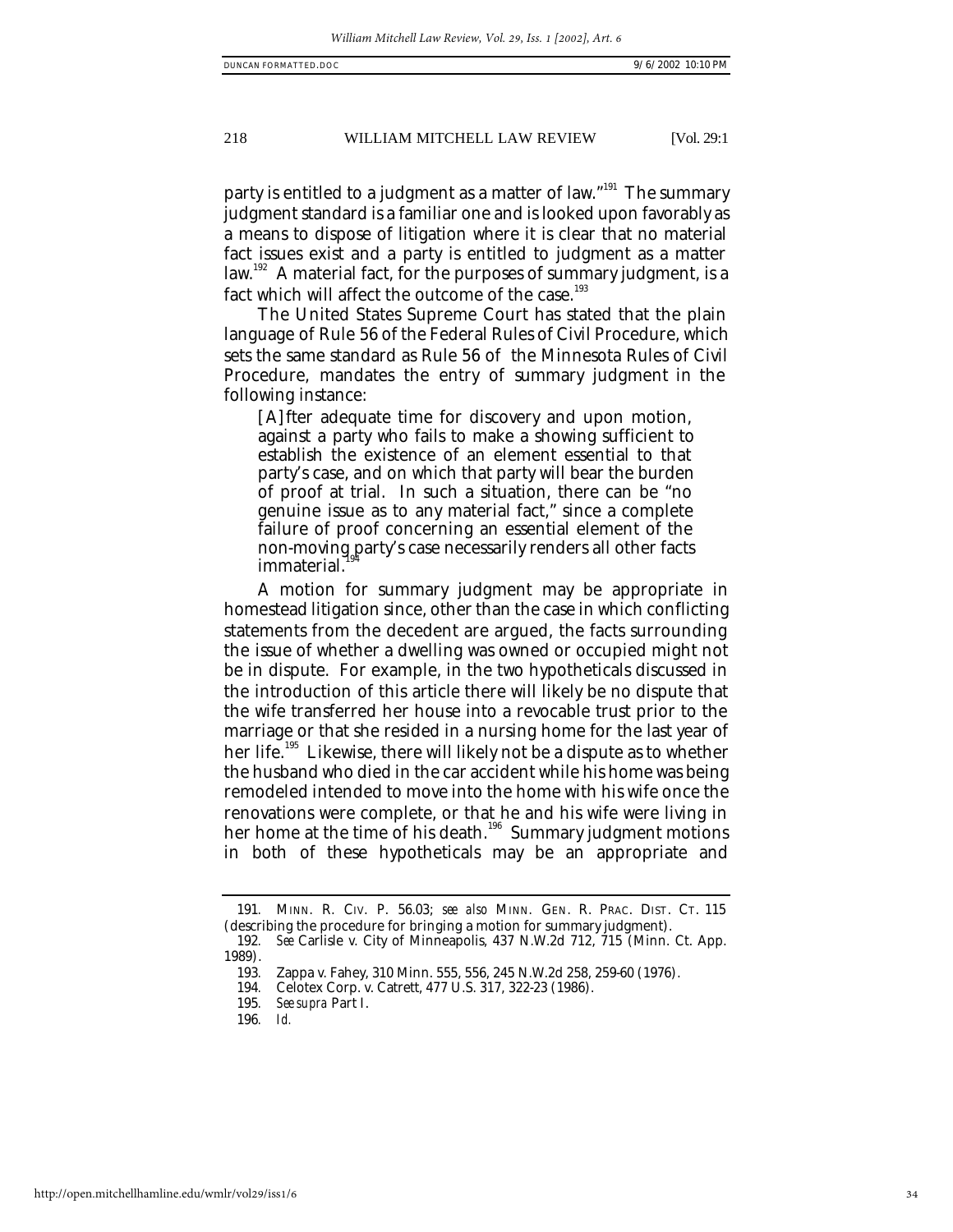party is entitled to a judgment as a matter of law."<sup>191</sup> The summarv judgment standard is a familiar one and is looked upon favorably as a means to dispose of litigation where it is clear that no material fact issues exist and a party is entitled to judgment as a matter law.<sup>192</sup> A material fact, for the purposes of summary judgment, is a fact which will affect the outcome of the case. $193$ 

The United States Supreme Court has stated that the plain language of Rule 56 of the Federal Rules of Civil Procedure, which sets the same standard as Rule 56 of the Minnesota Rules of Civil Procedure, mandates the entry of summary judgment in the following instance:

[A]fter adequate time for discovery and upon motion, against a party who fails to make a showing sufficient to establish the existence of an element essential to that party's case, and on which that party will bear the burden of proof at trial. In such a situation, there can be "no genuine issue as to any material fact," since a complete failure of proof concerning an essential element of the non-moving party's case necessarily renders all other facts immaterial.

A motion for summary judgment may be appropriate in homestead litigation since, other than the case in which conflicting statements from the decedent are argued, the facts surrounding the issue of whether a dwelling was owned or occupied might not be in dispute. For example, in the two hypotheticals discussed in the introduction of this article there will likely be no dispute that the wife transferred her house into a revocable trust prior to the marriage or that she resided in a nursing home for the last year of her life.<sup>195</sup> Likewise, there will likely not be a dispute as to whether the husband who died in the car accident while his home was being remodeled intended to move into the home with his wife once the renovations were complete, or that he and his wife were living in her home at the time of his death.<sup>196</sup> Summary judgment motions in both of these hypotheticals may be an appropriate and

<sup>191</sup>*.* MINN. R. CIV. P. 56.03; *see also* MINN. GEN. R. PRAC. DIST. CT. 115 (describing the procedure for bringing a motion for summary judgment).

<sup>192</sup>*. See* Carlisle v. City of Minneapolis, 437 N.W.2d 712, 715 (Minn. Ct. App. 1989).

<sup>193</sup>*.* Zappa v. Fahey, 310 Minn. 555, 556, 245 N.W.2d 258, 259-60 (1976).

<sup>194</sup>*.* Celotex Corp. v. Catrett, 477 U.S. 317, 322-23 (1986).

<sup>195</sup>*. See supra* Part I.

<sup>196</sup>*. Id.*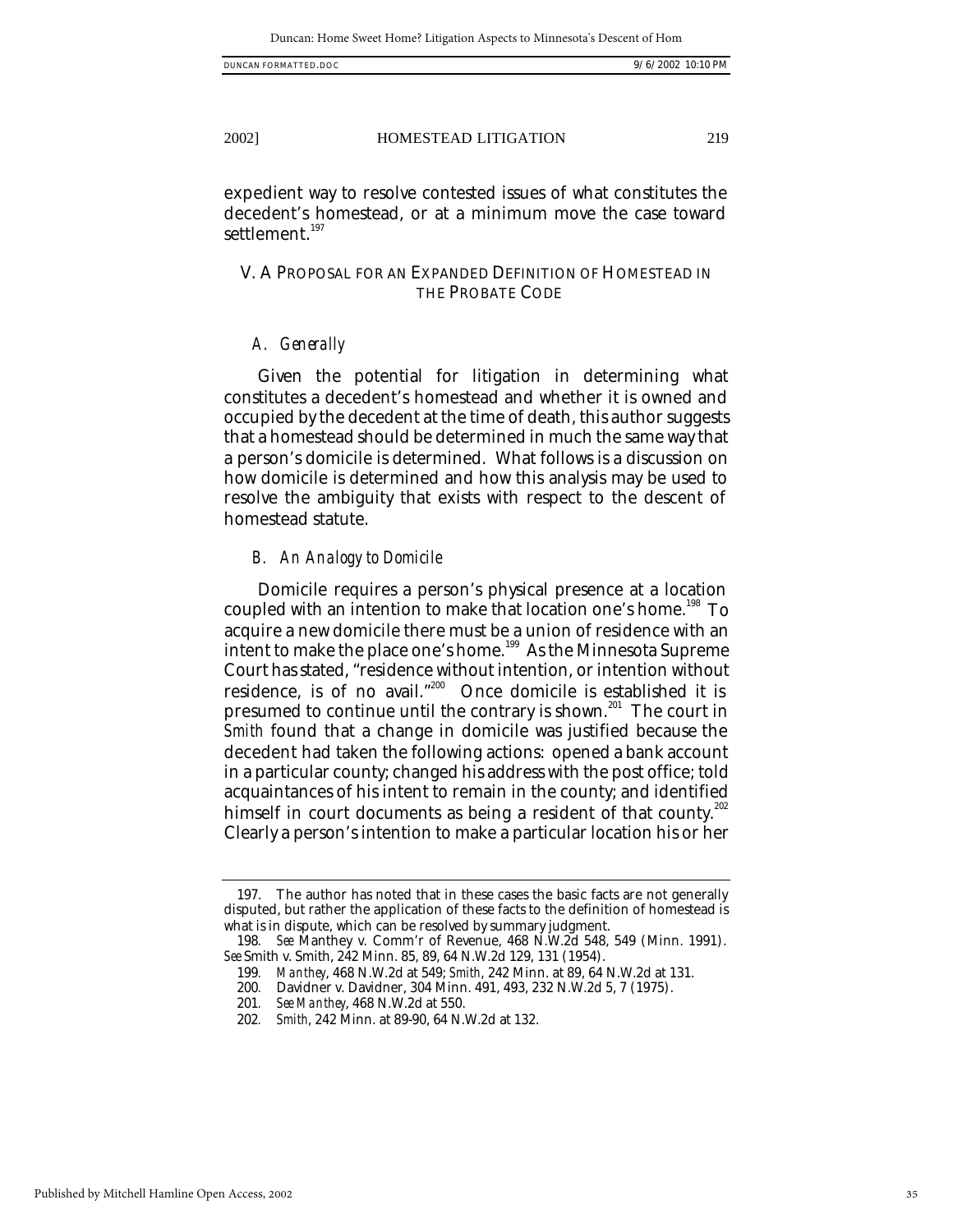expedient way to resolve contested issues of what constitutes the decedent's homestead, or at a minimum move the case toward settlement.<sup>197</sup>

# V. A PROPOSAL FOR AN EXPANDED DEFINITION OF HOMESTEAD IN THE PROBATE CODE

#### *A. Generally*

Given the potential for litigation in determining what constitutes a decedent's homestead and whether it is owned and occupied by the decedent at the time of death, this author suggests that a homestead should be determined in much the same way that a person's domicile is determined. What follows is a discussion on how domicile is determined and how this analysis may be used to resolve the ambiguity that exists with respect to the descent of homestead statute.

#### *B. An Analogy to Domicile*

Domicile requires a person's physical presence at a location coupled with an intention to make that location one's home.<sup>198</sup> To acquire a new domicile there must be a union of residence with an intent to make the place one's home.<sup>199</sup> As the Minnesota Supreme Court has stated, "residence without intention, or intention without residence, is of no avail."<sup>200</sup> Once domicile is established it is presumed to continue until the contrary is shown.<sup>201</sup> The court in *Smith* found that a change in domicile was justified because the decedent had taken the following actions: opened a bank account in a particular county; changed his address with the post office; told acquaintances of his intent to remain in the county; and identified himself in court documents as being a resident of that county.<sup>202</sup> Clearly a person's intention to make a particular location his or her

<sup>197.</sup> The author has noted that in these cases the basic facts are not generally disputed, but rather the application of these facts to the definition of homestead is what is in dispute, which can be resolved by summary judgment.

<sup>198</sup>*. See* Manthey v. Comm'r of Revenue, 468 N.W.2d 548, 549 (Minn. 1991). *See* Smith v. Smith, 242 Minn. 85, 89, 64 N.W.2d 129, 131 (1954).

<sup>199</sup>*. Manthey*, 468 N.W.2d at 549; *Smith*, 242 Minn. at 89, 64 N.W.2d at 131.

<sup>200</sup>*.* Davidner v. Davidner, 304 Minn. 491, 493, 232 N.W.2d 5, 7 (1975).

<sup>201</sup>*. See Manthey*, 468 N.W.2d at 550.

<sup>202</sup>*. Smith*, 242 Minn. at 89-90, 64 N.W.2d at 132.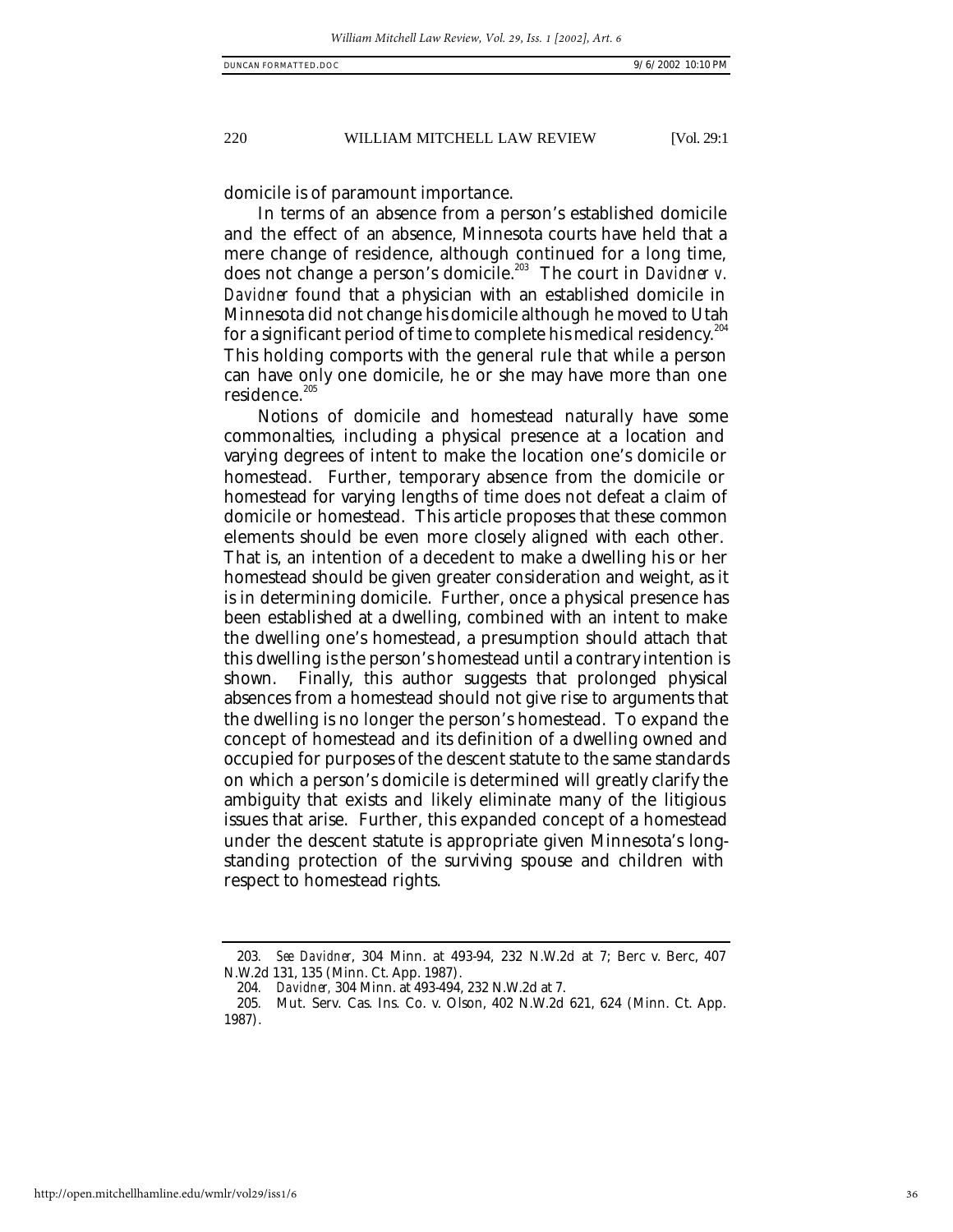domicile is of paramount importance.

In terms of an absence from a person's established domicile and the effect of an absence, Minnesota courts have held that a mere change of residence, although continued for a long time, does not change a person's domicile.<sup>203</sup> The court in *Davidner v. Davidner* found that a physician with an established domicile in Minnesota did not change his domicile although he moved to Utah for a significant period of time to complete his medical residency. $^{204}$ This holding comports with the general rule that while a person can have only one domicile, he or she may have more than one residence.<sup>205</sup>

Notions of domicile and homestead naturally have some commonalties, including a physical presence at a location and varying degrees of intent to make the location one's domicile or homestead. Further, temporary absence from the domicile or homestead for varying lengths of time does not defeat a claim of domicile or homestead. This article proposes that these common elements should be even more closely aligned with each other. That is, an intention of a decedent to make a dwelling his or her homestead should be given greater consideration and weight, as it is in determining domicile. Further, once a physical presence has been established at a dwelling, combined with an intent to make the dwelling one's homestead, a presumption should attach that this dwelling is the person's homestead until a contrary intention is shown. Finally, this author suggests that prolonged physical absences from a homestead should not give rise to arguments that the dwelling is no longer the person's homestead. To expand the concept of homestead and its definition of a dwelling owned and occupied for purposes of the descent statute to the same standards on which a person's domicile is determined will greatly clarify the ambiguity that exists and likely eliminate many of the litigious issues that arise. Further, this expanded concept of a homestead under the descent statute is appropriate given Minnesota's longstanding protection of the surviving spouse and children with respect to homestead rights.

<sup>203</sup>*. See Davidner*, 304 Minn. at 493-94, 232 N.W.2d at 7; Berc v. Berc, 407 N.W.2d 131, 135 (Minn. Ct. App. 1987).

<sup>204</sup>*. Davidner,* 304 Minn. at 493-494, 232 N.W.2d at 7.

<sup>205</sup>*.* Mut. Serv. Cas. Ins. Co. v. Olson, 402 N.W.2d 621, 624 (Minn. Ct. App. 1987).